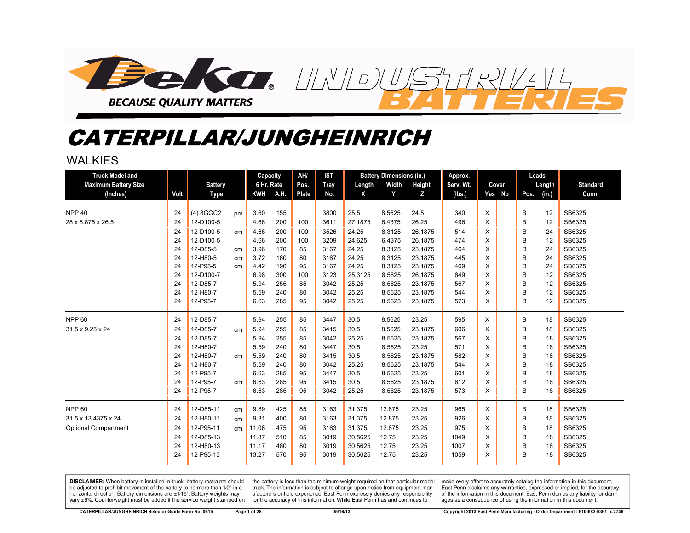

# CATERPILLAR/JUNGHEINRICH

#### WAI KIFS

| <b>Truck Model and</b><br><b>Maximum Battery Size</b><br>(Inches) | Volt | <b>Battery</b><br><b>Type</b> |    | Capacity<br>6 Hr. Rate<br>KWH | A.H. | AH/<br>Pos.<br>Plate | <b>IST</b><br><b>Tray</b><br>No. | Length<br>X | <b>Battery Dimensions (in.)</b><br>Width<br>Y | Height<br>z | Approx.<br>Serv. Wt.<br>(lbs.) | Cover<br>Yes No | Leads<br>Length<br>(in.)<br>Pos. | <b>Standard</b><br>Conn. |
|-------------------------------------------------------------------|------|-------------------------------|----|-------------------------------|------|----------------------|----------------------------------|-------------|-----------------------------------------------|-------------|--------------------------------|-----------------|----------------------------------|--------------------------|
| <b>NPP 40</b>                                                     | 24   | $(4)$ 8GGC2                   | pm | 3.60                          | 155  |                      | 3800                             | 25.5        | 8.5625                                        | 24.5        | 340                            | X               | В<br>12                          | SB6325                   |
| 28 x 8.875 x 26.5                                                 | 24   | 12-D100-5                     |    | 4.66                          | 200  | 100                  | 3611                             | 27.1875     | 6.4375                                        | 26.25       | 496                            | X               | B<br>12                          | SB6325                   |
|                                                                   | 24   | 12-D100-5                     | cm | 4.66                          | 200  | 100                  | 3526                             | 24.25       | 8.3125                                        | 26.1875     | 514                            | X               | 24<br>B                          | SB6325                   |
|                                                                   | 24   | 12-D100-5                     |    | 4.66                          | 200  | 100                  | 3209                             | 24.625      | 6.4375                                        | 26.1875     | 474                            | X               | B<br>12                          | SB6325                   |
|                                                                   | 24   | 12-D85-5                      | cm | 3.96                          | 170  | 85                   | 3167                             | 24.25       | 8.3125                                        | 23.1875     | 464                            | X               | B<br>24                          | SB6325                   |
|                                                                   | 24   | 12-H80-5                      | cm | 3.72                          | 160  | 80                   | 3167                             | 24.25       | 8.3125                                        | 23.1875     | 445                            | X               | B<br>24                          | SB6325                   |
|                                                                   | 24   | 12-P95-5                      | cm | 4.42                          | 190  | 95                   | 3167                             | 24.25       | 8.3125                                        | 23.1875     | 469                            | X               | B<br>24                          | SB6325                   |
|                                                                   | 24   | 12-D100-7                     |    | 6.98                          | 300  | 100                  | 3123                             | 25.3125     | 8.5625                                        | 26.1875     | 649                            | X               | B<br>12                          | SB6325                   |
|                                                                   | 24   | 12-D85-7                      |    | 5.94                          | 255  | 85                   | 3042                             | 25.25       | 8.5625                                        | 23.1875     | 567                            | X               | B<br>12                          | SB6325                   |
|                                                                   | 24   | 12-H80-7                      |    | 5.59                          | 240  | 80                   | 3042                             | 25.25       | 8.5625                                        | 23.1875     | 544                            | X               | B<br>12                          | SB6325                   |
|                                                                   | 24   | 12-P95-7                      |    | 6.63                          | 285  | 95                   | 3042                             | 25.25       | 8.5625                                        | 23.1875     | 573                            | X               | B<br>12                          | SB6325                   |
| <b>NPP 60</b>                                                     | 24   | 12-D85-7                      |    | 5.94                          | 255  | 85                   | 3447                             | 30.5        | 8.5625                                        | 23.25       | 595                            | X               | В<br>18                          | SB6325                   |
| 31.5 x 9.25 x 24                                                  | 24   | 12-D85-7                      | cm | 5.94                          | 255  | 85                   | 3415                             | 30.5        | 8.5625                                        | 23.1875     | 606                            | X               | B<br>18                          | SB6325                   |
|                                                                   | 24   | 12-D85-7                      |    | 5.94                          | 255  | 85                   | 3042                             | 25.25       | 8.5625                                        | 23.1875     | 567                            | X               | B<br>18                          | SB6325                   |
|                                                                   | 24   | 12-H80-7                      |    | 5.59                          | 240  | 80                   | 3447                             | 30.5        | 8.5625                                        | 23.25       | 571                            | X               | B<br>18                          | SB6325                   |
|                                                                   | 24   | 12-H80-7                      | cm | 5.59                          | 240  | 80                   | 3415                             | 30.5        | 8.5625                                        | 23.1875     | 582                            | X               | B<br>18                          | SB6325                   |
|                                                                   | 24   | 12-H80-7                      |    | 5.59                          | 240  | 80                   | 3042                             | 25.25       | 8.5625                                        | 23.1875     | 544                            | X               | B<br>18                          | SB6325                   |
|                                                                   | 24   | 12-P95-7                      |    | 6.63                          | 285  | 95                   | 3447                             | 30.5        | 8.5625                                        | 23.25       | 601                            | X               | B<br>18                          | SB6325                   |
|                                                                   | 24   | 12-P95-7                      | cm | 6.63                          | 285  | 95                   | 3415                             | 30.5        | 8.5625                                        | 23.1875     | 612                            | X               | B<br>18                          | SB6325                   |
|                                                                   | 24   | 12-P95-7                      |    | 6.63                          | 285  | 95                   | 3042                             | 25.25       | 8.5625                                        | 23.1875     | 573                            | X               | в<br>18                          | SB6325                   |
| <b>NPP 60</b>                                                     | 24   | 12-D85-11                     | cm | 9.89                          | 425  | 85                   | 3163                             | 31.375      | 12.875                                        | 23.25       | 965                            | X               | В<br>18                          | SB6325                   |
| 31.5 x 13.4375 x 24                                               | 24   | 12-H80-11                     | cm | 9.31                          | 400  | 80                   | 3163                             | 31.375      | 12.875                                        | 23.25       | 926                            | X               | B<br>18                          | SB6325                   |
| <b>Optional Compartment</b>                                       | 24   | 12-P95-11                     | cm | 11.06                         | 475  | 95                   | 3163                             | 31.375      | 12.875                                        | 23.25       | 975                            | X               | B<br>18                          | SB6325                   |
|                                                                   | 24   | 12-D85-13                     |    | 11.87                         | 510  | 85                   | 3019                             | 30.5625     | 12.75                                         | 23.25       | 1049                           | X               | B<br>18                          | SB6325                   |
|                                                                   | 24   | 12-H80-13                     |    | 11.17                         | 480  | 80                   | 3019                             | 30.5625     | 12.75                                         | 23.25       | 1007                           | X               | B<br>18                          | SB6325                   |
|                                                                   | 24   | 12-P95-13                     |    | 13.27                         | 570  | 95                   | 3019                             | 30.5625     | 12.75                                         | 23.25       | 1059                           | X               | В<br>18                          | SB6325                   |

DISCLAIMER: When battery is installed in truck, battery restraints should be adjusted to prohibit movement of the battery to no more than 1/2" in a horizontal direction. Battery dimensions are  $\pm 1/16$ ". Battery weights may vary ±5%. Counterweight must be added if the service weight stamped on

the battery is less than the minimum weight required on that particular model truck. The information is subject to change upon notice from equipment manufacturers or field experience. East Penn expressly denies any responsibility for the accuracy of this information. While East Penn has and continues to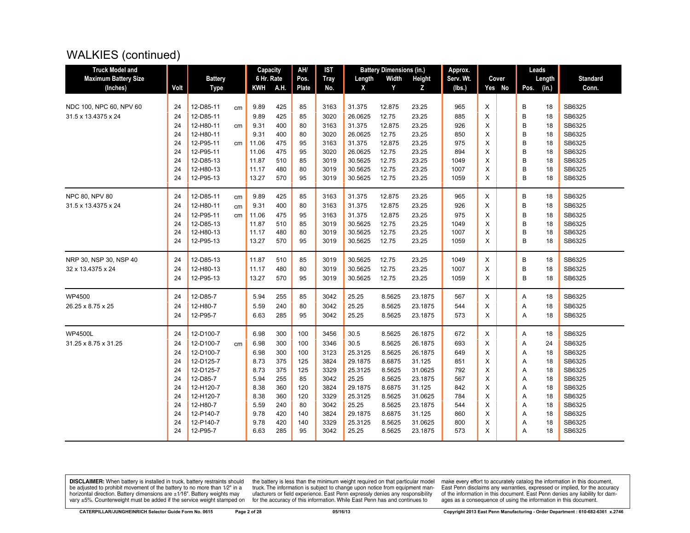## WALKIES (continued)

| <b>Truck Model and</b>      |      |                |    | Capacity   |      | AH/          | <b>IST</b>  |         | <b>Battery Dimensions (in.)</b> |         | Approx.   |   |        |      | Leads  |                 |
|-----------------------------|------|----------------|----|------------|------|--------------|-------------|---------|---------------------------------|---------|-----------|---|--------|------|--------|-----------------|
| <b>Maximum Battery Size</b> |      | <b>Battery</b> |    | 6 Hr. Rate |      | Pos.         | <b>Tray</b> | Length  | Width                           | Height  | Serv. Wt. |   | Cover  |      | Length | <b>Standard</b> |
| (Inches)                    | Volt | <b>Type</b>    |    | <b>KWH</b> | A.H. | <b>Plate</b> | No.         | X       | Y                               | Z       | (Ibs.)    |   | Yes No | Pos. | (in.)  | Conn.           |
|                             |      |                |    |            |      |              |             |         |                                 |         |           |   |        |      |        |                 |
| NDC 100, NPC 60, NPV 60     | 24   | 12-D85-11      | cm | 9.89       | 425  | 85           | 3163        | 31.375  | 12.875                          | 23.25   | 965       | X |        | B    | 18     | SB6325          |
| 31.5 x 13.4375 x 24         | 24   | 12-D85-11      |    | 9.89       | 425  | 85           | 3020        | 26.0625 | 12.75                           | 23.25   | 885       | X |        | B    | 18     | SB6325          |
|                             | 24   | 12-H80-11      | cm | 9.31       | 400  | 80           | 3163        | 31.375  | 12.875                          | 23.25   | 926       | X |        | B    | 18     | SB6325          |
|                             | 24   | 12-H80-11      |    | 9.31       | 400  | 80           | 3020        | 26.0625 | 12.75                           | 23.25   | 850       | X |        | B    | 18     | SB6325          |
|                             | 24   | 12-P95-11      | cm | 11.06      | 475  | 95           | 3163        | 31.375  | 12.875                          | 23.25   | 975       | X |        | B    | 18     | SB6325          |
|                             | 24   | 12-P95-11      |    | 11.06      | 475  | 95           | 3020        | 26.0625 | 12.75                           | 23.25   | 894       | X |        | B    | 18     | SB6325          |
|                             | 24   | 12-D85-13      |    | 11.87      | 510  | 85           | 3019        | 30.5625 | 12.75                           | 23.25   | 1049      | X |        | B    | 18     | SB6325          |
|                             | 24   | 12-H80-13      |    | 11.17      | 480  | 80           | 3019        | 30.5625 | 12.75                           | 23.25   | 1007      | X |        | B    | 18     | SB6325          |
|                             | 24   | 12-P95-13      |    | 13.27      | 570  | 95           | 3019        | 30.5625 | 12.75                           | 23.25   | 1059      | X |        | B    | 18     | SB6325          |
| NPC 80, NPV 80              | 24   | 12-D85-11      | cm | 9.89       | 425  | 85           | 3163        | 31.375  | 12.875                          | 23.25   | 965       | X |        | B    | 18     | SB6325          |
| 31.5 x 13.4375 x 24         | 24   | 12-H80-11      | cm | 9.31       | 400  | 80           | 3163        | 31.375  | 12.875                          | 23.25   | 926       | X |        | B    | 18     | SB6325          |
|                             | 24   | 12-P95-11      | cm | 11.06      | 475  | 95           | 3163        | 31.375  | 12.875                          | 23.25   | 975       | X |        | B    | 18     | SB6325          |
|                             | 24   | 12-D85-13      |    | 11.87      | 510  | 85           | 3019        | 30.5625 | 12.75                           | 23.25   | 1049      | X |        | B    | 18     | SB6325          |
|                             | 24   | 12-H80-13      |    | 11.17      | 480  | 80           | 3019        | 30.5625 | 12.75                           | 23.25   | 1007      | X |        | B    | 18     | SB6325          |
|                             | 24   | 12-P95-13      |    | 13.27      | 570  | 95           | 3019        | 30.5625 | 12.75                           | 23.25   | 1059      | X |        | B    | 18     | SB6325          |
| NRP 30, NSP 30, NSP 40      | 24   | 12-D85-13      |    | 11.87      | 510  | 85           | 3019        | 30.5625 | 12.75                           | 23.25   | 1049      | X |        | B    | 18     | SB6325          |
| 32 x 13.4375 x 24           | 24   | 12-H80-13      |    | 11.17      | 480  | 80           | 3019        | 30.5625 | 12.75                           | 23.25   | 1007      | X |        | B    | 18     | SB6325          |
|                             | 24   | 12-P95-13      |    | 13.27      | 570  | 95           | 3019        | 30.5625 | 12.75                           | 23.25   | 1059      | X |        | B    | 18     | SB6325          |
| <b>WP4500</b>               | 24   | 12-D85-7       |    | 5.94       | 255  | 85           | 3042        | 25.25   | 8.5625                          | 23.1875 | 567       | X |        | Α    | 18     | SB6325          |
| 26.25 x 8.75 x 25           | 24   | 12-H80-7       |    | 5.59       | 240  | 80           | 3042        | 25.25   | 8.5625                          | 23.1875 | 544       | X |        | Α    | 18     | SB6325          |
|                             | 24   | 12-P95-7       |    | 6.63       | 285  | 95           | 3042        | 25.25   | 8.5625                          | 23.1875 | 573       | X |        | A    | 18     | SB6325          |
| <b>WP4500L</b>              | 24   | 12-D100-7      |    | 6.98       | 300  | 100          | 3456        | 30.5    | 8.5625                          | 26.1875 | 672       | X |        | Α    | 18     | SB6325          |
| 31.25 x 8.75 x 31.25        | 24   | 12-D100-7      | cm | 6.98       | 300  | 100          | 3346        | 30.5    | 8.5625                          | 26.1875 | 693       | X |        | Α    | 24     | SB6325          |
|                             | 24   | 12-D100-7      |    | 6.98       | 300  | 100          | 3123        | 25.3125 | 8.5625                          | 26.1875 | 649       | X |        | A    | 18     | SB6325          |
|                             | 24   | 12-D125-7      |    | 8.73       | 375  | 125          | 3824        | 29.1875 | 8.6875                          | 31.125  | 851       | X |        | Α    | 18     | SB6325          |
|                             | 24   | 12-D125-7      |    | 8.73       | 375  | 125          | 3329        | 25.3125 | 8.5625                          | 31.0625 | 792       | X |        | A    | 18     | SB6325          |
|                             | 24   | 12-D85-7       |    | 5.94       | 255  | 85           | 3042        | 25.25   | 8.5625                          | 23.1875 | 567       | X |        | Α    | 18     | SB6325          |
|                             | 24   | 12-H120-7      |    | 8.38       | 360  | 120          | 3824        | 29.1875 | 8.6875                          | 31.125  | 842       | X |        | Α    | 18     | SB6325          |
|                             | 24   | 12-H120-7      |    | 8.38       | 360  | 120          | 3329        | 25.3125 | 8.5625                          | 31.0625 | 784       | X |        | A    | 18     | SB6325          |
|                             | 24   | 12-H80-7       |    | 5.59       | 240  | 80           | 3042        | 25.25   | 8.5625                          | 23.1875 | 544       | X |        | Α    | 18     | SB6325          |
|                             | 24   | 12-P140-7      |    | 9.78       | 420  | 140          | 3824        | 29.1875 | 8.6875                          | 31.125  | 860       | X |        | Α    | 18     | SB6325          |
|                             | 24   | 12-P140-7      |    | 9.78       | 420  | 140          | 3329        | 25.3125 | 8.5625                          | 31.0625 | 800       | X |        | Α    | 18     | SB6325          |
|                             | 24   | 12-P95-7       |    | 6.63       | 285  | 95           | 3042        | 25.25   | 8.5625                          | 23.1875 | 573       | X |        | A    | 18     | SB6325          |
|                             |      |                |    |            |      |              |             |         |                                 |         |           |   |        |      |        |                 |

**DISCLAIMER:** When battery is installed in truck, battery restraints should be adjusted to prohibit movement of the battery to no more than 1/2" in a be added in the behavior of the behavior of the behavior of the behavior of the behavior of the behavior of the behavior of the behavior of the service weight sharped on vary  $\pm$ 5%. Counterweight must be added if the ser

the battery is less than the minimum weight required on that particular model<br>truck. The information is subject to change upon notice from equipment man-<br>ufacturers or field experience. East Penn expressly denies any respo for the accuracy of this information. While East Penn has and continues to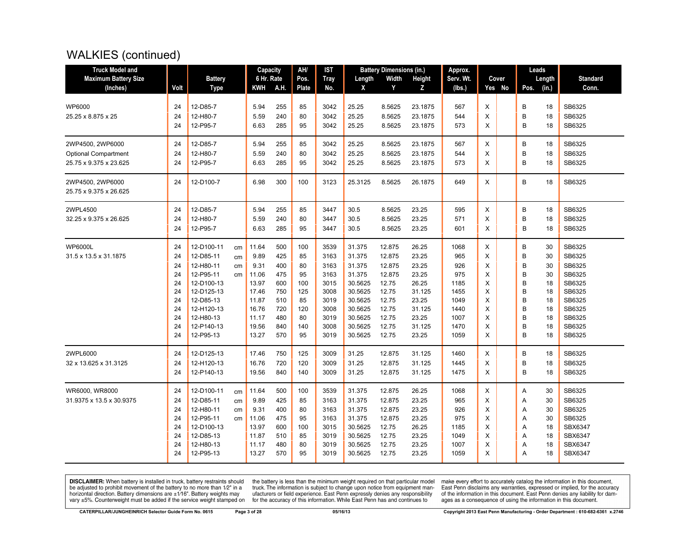## WALKIES (continued)

| <b>Truck Model and</b>                     |      |                |    | Capacity   |      | AH/   | IST         |         | <b>Battery Dimensions (in.)</b> |         | Approx.   |        | Leads         |                 |
|--------------------------------------------|------|----------------|----|------------|------|-------|-------------|---------|---------------------------------|---------|-----------|--------|---------------|-----------------|
| <b>Maximum Battery Size</b>                |      | <b>Battery</b> |    | 6 Hr. Rate |      | Pos.  | <b>Tray</b> | Length  | Width                           | Height  | Serv. Wt. | Cover  | Length        | <b>Standard</b> |
| (Inches)                                   | Volt | <b>Type</b>    |    | KWH        | A.H. | Plate | No.         | X       | Y                               | Z       | (lbs.)    | Yes No | (in.)<br>Pos. | Conn.           |
|                                            |      |                |    |            |      |       |             |         |                                 |         |           |        |               |                 |
| <b>WP6000</b>                              | 24   | 12-D85-7       |    | 5.94       | 255  | 85    | 3042        | 25.25   | 8.5625                          | 23.1875 | 567       | X      | B<br>18       | SB6325          |
| 25.25 x 8.875 x 25                         | 24   | 12-H80-7       |    | 5.59       | 240  | 80    | 3042        | 25.25   | 8.5625                          | 23.1875 | 544       | X      | B<br>18       | SB6325          |
|                                            | 24   | 12-P95-7       |    | 6.63       | 285  | 95    | 3042        | 25.25   | 8.5625                          | 23.1875 | 573       | X      | B<br>18       | SB6325          |
| 2WP4500, 2WP6000                           | 24   | 12-D85-7       |    | 5.94       | 255  | 85    | 3042        | 25.25   | 8.5625                          | 23.1875 | 567       | X      | B<br>18       | SB6325          |
| <b>Optional Compartment</b>                | 24   | 12-H80-7       |    | 5.59       | 240  | 80    | 3042        | 25.25   | 8.5625                          | 23.1875 | 544       | X      | B<br>18       | SB6325          |
| 25.75 x 9.375 x 23.625                     | 24   | 12-P95-7       |    | 6.63       | 285  | 95    | 3042        | 25.25   | 8.5625                          | 23.1875 | 573       | X      | B<br>18       | SB6325          |
| 2WP4500, 2WP6000<br>25.75 x 9.375 x 26.625 | 24   | 12-D100-7      |    | 6.98       | 300  | 100   | 3123        | 25.3125 | 8.5625                          | 26.1875 | 649       | X      | B<br>18       | SB6325          |
| 2WPL4500                                   | 24   | 12-D85-7       |    | 5.94       | 255  | 85    | 3447        | 30.5    | 8.5625                          | 23.25   | 595       | X      | B<br>18       | SB6325          |
| 32.25 x 9.375 x 26.625                     | 24   | 12-H80-7       |    | 5.59       | 240  | 80    | 3447        | 30.5    | 8.5625                          | 23.25   | 571       | X      | B<br>18       | SB6325          |
|                                            | 24   | 12-P95-7       |    | 6.63       | 285  | 95    | 3447        | 30.5    | 8.5625                          | 23.25   | 601       | X      | B<br>18       | SB6325          |
| <b>WP6000L</b>                             | 24   | 12-D100-11     | cm | 11.64      | 500  | 100   | 3539        | 31.375  | 12.875                          | 26.25   | 1068      | X      | B<br>30       | SB6325          |
| 31.5 x 13.5 x 31.1875                      | 24   | 12-D85-11      | cm | 9.89       | 425  | 85    | 3163        | 31.375  | 12.875                          | 23.25   | 965       | X      | B<br>30       | SB6325          |
|                                            | 24   | 12-H80-11      | cm | 9.31       | 400  | 80    | 3163        | 31.375  | 12.875                          | 23.25   | 926       | X      | B<br>30       | SB6325          |
|                                            | 24   | 12-P95-11      | cm | 11.06      | 475  | 95    | 3163        | 31.375  | 12.875                          | 23.25   | 975       | X      | B<br>30       | SB6325          |
|                                            | 24   | 12-D100-13     |    | 13.97      | 600  | 100   | 3015        | 30.5625 | 12.75                           | 26.25   | 1185      | X      | B<br>18       | SB6325          |
|                                            | 24   | 12-D125-13     |    | 17.46      | 750  | 125   | 3008        | 30.5625 | 12.75                           | 31.125  | 1455      | X      | B<br>18       | SB6325          |
|                                            | 24   | 12-D85-13      |    | 11.87      | 510  | 85    | 3019        | 30.5625 | 12.75                           | 23.25   | 1049      | X      | B<br>18       | SB6325          |
|                                            | 24   | 12-H120-13     |    | 16.76      | 720  | 120   | 3008        | 30.5625 | 12.75                           | 31.125  | 1440      | X      | B<br>18       | SB6325          |
|                                            | 24   | 12-H80-13      |    | 11.17      | 480  | 80    | 3019        | 30.5625 | 12.75                           | 23.25   | 1007      | X      | B<br>18       | SB6325          |
|                                            | 24   | 12-P140-13     |    | 19.56      | 840  | 140   | 3008        | 30.5625 | 12.75                           | 31.125  | 1470      | X      | B<br>18       | SB6325          |
|                                            | 24   | 12-P95-13      |    | 13.27      | 570  | 95    | 3019        | 30.5625 | 12.75                           | 23.25   | 1059      | X      | B<br>18       | SB6325          |
| 2WPL6000                                   | 24   | 12-D125-13     |    | 17.46      | 750  | 125   | 3009        | 31.25   | 12.875                          | 31.125  | 1460      | Χ      | B<br>18       | SB6325          |
| 32 x 13.625 x 31.3125                      | 24   | 12-H120-13     |    | 16.76      | 720  | 120   | 3009        | 31.25   | 12.875                          | 31.125  | 1445      | X      | B<br>18       | SB6325          |
|                                            | 24   | 12-P140-13     |    | 19.56      | 840  | 140   | 3009        | 31.25   | 12.875                          | 31.125  | 1475      | X      | B<br>18       | SB6325          |
| WR6000, WR8000                             | 24   | 12-D100-11     | cm | 11.64      | 500  | 100   | 3539        | 31.375  | 12.875                          | 26.25   | 1068      | Χ      | 30<br>Α       | SB6325          |
| 31.9375 x 13.5 x 30.9375                   | 24   | 12-D85-11      | cm | 9.89       | 425  | 85    | 3163        | 31.375  | 12.875                          | 23.25   | 965       | X      | Α<br>30       | SB6325          |
|                                            | 24   | 12-H80-11      | cm | 9.31       | 400  | 80    | 3163        | 31.375  | 12.875                          | 23.25   | 926       | X      | A<br>30       | SB6325          |
|                                            | 24   | 12-P95-11      | cm | 11.06      | 475  | 95    | 3163        | 31.375  | 12.875                          | 23.25   | 975       | X      | 30<br>Α       | SB6325          |
|                                            | 24   | 12-D100-13     |    | 13.97      | 600  | 100   | 3015        | 30.5625 | 12.75                           | 26.25   | 1185      | X      | A<br>18       | <b>SBX6347</b>  |
|                                            | 24   | 12-D85-13      |    | 11.87      | 510  | 85    | 3019        | 30.5625 | 12.75                           | 23.25   | 1049      | X      | A<br>18       | SBX6347         |
|                                            | 24   | 12-H80-13      |    | 11.17      | 480  | 80    | 3019        | 30.5625 | 12.75                           | 23.25   | 1007      | X      | 18<br>Α       | SBX6347         |
|                                            | 24   | 12-P95-13      |    | 13.27      | 570  | 95    | 3019        | 30.5625 | 12.75                           | 23.25   | 1059      | X      | A<br>18       | SBX6347         |

**DISCLAIMER:** When battery is installed in truck, battery restraints should be adjusted to prohibit movement of the battery to no more than 1/2" in a be added in the behavior of the behavior of the behavior of the behavior of the behavior of the behavior of the behavior of the behavior of the service weight sharped on vary  $\pm$ 5%. Counterweight must be added if the ser

the battery is less than the minimum weight required on that particular model<br>truck. The information is subject to change upon notice from equipment man-<br>ufacturers or field experience. East Penn expressly denies any respo for the accuracy of this information. While East Penn has and continues to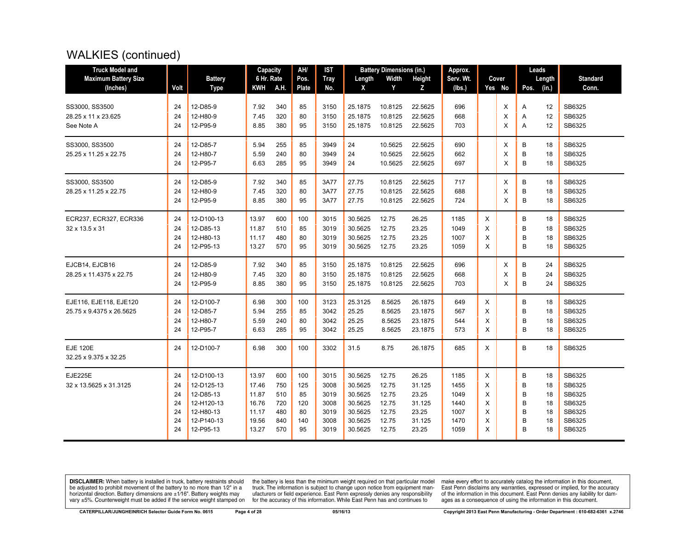## WALKIES (continued)

| <b>Truck Model and</b>      |      |                | Capacity   |      | AH/   | <b>IST</b>  |         | <b>Battery Dimensions (in.)</b> |         | Approx.   |          |        |      | Leads  |                 |
|-----------------------------|------|----------------|------------|------|-------|-------------|---------|---------------------------------|---------|-----------|----------|--------|------|--------|-----------------|
| <b>Maximum Battery Size</b> |      | <b>Battery</b> | 6 Hr. Rate |      | Pos.  | <b>Tray</b> | Length  | Width                           | Height  | Serv. Wt. |          | Cover  |      | Length | <b>Standard</b> |
| (Inches)                    | Volt | <b>Type</b>    | <b>KWH</b> | A.H. | Plate | No.         | X       | Y                               | Z       | (lbs.)    |          | Yes No | Pos. | (in.)  | Conn.           |
| SS3000, SS3500              | 24   | 12-D85-9       | 7.92       | 340  | 85    | 3150        | 25.1875 | 10.8125                         | 22.5625 | 696       |          | X      | Α    | 12     | SB6325          |
| 28.25 x 11 x 23.625         | 24   | 12-H80-9       | 7.45       | 320  | 80    | 3150        | 25.1875 | 10.8125                         | 22.5625 | 668       |          | X      | Α    | 12     | SB6325          |
| See Note A                  | 24   | 12-P95-9       | 8.85       | 380  | 95    | 3150        | 25.1875 | 10.8125                         | 22.5625 | 703       |          | X      | Α    | 12     | SB6325          |
|                             |      |                |            |      |       |             |         |                                 |         |           |          |        |      |        |                 |
| SS3000, SS3500              | 24   | 12-D85-7       | 5.94       | 255  | 85    | 3949        | 24      | 10.5625                         | 22.5625 | 690       |          | X      | B    | 18     | SB6325          |
| 25.25 x 11.25 x 22.75       | 24   | 12-H80-7       | 5.59       | 240  | 80    | 3949        | 24      | 10.5625                         | 22.5625 | 662       |          | Х      | В    | 18     | SB6325          |
|                             | 24   | 12-P95-7       | 6.63       | 285  | 95    | 3949        | 24      | 10.5625                         | 22.5625 | 697       |          | X      | B    | 18     | SB6325          |
| SS3000, SS3500              | 24   | 12-D85-9       | 7.92       | 340  | 85    | 3A77        | 27.75   | 10.8125                         | 22.5625 | 717       |          | X      | B    | 18     | SB6325          |
| 28.25 x 11.25 x 22.75       | 24   | 12-H80-9       | 7.45       | 320  | 80    | 3A77        | 27.75   | 10.8125                         | 22.5625 | 688       |          | X      | B    | 18     | SB6325          |
|                             | 24   | 12-P95-9       | 8.85       | 380  | 95    | 3A77        | 27.75   | 10.8125                         | 22.5625 | 724       |          | X      | B    | 18     | SB6325          |
| ECR237, ECR327, ECR336      | 24   | 12-D100-13     | 13.97      | 600  | 100   | 3015        | 30.5625 | 12.75                           | 26.25   | 1185      | X        |        | В    | 18     | SB6325          |
| 32 x 13.5 x 31              | 24   | 12-D85-13      | 11.87      | 510  | 85    | 3019        | 30.5625 | 12.75                           | 23.25   | 1049      | X        |        | B    | 18     | SB6325          |
|                             | 24   | 12-H80-13      | 11.17      | 480  | 80    | 3019        | 30.5625 | 12.75                           | 23.25   | 1007      | X        |        | B    | 18     | SB6325          |
|                             | 24   | 12-P95-13      | 13.27      | 570  | 95    | 3019        | 30.5625 | 12.75                           | 23.25   | 1059      | X        |        | B    | 18     | SB6325          |
| EJCB14, EJCB16              | 24   | 12-D85-9       | 7.92       | 340  | 85    | 3150        | 25.1875 | 10.8125                         | 22.5625 | 696       |          | Х      | В    | 24     | SB6325          |
| 28.25 x 11.4375 x 22.75     | 24   | 12-H80-9       | 7.45       | 320  | 80    | 3150        | 25.1875 | 10.8125                         | 22.5625 | 668       |          | X      | B    | 24     | SB6325          |
|                             | 24   | 12-P95-9       | 8.85       | 380  | 95    | 3150        | 25.1875 | 10.8125                         | 22.5625 | 703       |          | X      | B    | 24     | SB6325          |
| EJE116, EJE118, EJE120      | 24   | 12-D100-7      | 6.98       | 300  | 100   | 3123        | 25.3125 | 8.5625                          | 26.1875 | 649       | X        |        | B    | 18     | SB6325          |
| 25.75 x 9.4375 x 26.5625    | 24   | 12-D85-7       | 5.94       | 255  | 85    | 3042        | 25.25   | 8.5625                          | 23.1875 | 567       | X        |        | B    | 18     | SB6325          |
|                             | 24   | 12-H80-7       | 5.59       | 240  | 80    | 3042        | 25.25   | 8.5625                          | 23.1875 | 544       | X        |        | B    | 18     | SB6325          |
|                             | 24   | 12-P95-7       | 6.63       | 285  | 95    | 3042        | 25.25   | 8.5625                          | 23.1875 | 573       | $\times$ |        | B    | 18     | SB6325          |
| <b>EJE 120E</b>             | 24   | 12-D100-7      | 6.98       | 300  | 100   | 3302        | 31.5    | 8.75                            | 26.1875 | 685       | X        |        | B    | 18     | SB6325          |
| 32.25 x 9.375 x 32.25       |      |                |            |      |       |             |         |                                 |         |           |          |        |      |        |                 |
| <b>EJE225E</b>              | 24   | 12-D100-13     | 13.97      | 600  | 100   | 3015        | 30.5625 | 12.75                           | 26.25   | 1185      | X        |        | B    | 18     | SB6325          |
| 32 x 13.5625 x 31.3125      | 24   | 12-D125-13     | 17.46      | 750  | 125   | 3008        | 30.5625 | 12.75                           | 31.125  | 1455      | X        |        | B    | 18     | SB6325          |
|                             | 24   | 12-D85-13      | 11.87      | 510  | 85    | 3019        | 30.5625 | 12.75                           | 23.25   | 1049      | X        |        | B    | 18     | SB6325          |
|                             | 24   | 12-H120-13     | 16.76      | 720  | 120   | 3008        | 30.5625 | 12.75                           | 31.125  | 1440      | X        |        | B    | 18     | SB6325          |
|                             | 24   | 12-H80-13      | 11.17      | 480  | 80    | 3019        | 30.5625 | 12.75                           | 23.25   | 1007      | Χ        |        | B    | 18     | SB6325          |
|                             | 24   | 12-P140-13     | 19.56      | 840  | 140   | 3008        | 30.5625 | 12.75                           | 31.125  | 1470      | X        |        | B    | 18     | SB6325          |
|                             | 24   | 12-P95-13      | 13.27      | 570  | 95    | 3019        | 30.5625 | 12.75                           | 23.25   | 1059      | X        |        | B    | 18     | SB6325          |

**DISCLAIMER:** When battery is installed in truck, battery restraints should be adjusted to prohibit movement of the battery to no more than 1/2" in a be added in the behavior of the behavior of the behavior of the behavior of the behavior of the behavior of the behavior of the behavior of the service weight sharped on vary  $\pm$ 5%. Counterweight must be added if the ser

the battery is less than the minimum weight required on that particular model<br>truck. The information is subject to change upon notice from equipment man-<br>ufacturers or field experience. East Penn expressly denies any respo for the accuracy of this information. While East Penn has and continues to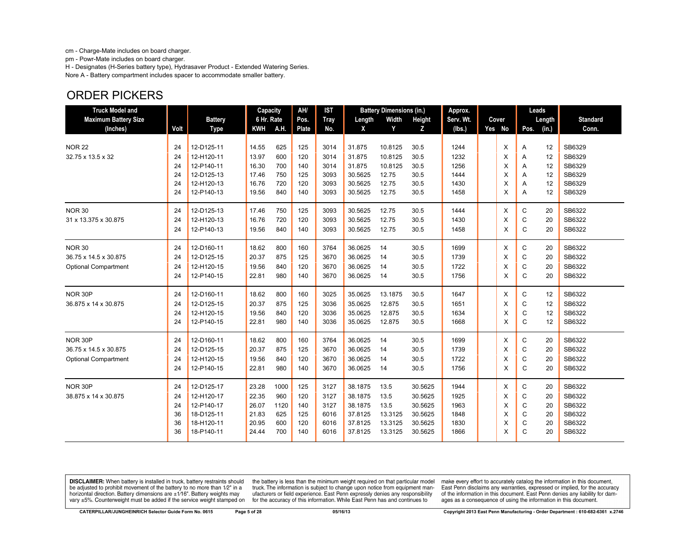cm - Charge-Mate includes on board charger.

pm - Powr-Mate includes on board charger.

H - Designates (H-Series battery type), Hydrasaver Product - Extended Watering Series. Nore A - Battery compartment includes spacer to accommodate smaller battery.

## ORDER PICKERS

| <b>Truck Model and</b>      |      |                | <b>Capacity</b> |      | AH/   | <b>IST</b>  |         | <b>Battery Dimensions (in.)</b> |               | Approx.   |          |              | Leads  |                 |
|-----------------------------|------|----------------|-----------------|------|-------|-------------|---------|---------------------------------|---------------|-----------|----------|--------------|--------|-----------------|
| <b>Maximum Battery Size</b> |      | <b>Battery</b> | 6 Hr. Rate      |      | Pos.  | <b>Tray</b> | Length  | Width                           | <b>Height</b> | Serv. Wt. | Cover    |              | Length | <b>Standard</b> |
| (Inches)                    | Volt | <b>Type</b>    | <b>KWH</b>      | A.H. | Plate | No.         | X       | Y                               | z             | (Ibs.)    | Yes No   | Pos.         | (in.)  | Conn.           |
|                             |      |                |                 |      |       |             |         |                                 |               |           |          |              |        |                 |
| <b>NOR 22</b>               | 24   | 12-D125-11     | 14.55           | 625  | 125   | 3014        | 31.875  | 10.8125                         | 30.5          | 1244      | X        | A            | 12     | SB6329          |
| 32.75 x 13.5 x 32           | 24   | 12-H120-11     | 13.97           | 600  | 120   | 3014        | 31.875  | 10.8125                         | 30.5          | 1232      | X        | Α            | 12     | SB6329          |
|                             | 24   | 12-P140-11     | 16.30           | 700  | 140   | 3014        | 31.875  | 10.8125                         | 30.5          | 1256      | X        | Α            | 12     | SB6329          |
|                             | 24   | 12-D125-13     | 17.46           | 750  | 125   | 3093        | 30.5625 | 12.75                           | 30.5          | 1444      | X        | A            | 12     | SB6329          |
|                             | 24   | 12-H120-13     | 16.76           | 720  | 120   | 3093        | 30.5625 | 12.75                           | 30.5          | 1430      | X        | A            | 12     | SB6329          |
|                             | 24   | 12-P140-13     | 19.56           | 840  | 140   | 3093        | 30.5625 | 12.75                           | 30.5          | 1458      | X        | A            | 12     | SB6329          |
| <b>NOR 30</b>               | 24   | 12-D125-13     | 17.46           | 750  | 125   | 3093        | 30.5625 | 12.75                           | 30.5          | 1444      | Χ        | C            | 20     | SB6322          |
| 31 x 13.375 x 30.875        | 24   | 12-H120-13     | 16.76           | 720  | 120   | 3093        | 30.5625 | 12.75                           | 30.5          | 1430      | X        | C            | 20     | SB6322          |
|                             | 24   | 12-P140-13     | 19.56           | 840  | 140   | 3093        | 30.5625 | 12.75                           | 30.5          | 1458      | $\times$ | $\mathsf{C}$ | 20     | SB6322          |
| <b>NOR 30</b>               | 24   | 12-D160-11     | 18.62           | 800  | 160   | 3764        | 36.0625 | 14                              | 30.5          | 1699      | X        | С            | 20     | SB6322          |
| 36.75 x 14.5 x 30.875       | 24   | 12-D125-15     | 20.37           | 875  | 125   | 3670        | 36.0625 | 14                              | 30.5          | 1739      | X        | C            | 20     | SB6322          |
| <b>Optional Compartment</b> | 24   | 12-H120-15     | 19.56           | 840  | 120   | 3670        | 36.0625 | 14                              | 30.5          | 1722      | $\times$ | C            | 20     | SB6322          |
|                             | 24   | 12-P140-15     | 22.81           | 980  | 140   | 3670        | 36.0625 | 14                              | 30.5          | 1756      | X        | $\mathsf{C}$ | 20     | SB6322          |
| NOR 30P                     | 24   | 12-D160-11     | 18.62           | 800  | 160   | 3025        | 35.0625 | 13.1875                         | 30.5          | 1647      | X        | $\mathbf C$  | 12     | SB6322          |
| 36.875 x 14 x 30.875        | 24   | 12-D125-15     | 20.37           | 875  | 125   | 3036        | 35.0625 | 12.875                          | 30.5          | 1651      | X        | C            | 12     | SB6322          |
|                             | 24   | 12-H120-15     | 19.56           | 840  | 120   | 3036        | 35.0625 | 12.875                          | 30.5          | 1634      | X        | $\mathsf{C}$ | 12     | SB6322          |
|                             | 24   | 12-P140-15     | 22.81           | 980  | 140   | 3036        | 35.0625 | 12.875                          | 30.5          | 1668      | X        | $\mathsf{C}$ | 12     | SB6322          |
| NOR 30P                     | 24   | 12-D160-11     | 18.62           | 800  | 160   | 3764        | 36.0625 | 14                              | 30.5          | 1699      | X        | C            | 20     | SB6322          |
| 36.75 x 14.5 x 30.875       | 24   | 12-D125-15     | 20.37           | 875  | 125   | 3670        | 36.0625 | 14                              | 30.5          | 1739      | X        | $\mathbf C$  | 20     | SB6322          |
| <b>Optional Compartment</b> | 24   | 12-H120-15     | 19.56           | 840  | 120   | 3670        | 36.0625 | 14                              | 30.5          | 1722      | X        | C            | 20     | SB6322          |
|                             | 24   | 12-P140-15     | 22.81           | 980  | 140   | 3670        | 36.0625 | 14                              | 30.5          | 1756      | X        | C            | 20     | SB6322          |
| NOR 30P                     | 24   | 12-D125-17     | 23.28           | 1000 | 125   | 3127        | 38.1875 | 13.5                            | 30.5625       | 1944      | Χ        | C            | 20     | SB6322          |
| 38.875 x 14 x 30.875        | 24   | 12-H120-17     | 22.35           | 960  | 120   | 3127        | 38.1875 | 13.5                            | 30.5625       | 1925      | X        | C            | 20     | SB6322          |
|                             | 24   | 12-P140-17     | 26.07           | 1120 | 140   | 3127        | 38.1875 | 13.5                            | 30.5625       | 1963      | X        | C            | 20     | SB6322          |
|                             | 36   | 18-D125-11     | 21.83           | 625  | 125   | 6016        | 37.8125 | 13.3125                         | 30.5625       | 1848      | X        | C            | 20     | SB6322          |
|                             | 36   | 18-H120-11     | 20.95           | 600  | 120   | 6016        | 37.8125 | 13.3125                         | 30.5625       | 1830      | X        | C            | 20     | SB6322          |
|                             | 36   | 18-P140-11     | 24.44           | 700  | 140   | 6016        | 37.8125 | 13.3125                         | 30.5625       | 1866      | X        | C            | 20     | SB6322          |

**DISCLAIMER:** When battery is installed in truck, battery restraints should be adjusted to prohibit movement of the battery to no more than 1/2" in a horizontal direction. Battery dimensions are  $\pm 1/16$ ". Battery weights may vary ±5%. Counterweight must be added if the service weight stamped on

the battery is less than the minimum weight required on that particular model<br>truck. The information is subject to change upon notice from equipment manutacturers or field experience. East Penn expressly denies any responsibility for the accuracy of this information. While East Penn has and continues to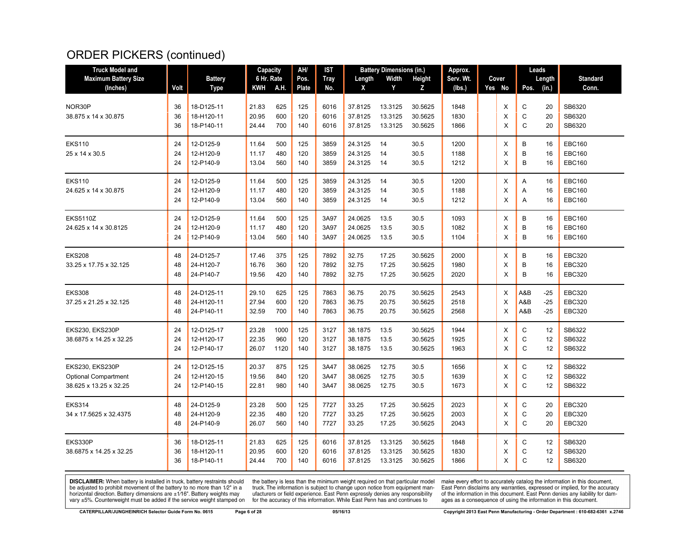## ORDER PICKERS (continued)

| <b>Truck Model and</b>          |          |                        | Capacity       |            | AH/        | IST          |                    | <b>Battery Dimensions (in.)</b> |              | Approx.      |          | Leads        |          |                                |
|---------------------------------|----------|------------------------|----------------|------------|------------|--------------|--------------------|---------------------------------|--------------|--------------|----------|--------------|----------|--------------------------------|
| <b>Maximum Battery Size</b>     |          | <b>Battery</b>         | 6 Hr. Rate     |            | Pos.       | <b>Tray</b>  | Length             | Width                           | Height       | Serv. Wt.    | Cover    |              | Length   | <b>Standard</b>                |
| (Inches)                        | Volt     | <b>Type</b>            | KWH            | A.H.       | Plate      | No.          | X                  | Y                               | z            | (lbs.)       | Yes No   | Pos. (in.)   |          | Conn.                          |
| NOR30P                          | 36       | 18-D125-11             | 21.83          | 625        | 125        | 6016         | 37.8125            | 13.3125                         | 30.5625      | 1848         | X        | C            | 20       | SB6320                         |
| 38.875 x 14 x 30.875            | 36       | 18-H120-11             | 20.95          | 600        | 120        | 6016         | 37.8125            | 13.3125                         | 30.5625      | 1830         | X        | C            | 20       | SB6320                         |
|                                 | 36       | 18-P140-11             | 24.44          | 700        | 140        | 6016         | 37.8125            | 13.3125                         | 30.5625      | 1866         | X        | C            | 20       | SB6320                         |
|                                 |          |                        |                |            |            |              |                    | 14                              |              |              |          | B            |          |                                |
| <b>EKS110</b><br>25 x 14 x 30.5 | 24<br>24 | 12-D125-9<br>12-H120-9 | 11.64<br>11.17 | 500<br>480 | 125<br>120 | 3859<br>3859 | 24.3125<br>24.3125 | 14                              | 30.5<br>30.5 | 1200<br>1188 | X<br>X   | B            | 16<br>16 | <b>EBC160</b><br><b>EBC160</b> |
|                                 | 24       | 12-P140-9              | 13.04          | 560        | 140        | 3859         | 24.3125            | 14                              | 30.5         | 1212         | X        | В            | 16       | <b>EBC160</b>                  |
| <b>EKS110</b>                   | 24       | 12-D125-9              | 11.64          | 500        | 125        | 3859         | 24.3125            | 14                              | 30.5         | 1200         | X        | A            | 16       | <b>EBC160</b>                  |
| 24.625 x 14 x 30.875            | 24       | 12-H120-9              | 11.17          | 480        | 120        | 3859         | 24.3125            | 14                              | 30.5         | 1188         | Χ        | Α            | 16       | <b>EBC160</b>                  |
|                                 | 24       | 12-P140-9              | 13.04          | 560        | 140        | 3859         | 24.3125            | 14                              | 30.5         | 1212         | X        | Α            | 16       | <b>EBC160</b>                  |
| <b>EKS5110Z</b>                 | 24       | 12-D125-9              | 11.64          | 500        | 125        | 3A97         | 24.0625            | 13.5                            | 30.5         | 1093         | Χ        | B            | 16       | <b>EBC160</b>                  |
| 24.625 x 14 x 30.8125           | 24       | 12-H120-9              | 11.17          | 480        | 120        | 3A97         | 24.0625            | 13.5                            | 30.5         | 1082         | X        | B            | 16       | <b>EBC160</b>                  |
|                                 | 24       | 12-P140-9              | 13.04          | 560        | 140        | 3A97         | 24.0625            | 13.5                            | 30.5         | 1104         | X        | B            | 16       | <b>EBC160</b>                  |
| <b>EKS208</b>                   | 48       | 24-D125-7              | 17.46          | 375        | 125        | 7892         | 32.75              | 17.25                           | 30.5625      | 2000         | X        | B            | 16       | <b>EBC320</b>                  |
| 33.25 x 17.75 x 32.125          | 48       | 24-H120-7              | 16.76          | 360        | 120        | 7892         | 32.75              | 17.25                           | 30.5625      | 1980         | X        | B            | 16       | <b>EBC320</b>                  |
|                                 | 48       | 24-P140-7              | 19.56          | 420        | 140        | 7892         | 32.75              | 17.25                           | 30.5625      | 2020         | $\times$ | B            | 16       | <b>EBC320</b>                  |
| <b>EKS308</b>                   | 48       | 24-D125-11             | 29.10          | 625        | 125        | 7863         | 36.75              | 20.75                           | 30.5625      | 2543         | X        | A&B          | $-25$    | <b>EBC320</b>                  |
| 37.25 x 21.25 x 32.125          | 48       | 24-H120-11             | 27.94          | 600        | 120        | 7863         | 36.75              | 20.75                           | 30.5625      | 2518         | X        | A&B          | $-25$    | <b>EBC320</b>                  |
|                                 | 48       | 24-P140-11             | 32.59          | 700        | 140        | 7863         | 36.75              | 20.75                           | 30.5625      | 2568         | X        | A&B          | $-25$    | <b>EBC320</b>                  |
| <b>EKS230, EKS230P</b>          | 24       | 12-D125-17             | 23.28          | 1000       | 125        | 3127         | 38.1875            | 13.5                            | 30.5625      | 1944         | Χ        | C            | 12       | SB6322                         |
| 38.6875 x 14.25 x 32.25         | 24       | 12-H120-17             | 22.35          | 960        | 120        | 3127         | 38.1875            | 13.5                            | 30.5625      | 1925         | X        | C            | 12       | SB6322                         |
|                                 | 24       | 12-P140-17             | 26.07          | 1120       | 140        | 3127         | 38.1875            | 13.5                            | 30.5625      | 1963         | X        | $\mathsf{C}$ | 12       | SB6322                         |
| <b>EKS230, EKS230P</b>          | 24       | 12-D125-15             | 20.37          | 875        | 125        | 3A47         | 38.0625            | 12.75                           | 30.5         | 1656         | X        | C            | 12       | SB6322                         |
| <b>Optional Compartment</b>     | 24       | 12-H120-15             | 19.56          | 840        | 120        | 3A47         | 38.0625            | 12.75                           | 30.5         | 1639         | X        | C            | 12       | SB6322                         |
| 38.625 x 13.25 x 32.25          | 24       | 12-P140-15             | 22.81          | 980        | 140        | 3A47         | 38.0625            | 12.75                           | 30.5         | 1673         | X        | $\mathsf{C}$ | 12       | SB6322                         |
| <b>EKS314</b>                   | 48       | 24-D125-9              | 23.28          | 500        | 125        | 7727         | 33.25              | 17.25                           | 30.5625      | 2023         | Х        | C            | 20       | <b>EBC320</b>                  |
| 34 x 17.5625 x 32.4375          | 48       | 24-H120-9              | 22.35          | 480        | 120        | 7727         | 33.25              | 17.25                           | 30.5625      | 2003         | X        | C            | 20       | <b>EBC320</b>                  |
|                                 | 48       | 24-P140-9              | 26.07          | 560        | 140        | 7727         | 33.25              | 17.25                           | 30.5625      | 2043         | X        | $\mathsf{C}$ | 20       | <b>EBC320</b>                  |
| EKS330P                         | 36       | 18-D125-11             | 21.83          | 625        | 125        | 6016         | 37.8125            | 13.3125                         | 30.5625      | 1848         | X        | C            | 12       | SB6320                         |
| 38.6875 x 14.25 x 32.25         | 36       | 18-H120-11             | 20.95          | 600        | 120        | 6016         | 37.8125            | 13.3125                         | 30.5625      | 1830         | X        | $\mathbf C$  | 12       | SB6320                         |
|                                 | 36       | 18-P140-11             | 24.44          | 700        | 140        | 6016         | 37.8125            | 13.3125                         | 30.5625      | 1866         | X        | $\mathsf{C}$ | 12       | SB6320                         |

**DISCLAIMER:** When battery is installed in truck, battery restraints should be adjusted to prohibit movement of the battery to no more than 1/2" in a be added in the behavior of the behavior of the behavior of the behavior of the behavior of the behavior of the behavior of the behavior of the service weight sharped on vary  $\pm$ 5%. Counterweight must be added if the ser

the battery is less than the minimum weight required on that particular model<br>truck. The information is subject to change upon notice from equipment man-<br>ufacturers or field experience. East Penn expressly denies any respo for the accuracy of this information. While East Penn has and continues to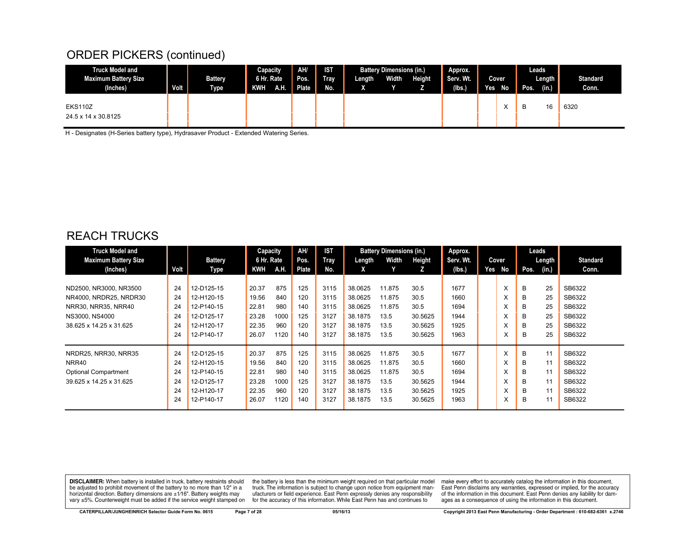#### ORDER PICKERS (continued)

| <b>Truck Model and</b>                  |      |                               | Capacity                 |     | AH/           | <b>IST</b>  |                        | <b>Battery Dimensions (in.)</b> |        | Approx.<br>Serv. Wt. |      |              | Leads |                 |                          |
|-----------------------------------------|------|-------------------------------|--------------------------|-----|---------------|-------------|------------------------|---------------------------------|--------|----------------------|------|--------------|-------|-----------------|--------------------------|
| <b>Maximum Battery Size</b><br>(Inches) | Volt | <b>Battery</b><br><b>Type</b> | 6 Hr. Rate<br><b>KWH</b> | AH. | Pos.<br>Plate | Tray<br>No. | Length<br>$\mathbf{v}$ | Width                           | Height | (Ibs.)               | Yes. | Cover<br>No  | Pos.  | Length<br>(in.) | <b>Standard</b><br>Conn. |
| <b>EKS110Z</b><br>24.5 x 14 x 30.8125   |      |                               |                          |     |               |             |                        |                                 |        |                      |      | $\cdot$<br>⌒ | B     | 16              | 6320                     |

H - Designates (H-Series battery type), Hydrasaver Product - Extended Watering Series.

#### REACH TRUCKS

| <b>Truck Model and</b><br><b>Maximum Battery Size</b> |      | <b>Battery</b> | Capacity<br>6 Hr. Rate |      | AH/<br>Pos. | IST<br>Tray | Length  | <b>Battery Dimensions (in.)</b><br>Width | Height  | Approx.<br>Serv. Wt. |     | Cover |      | Leads<br>Length | <b>Standard</b> |
|-------------------------------------------------------|------|----------------|------------------------|------|-------------|-------------|---------|------------------------------------------|---------|----------------------|-----|-------|------|-----------------|-----------------|
| (Inches)                                              | Volt | Type           | KWH                    | A.H. | Plate       | No.         | X       |                                          | z       | (lbs.)               | Yes | No    | Pos. | (in.)           | Conn.           |
|                                                       |      |                |                        |      |             |             |         |                                          |         |                      |     |       |      |                 |                 |
| ND2500, NR3000, NR3500                                | 24   | 12-D125-15     | 20.37                  | 875  | 125         | 3115        | 38.0625 | 11.875                                   | 30.5    | 1677                 |     | X     | B    | 25              | SB6322          |
| NR4000, NRDR25, NRDR30                                | 24   | 12-H120-15     | 19.56                  | 840  | 120         | 3115        | 38.0625 | 11.875                                   | 30.5    | 1660                 |     | X     | B    | 25              | SB6322          |
| NRR30, NRR35, NRR40                                   | 24   | 12-P140-15     | 22.81                  | 980  | 140         | 3115        | 38.0625 | 11.875                                   | 30.5    | 1694                 |     | X     | B    | 25              | SB6322          |
| NS3000, NS4000                                        | 24   | 12-D125-17     | 23.28                  | 1000 | 125         | 3127        | 38.1875 | 13.5                                     | 30.5625 | 1944                 |     | X     | B    | 25              | SB6322          |
| 38.625 x 14.25 x 31.625                               | 24   | 12-H120-17     | 22.35                  | 960  | 120         | 3127        | 38.1875 | 13.5                                     | 30.5625 | 1925                 |     | X     | B    | 25              | SB6322          |
|                                                       | 24   | 12-P140-17     | 26.07                  | 1120 | 140         | 3127        | 38.1875 | 13.5                                     | 30.5625 | 1963                 |     | ᄉ     | B    | 25              | SB6322          |
| NRDR25, NRR30, NRR35                                  | 24   | 12-D125-15     | 20.37                  | 875  | 125         | 3115        | 38.0625 | 11.875                                   | 30.5    | 1677                 |     | X     | B    | 11              | SB6322          |
| NRR40                                                 | 24   | 12-H120-15     | 19.56                  | 840  | 120         | 3115        | 38.0625 | 11.875                                   | 30.5    | 1660                 |     | X     | B    | 11              | SB6322          |
| <b>Optional Compartment</b>                           | 24   | 12-P140-15     | 22.81                  | 980  | 140         | 3115        | 38.0625 | 11.875                                   | 30.5    | 1694                 |     | X     | B    | 11              | SB6322          |
| 39.625 x 14.25 x 31.625                               | 24   | 12-D125-17     | 23.28                  | 1000 | 125         | 3127        | 38.1875 | 13.5                                     | 30.5625 | 1944                 |     | X     | B    | 11              | SB6322          |
|                                                       | 24   | 12-H120-17     | 22.35                  | 960  | 120         | 3127        | 38.1875 | 13.5                                     | 30.5625 | 1925                 |     | X     | B    | 11              | SB6322          |
|                                                       | 24   | 12-P140-17     | 26.07                  | 1120 | 140         | 3127        | 38.1875 | 13.5                                     | 30.5625 | 1963                 |     | X     | B    | 11              | SB6322          |

**DISCLAIMER:** When battery is installed in truck, battery restraints should be adjusted to prohibit movement of the battery to no more than 1/2" in a horizontal direction. Battery dimensions are ±1/16". Battery weights may vary ±5%. Counterweight must be added if the service weight stamped on

the battery is less than the minimum weight required on that particular model<br>truck. The information is subject to change upon notice from equipment manufacturers or field experience. East Penn expressly denies any responsibility for the accuracy of this information. While East Penn has and continues to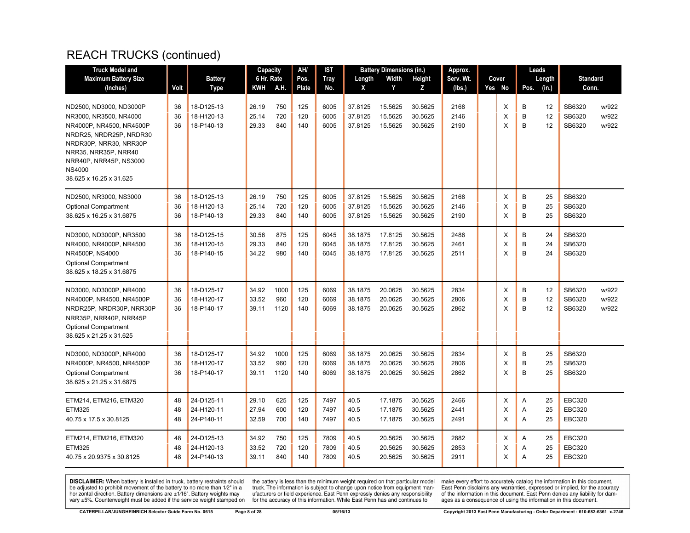| <b>Truck Model and</b>                                                                                                                                                                                |                      |                                                      | Capacity                         |                          | AH/                      | IST                          |                                          | <b>Battery Dimensions (in.)</b>          |                                          | Approx.                      |                  |                  | Leads                |                                                 |                         |
|-------------------------------------------------------------------------------------------------------------------------------------------------------------------------------------------------------|----------------------|------------------------------------------------------|----------------------------------|--------------------------|--------------------------|------------------------------|------------------------------------------|------------------------------------------|------------------------------------------|------------------------------|------------------|------------------|----------------------|-------------------------------------------------|-------------------------|
| <b>Maximum Battery Size</b>                                                                                                                                                                           |                      | <b>Battery</b>                                       | 6 Hr. Rate                       |                          | Pos.                     | <b>Tray</b>                  | Length                                   | Width                                    | Height                                   | Serv. Wt.                    | Cover            |                  | Length               | <b>Standard</b>                                 |                         |
| (Inches)                                                                                                                                                                                              | Volt                 | Type                                                 | KWH                              | A.H.                     | Plate                    | No.                          | X                                        | Y                                        | Z                                        | (lbs.)                       | Yes No           | Pos.             | (in.)                | Conn.                                           |                         |
| ND2500, ND3000, ND3000P<br>NR3000, NR3500, NR4000<br>NR4000P, NR4500, NR4500P<br>NRDR25, NRDR25P, NRDR30<br>NRDR30P, NRR30, NRR30P<br>NRR35, NRR35P, NRR40<br>NRR40P, NRR45P, NS3000<br><b>NS4000</b> | 36<br>36<br>36       | 18-D125-13<br>18-H120-13<br>18-P140-13               | 26.19<br>25.14<br>29.33          | 750<br>720<br>840        | 125<br>120<br>140        | 6005<br>6005<br>6005         | 37.8125<br>37.8125<br>37.8125            | 15.5625<br>15.5625<br>15.5625            | 30.5625<br>30.5625<br>30.5625            | 2168<br>2146<br>2190         | Χ<br>X<br>X      | B<br>B<br>B      | 12<br>12<br>12       | SB6320<br>SB6320<br>SB6320                      | w/922<br>w/922<br>w/922 |
| 38.625 x 16.25 x 31.625<br>ND2500, NR3000, NS3000<br><b>Optional Compartment</b>                                                                                                                      | 36<br>36             | 18-D125-13<br>18-H120-13                             | 26.19<br>25.14                   | 750<br>720               | 125<br>120               | 6005<br>6005                 | 37.8125<br>37.8125                       | 15.5625<br>15.5625                       | 30.5625<br>30.5625                       | 2168<br>2146                 | Χ<br>X           | B<br>B           | 25<br>25             | SB6320<br>SB6320                                |                         |
| 38.625 x 16.25 x 31.6875<br>ND3000, ND3000P, NR3500<br>NR4000, NR4000P, NR4500<br>NR4500P, NS4000<br><b>Optional Compartment</b><br>38.625 x 18.25 x 31.6875                                          | 36<br>36<br>36<br>36 | 18-P140-13<br>18-D125-15<br>18-H120-15<br>18-P140-15 | 29.33<br>30.56<br>29.33<br>34.22 | 840<br>875<br>840<br>980 | 140<br>125<br>120<br>140 | 6005<br>6045<br>6045<br>6045 | 37.8125<br>38.1875<br>38.1875<br>38.1875 | 15.5625<br>17.8125<br>17.8125<br>17.8125 | 30.5625<br>30.5625<br>30.5625<br>30.5625 | 2190<br>2486<br>2461<br>2511 | X<br>Χ<br>X<br>X | B<br>B<br>B<br>B | 25<br>24<br>24<br>24 | SB6320<br>SB6320<br>SB6320<br>SB6320            |                         |
| ND3000, ND3000P, NR4000<br>NR4000P, NR4500, NR4500P<br>NRDR25P, NRDR30P, NRR30P<br>NRR35P, NRR40P, NRR45P<br><b>Optional Compartment</b><br>38.625 x 21.25 x 31.625                                   | 36<br>36<br>36       | 18-D125-17<br>18-H120-17<br>18-P140-17               | 34.92<br>33.52<br>39.11          | 1000<br>960<br>1120      | 125<br>120<br>140        | 6069<br>6069<br>6069         | 38.1875<br>38.1875<br>38.1875            | 20.0625<br>20.0625<br>20.0625            | 30.5625<br>30.5625<br>30.5625            | 2834<br>2806<br>2862         | X<br>X<br>X      | B<br>B<br>B      | 12<br>12<br>12       | SB6320<br>SB6320<br>SB6320                      | w/922<br>w/922<br>w/922 |
| ND3000, ND3000P, NR4000<br>NR4000P, NR4500, NR4500P<br><b>Optional Compartment</b><br>38.625 x 21.25 x 31.6875                                                                                        | 36<br>36<br>36       | 18-D125-17<br>18-H120-17<br>18-P140-17               | 34.92<br>33.52<br>39.11          | 1000<br>960<br>1120      | 125<br>120<br>140        | 6069<br>6069<br>6069         | 38.1875<br>38.1875<br>38.1875            | 20.0625<br>20.0625<br>20.0625            | 30.5625<br>30.5625<br>30.5625            | 2834<br>2806<br>2862         | X<br>X<br>X      | B<br>B<br>B      | 25<br>25<br>25       | SB6320<br>SB6320<br>SB6320                      |                         |
| ETM214, ETM216, ETM320<br><b>ETM325</b><br>40.75 x 17.5 x 30.8125                                                                                                                                     | 48<br>48<br>48       | 24-D125-11<br>24-H120-11<br>24-P140-11               | 29.10<br>27.94<br>32.59          | 625<br>600<br>700        | 125<br>120<br>140        | 7497<br>7497<br>7497         | 40.5<br>40.5<br>40.5                     | 17.1875<br>17.1875<br>17.1875            | 30.5625<br>30.5625<br>30.5625            | 2466<br>2441<br>2491         | X<br>X<br>X      | A<br>Α<br>A      | 25<br>25<br>25       | <b>EBC320</b><br><b>EBC320</b><br><b>EBC320</b> |                         |
| ETM214, ETM216, ETM320<br><b>ETM325</b><br>40.75 x 20.9375 x 30.8125                                                                                                                                  | 48<br>48<br>48       | 24-D125-13<br>24-H120-13<br>24-P140-13               | 34.92<br>33.52<br>39.11          | 750<br>720<br>840        | 125<br>120<br>140        | 7809<br>7809<br>7809         | 40.5<br>40.5<br>40.5                     | 20.5625<br>20.5625<br>20.5625            | 30.5625<br>30.5625<br>30.5625            | 2882<br>2853<br>2911         | X<br>X<br>X      | A<br>A<br>A      | 25<br>25<br>25       | <b>EBC320</b><br><b>EBC320</b><br><b>EBC320</b> |                         |

**DISCLAIMER:** When battery is installed in truck, battery restraints should be adjusted to prohibit movement of the battery to no more than 1/2" in a be added in the behavior of the behavior of the behavior of the behavior of the behavior of the behavior of the behavior of the behavior of the service weight sharped on vary  $\pm$ 5%. Counterweight must be added if the ser

the battery is less than the minimum weight required on that particular model<br>truck. The information is subject to change upon notice from equipment man-<br>ufacturers or field experience. East Penn expressly denies any respo for the accuracy of this information. While East Penn has and continues to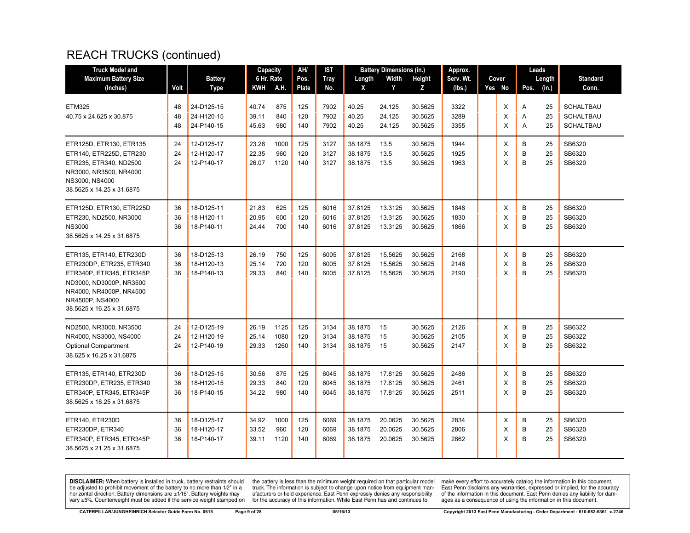| <b>Truck Model and</b>                                                                                                                                                                |                |                                        | Capacity                |                      | AH/               | IST                  |                               | <b>Battery Dimensions (in.)</b> |                               | Approx.              |             | Leads       |                |                                                          |
|---------------------------------------------------------------------------------------------------------------------------------------------------------------------------------------|----------------|----------------------------------------|-------------------------|----------------------|-------------------|----------------------|-------------------------------|---------------------------------|-------------------------------|----------------------|-------------|-------------|----------------|----------------------------------------------------------|
| <b>Maximum Battery Size</b>                                                                                                                                                           |                | <b>Battery</b>                         | 6 Hr. Rate              |                      | Pos.              | <b>Tray</b>          | Length                        | Width                           | Height                        | Serv. Wt.            | Cover       |             | Length         | <b>Standard</b>                                          |
| (Inches)                                                                                                                                                                              | Volt           | Type                                   | KWH                     | A.H.                 | Plate             | No.                  | X                             | Y                               | Z                             | (lbs.)               | Yes No      | Pos.        | (in.)          | Conn.                                                    |
| <b>ETM325</b><br>40.75 x 24.625 x 30.875                                                                                                                                              | 48<br>48<br>48 | 24-D125-15<br>24-H120-15<br>24-P140-15 | 40.74<br>39.11<br>45.63 | 875<br>840<br>980    | 125<br>120<br>140 | 7902<br>7902<br>7902 | 40.25<br>40.25<br>40.25       | 24.125<br>24.125<br>24.125      | 30.5625<br>30.5625<br>30.5625 | 3322<br>3289<br>3355 | X<br>X<br>X | Α<br>Α<br>A | 25<br>25<br>25 | <b>SCHALTBAU</b><br><b>SCHALTBAU</b><br><b>SCHALTBAU</b> |
| ETR125D, ETR130, ETR135<br>ETR140, ETR225D, ETR230<br>ETR235, ETR340, ND2500<br>NR3000, NR3500, NR4000<br>NS3000, NS4000<br>38.5625 x 14.25 x 31.6875                                 | 24<br>24<br>24 | 12-D125-17<br>12-H120-17<br>12-P140-17 | 23.28<br>22.35<br>26.07 | 1000<br>960<br>1120  | 125<br>120<br>140 | 3127<br>3127<br>3127 | 38.1875<br>38.1875<br>38.1875 | 13.5<br>13.5<br>13.5            | 30.5625<br>30.5625<br>30.5625 | 1944<br>1925<br>1963 | Х<br>X<br>X | B<br>B<br>B | 25<br>25<br>25 | SB6320<br>SB6320<br>SB6320                               |
| ETR125D, ETR130, ETR225D<br>ETR230, ND2500, NR3000<br><b>NS3000</b><br>38.5625 x 14.25 x 31.6875                                                                                      | 36<br>36<br>36 | 18-D125-11<br>18-H120-11<br>18-P140-11 | 21.83<br>20.95<br>24.44 | 625<br>600<br>700    | 125<br>120<br>140 | 6016<br>6016<br>6016 | 37.8125<br>37.8125<br>37.8125 | 13.3125<br>13.3125<br>13.3125   | 30.5625<br>30.5625<br>30.5625 | 1848<br>1830<br>1866 | X<br>X<br>X | B<br>B<br>B | 25<br>25<br>25 | SB6320<br>SB6320<br>SB6320                               |
| ETR135, ETR140, ETR230D<br>ETR230DP, ETR235, ETR340<br>ETR340P, ETR345, ETR345P<br>ND3000, ND3000P, NR3500<br>NR4000, NR4000P, NR4500<br>NR4500P, NS4000<br>38.5625 x 16.25 x 31.6875 | 36<br>36<br>36 | 18-D125-13<br>18-H120-13<br>18-P140-13 | 26.19<br>25.14<br>29.33 | 750<br>720<br>840    | 125<br>120<br>140 | 6005<br>6005<br>6005 | 37.8125<br>37.8125<br>37.8125 | 15.5625<br>15.5625<br>15.5625   | 30.5625<br>30.5625<br>30.5625 | 2168<br>2146<br>2190 | Х<br>X<br>X | B<br>B<br>B | 25<br>25<br>25 | SB6320<br>SB6320<br>SB6320                               |
| ND2500, NR3000, NR3500<br>NR4000, NS3000, NS4000<br><b>Optional Compartment</b><br>38.625 x 16.25 x 31.6875                                                                           | 24<br>24<br>24 | 12-D125-19<br>12-H120-19<br>12-P140-19 | 26.19<br>25.14<br>29.33 | 1125<br>1080<br>1260 | 125<br>120<br>140 | 3134<br>3134<br>3134 | 38.1875<br>38.1875<br>38.1875 | 15<br>15<br>15                  | 30.5625<br>30.5625<br>30.5625 | 2126<br>2105<br>2147 | X<br>X<br>X | B<br>B<br>B | 25<br>25<br>25 | SB6322<br>SB6322<br>SB6322                               |
| ETR135, ETR140, ETR230D<br>ETR230DP, ETR235, ETR340<br>ETR340P, ETR345, ETR345P<br>38.5625 x 18.25 x 31.6875                                                                          | 36<br>36<br>36 | 18-D125-15<br>18-H120-15<br>18-P140-15 | 30.56<br>29.33<br>34.22 | 875<br>840<br>980    | 125<br>120<br>140 | 6045<br>6045<br>6045 | 38.1875<br>38.1875<br>38.1875 | 17.8125<br>17.8125<br>17.8125   | 30.5625<br>30.5625<br>30.5625 | 2486<br>2461<br>2511 | х<br>X<br>X | B<br>B<br>B | 25<br>25<br>25 | SB6320<br>SB6320<br>SB6320                               |
| ETR140, ETR230D<br>ETR230DP, ETR340<br>ETR340P, ETR345, ETR345P<br>38.5625 x 21.25 x 31.6875                                                                                          | 36<br>36<br>36 | 18-D125-17<br>18-H120-17<br>18-P140-17 | 34.92<br>33.52<br>39.11 | 1000<br>960<br>1120  | 125<br>120<br>140 | 6069<br>6069<br>6069 | 38.1875<br>38.1875<br>38.1875 | 20.0625<br>20.0625<br>20.0625   | 30.5625<br>30.5625<br>30.5625 | 2834<br>2806<br>2862 | X<br>Х<br>X | B<br>B<br>B | 25<br>25<br>25 | SB6320<br>SB6320<br>SB6320                               |

**DISCLAIMER:** When battery is installed in truck, battery restraints should be adjusted to prohibit movement of the battery to no more than 1/2" in a be added in the behavior of the behavior of the behavior of the behavior of the behavior of the behavior of the behavior of the behavior of the service weight sharped on vary  $\pm$ 5%. Counterweight must be added if the ser

the battery is less than the minimum weight required on that particular model<br>truck. The information is subject to change upon notice from equipment man-<br>ufacturers or field experience. East Penn expressly denies any respo for the accuracy of this information. While East Penn has and continues to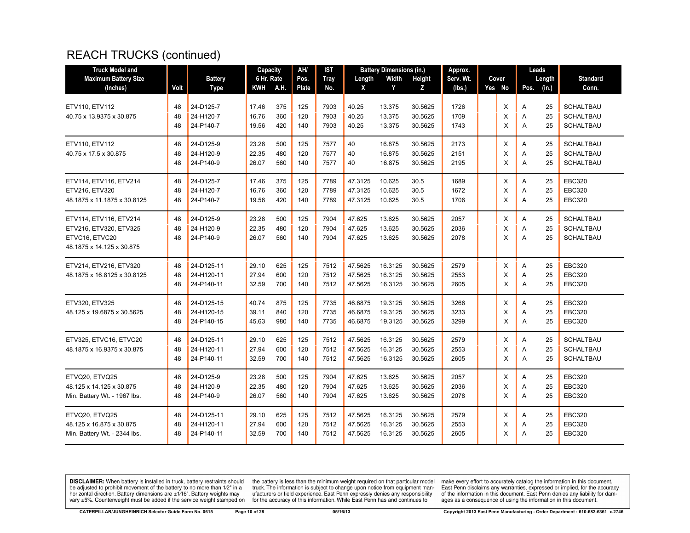| <b>Truck Model and</b>                                                                          |                |                                        | Capacity                |                   | AH/               | IST                  |                               | <b>Battery Dimensions (in.)</b> |                               | Approx.              |             | Leads       |                |                                                          |
|-------------------------------------------------------------------------------------------------|----------------|----------------------------------------|-------------------------|-------------------|-------------------|----------------------|-------------------------------|---------------------------------|-------------------------------|----------------------|-------------|-------------|----------------|----------------------------------------------------------|
| <b>Maximum Battery Size</b>                                                                     |                | <b>Battery</b>                         | 6 Hr. Rate              |                   | Pos.              | <b>Tray</b>          | Length                        | Width                           | Height                        | Serv. Wt.            | Cover       |             | Length         | <b>Standard</b>                                          |
| (Inches)                                                                                        | Volt           | <b>Type</b>                            | KWH                     | A.H.              | Plate             | No.                  | X                             | Y                               | z                             | (lbs.)               | Yes No      | Pos.        | (in.)          | Conn.                                                    |
| ETV110, ETV112<br>40.75 x 13.9375 x 30.875                                                      | 48<br>48<br>48 | 24-D125-7<br>24-H120-7<br>24-P140-7    | 17.46<br>16.76<br>19.56 | 375<br>360<br>420 | 125<br>120<br>140 | 7903<br>7903<br>7903 | 40.25<br>40.25<br>40.25       | 13.375<br>13.375<br>13.375      | 30.5625<br>30.5625<br>30.5625 | 1726<br>1709<br>1743 | X<br>X<br>X | Α<br>Α<br>Α | 25<br>25<br>25 | <b>SCHALTBAU</b><br><b>SCHALTBAU</b><br><b>SCHALTBAU</b> |
| ETV110. ETV112<br>40.75 x 17.5 x 30.875                                                         | 48<br>48<br>48 | 24-D125-9<br>24-H120-9<br>24-P140-9    | 23.28<br>22.35<br>26.07 | 500<br>480<br>560 | 125<br>120<br>140 | 7577<br>7577<br>7577 | 40<br>40<br>40                | 16.875<br>16.875<br>16.875      | 30.5625<br>30.5625<br>30.5625 | 2173<br>2151<br>2195 | X<br>X<br>X | Α<br>Α<br>Α | 25<br>25<br>25 | <b>SCHALTBAU</b><br><b>SCHALTBAU</b><br><b>SCHALTBAU</b> |
| ETV114, ETV116, ETV214<br>ETV216, ETV320<br>48.1875 x 11.1875 x 30.8125                         | 48<br>48<br>48 | 24-D125-7<br>24-H120-7<br>24-P140-7    | 17.46<br>16.76<br>19.56 | 375<br>360<br>420 | 125<br>120<br>140 | 7789<br>7789<br>7789 | 47.3125<br>47.3125<br>47.3125 | 10.625<br>10.625<br>10.625      | 30.5<br>30.5<br>30.5          | 1689<br>1672<br>1706 | X<br>X<br>X | Α<br>Α<br>A | 25<br>25<br>25 | <b>EBC320</b><br><b>EBC320</b><br><b>EBC320</b>          |
| ETV114, ETV116, ETV214<br>ETV216, ETV320, ETV325<br>ETVC16, ETVC20<br>48.1875 x 14.125 x 30.875 | 48<br>48<br>48 | 24-D125-9<br>24-H120-9<br>24-P140-9    | 23.28<br>22.35<br>26.07 | 500<br>480<br>560 | 125<br>120<br>140 | 7904<br>7904<br>7904 | 47.625<br>47.625<br>47.625    | 13.625<br>13.625<br>13.625      | 30.5625<br>30.5625<br>30.5625 | 2057<br>2036<br>2078 | X<br>X<br>X | A<br>Α<br>A | 25<br>25<br>25 | <b>SCHALTBAU</b><br><b>SCHALTBAU</b><br><b>SCHALTBAU</b> |
| ETV214, ETV216, ETV320<br>48.1875 x 16.8125 x 30.8125                                           | 48<br>48<br>48 | 24-D125-11<br>24-H120-11<br>24-P140-11 | 29.10<br>27.94<br>32.59 | 625<br>600<br>700 | 125<br>120<br>140 | 7512<br>7512<br>7512 | 47.5625<br>47.5625<br>47.5625 | 16.3125<br>16.3125<br>16.3125   | 30.5625<br>30.5625<br>30.5625 | 2579<br>2553<br>2605 | Χ<br>X<br>X | Α<br>Α<br>A | 25<br>25<br>25 | <b>EBC320</b><br><b>EBC320</b><br><b>EBC320</b>          |
| ETV320, ETV325<br>48.125 x 19.6875 x 30.5625                                                    | 48<br>48<br>48 | 24-D125-15<br>24-H120-15<br>24-P140-15 | 40.74<br>39.11<br>45.63 | 875<br>840<br>980 | 125<br>120<br>140 | 7735<br>7735<br>7735 | 46.6875<br>46.6875<br>46.6875 | 19.3125<br>19.3125<br>19.3125   | 30.5625<br>30.5625<br>30.5625 | 3266<br>3233<br>3299 | X<br>X<br>X | Α<br>Α<br>Α | 25<br>25<br>25 | <b>EBC320</b><br><b>EBC320</b><br><b>EBC320</b>          |
| ETV325, ETVC16, ETVC20<br>48.1875 x 16.9375 x 30.875                                            | 48<br>48<br>48 | 24-D125-11<br>24-H120-11<br>24-P140-11 | 29.10<br>27.94<br>32.59 | 625<br>600<br>700 | 125<br>120<br>140 | 7512<br>7512<br>7512 | 47.5625<br>47.5625<br>47.5625 | 16.3125<br>16.3125<br>16.3125   | 30.5625<br>30.5625<br>30.5625 | 2579<br>2553<br>2605 | X<br>X<br>X | A<br>Α<br>Α | 25<br>25<br>25 | <b>SCHALTBAU</b><br><b>SCHALTBAU</b><br><b>SCHALTBAU</b> |
| ETVQ20, ETVQ25<br>48.125 x 14.125 x 30.875<br>Min. Battery Wt. - 1967 lbs.                      | 48<br>48<br>48 | 24-D125-9<br>24-H120-9<br>24-P140-9    | 23.28<br>22.35<br>26.07 | 500<br>480<br>560 | 125<br>120<br>140 | 7904<br>7904<br>7904 | 47.625<br>47.625<br>47.625    | 13.625<br>13.625<br>13.625      | 30.5625<br>30.5625<br>30.5625 | 2057<br>2036<br>2078 | X<br>X<br>X | A<br>Α<br>Α | 25<br>25<br>25 | <b>EBC320</b><br><b>EBC320</b><br><b>EBC320</b>          |
| ETVQ20, ETVQ25<br>48.125 x 16.875 x 30.875<br>Min. Battery Wt. - 2344 lbs.                      | 48<br>48<br>48 | 24-D125-11<br>24-H120-11<br>24-P140-11 | 29.10<br>27.94<br>32.59 | 625<br>600<br>700 | 125<br>120<br>140 | 7512<br>7512<br>7512 | 47.5625<br>47.5625<br>47.5625 | 16.3125<br>16.3125<br>16.3125   | 30.5625<br>30.5625<br>30.5625 | 2579<br>2553<br>2605 | Х<br>X<br>X | Α<br>Α<br>A | 25<br>25<br>25 | <b>EBC320</b><br><b>EBC320</b><br><b>EBC320</b>          |

**DISCLAIMER:** When battery is installed in truck, battery restraints should be adjusted to prohibit movement of the battery to no more than 1/2" in a be added in the behavior of the behavior of the behavior of the behavior of the behavior of the behavior of the behavior of the behavior of the service weight sharped on vary  $\pm$ 5%. Counterweight must be added if the ser

the battery is less than the minimum weight required on that particular model<br>truck. The information is subject to change upon notice from equipment man-<br>ufacturers or field experience. East Penn expressly denies any respo for the accuracy of this information. While East Penn has and continues to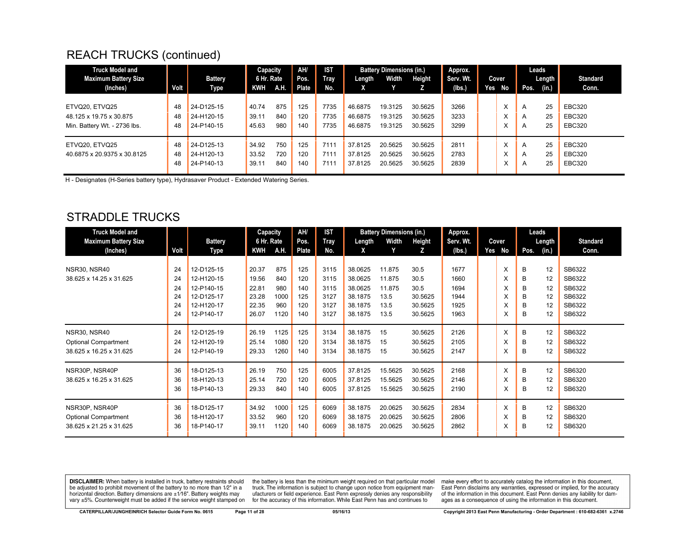| <b>Truck Model and</b>       |      |                | Capacity   |      | AH/   | <b>IST</b>  |         | <b>Battery Dimensions (in.)</b> |         | Approx.   |     |           |                | Leads  |                 |
|------------------------------|------|----------------|------------|------|-------|-------------|---------|---------------------------------|---------|-----------|-----|-----------|----------------|--------|-----------------|
| <b>Maximum Battery Size</b>  |      | <b>Battery</b> | 6 Hr. Rate |      | Pos.  | <b>Tray</b> | Length  | Width                           | Height  | Serv. Wt. |     | Cover     |                | Length | <b>Standard</b> |
| (Inches)                     | Volt | Type           | KWH        | A.H. | Plate | No.         | x       |                                 |         | (lbs.)    | Yes | No        | Pos.           | (in.)  | Conn.           |
|                              |      |                |            |      |       |             |         |                                 |         |           |     |           |                |        |                 |
| ETVQ20, ETVQ25               | 48   | 24-D125-15     | 40.74      | 875  | 125   | 7735        | 46.6875 | 19.3125                         | 30.5625 | 3266      |     | л.        | $\overline{A}$ | 25     | <b>EBC320</b>   |
| 48.125 x 19.75 x 30.875      | 48   | 24-H120-15     | 39.11      | 840  | 120   | 7735        | 46.6875 | 19.3125                         | 30.5625 | 3233      |     | $\lambda$ | A              | 25     | <b>EBC320</b>   |
| Min. Battery Wt. - 2736 lbs. | 48   | 24-P140-15     | 45.63      | 980  | 140   | 7735        | 46.6875 | 19.3125                         | 30.5625 | 3299      |     | л.        | A              | 25     | <b>EBC320</b>   |
|                              |      |                |            |      |       |             |         |                                 |         |           |     |           |                |        |                 |
| ETVQ20. ETVQ25               | 48   | 24-D125-13     | 34.92      | 750  | 125   | 7111        | 37.8125 | 20.5625                         | 30.5625 | 2811      |     | ᄉ         | $\overline{A}$ | 25     | <b>EBC320</b>   |
| 40.6875 x 20.9375 x 30.8125  | 48   | 24-H120-13     | 33.52      | 720  | 120   | 7111        | 37.8125 | 20.5625                         | 30.5625 | 2783      |     | л.        | A              | 25     | <b>EBC320</b>   |
|                              | 48   | 24-P140-13     | 39.11      | 840  | 140   | 7111        | 37.8125 | 20.5625                         | 30.5625 | 2839      |     | л.        | A              | 25     | <b>EBC320</b>   |

H - Designates (H-Series battery type), Hydrasaver Product - Extended Watering Series.

#### STRADDLE TRUCKS

| <b>Truck Model and</b>      |      |                | Capacity   |      | AH/   | <b>IST</b> |         | <b>Battery Dimensions (in.)</b> |         | Approx.   |        | Leads         |    |                 |
|-----------------------------|------|----------------|------------|------|-------|------------|---------|---------------------------------|---------|-----------|--------|---------------|----|-----------------|
| <b>Maximum Battery Size</b> |      | <b>Battery</b> | 6 Hr. Rate |      | Pos.  | Tray       | Length  | Width                           | Height  | Serv. Wt. | Cover  | Length        |    | <b>Standard</b> |
| (Inches)                    | Volt | Type           | <b>KWH</b> | A.H. | Plate | No.        | X       | Y                               | z       | (Ibs.)    | Yes No | Pos.<br>(in.) |    | Conn.           |
|                             |      |                |            |      |       |            |         |                                 |         |           |        |               |    |                 |
| <b>NSR30, NSR40</b>         | 24   | 12-D125-15     | 20.37      | 875  | 125   | 3115       | 38.0625 | 11.875                          | 30.5    | 1677      | X      | B             | 12 | SB6322          |
| 38.625 x 14.25 x 31.625     | 24   | 12-H120-15     | 19.56      | 840  | 120   | 3115       | 38.0625 | 11.875                          | 30.5    | 1660      | X      | B             | 12 | SB6322          |
|                             | 24   | 12-P140-15     | 22.81      | 980  | 140   | 3115       | 38.0625 | 11.875                          | 30.5    | 1694      | X      | В             | 12 | SB6322          |
|                             | 24   | 12-D125-17     | 23.28      | 1000 | 125   | 3127       | 38.1875 | 13.5                            | 30.5625 | 1944      | X      | В             | 12 | SB6322          |
|                             | 24   | 12-H120-17     | 22.35      | 960  | 120   | 3127       | 38.1875 | 13.5                            | 30.5625 | 1925      | x      | B             | 12 | SB6322          |
|                             | 24   | 12-P140-17     | 26.07      | 1120 | 140   | 3127       | 38.1875 | 13.5                            | 30.5625 | 1963      | X      | B             | 12 | SB6322          |
| NSR30, NSR40                | 24   | 12-D125-19     | 26.19      | 1125 | 125   | 3134       | 38.1875 | 15                              | 30.5625 | 2126      | X      | B             | 12 | SB6322          |
| <b>Optional Compartment</b> | 24   | 12-H120-19     | 25.14      | 1080 | 120   | 3134       | 38.1875 | 15                              | 30.5625 | 2105      | X      | B             | 12 | SB6322          |
| 38.625 x 16.25 x 31.625     | 24   | 12-P140-19     | 29.33      | 1260 | 140   | 3134       | 38.1875 | 15                              | 30.5625 | 2147      | X      | B             | 12 | SB6322          |
|                             |      |                |            |      |       |            |         |                                 |         |           |        |               |    |                 |
| NSR30P, NSR40P              | 36   | 18-D125-13     | 26.19      | 750  | 125   | 6005       | 37.8125 | 15.5625                         | 30.5625 | 2168      | X      | B             | 12 | SB6320          |
| 38.625 x 16.25 x 31.625     | 36   | 18-H120-13     | 25.14      | 720  | 120   | 6005       | 37.8125 | 15.5625                         | 30.5625 | 2146      | X      | B             | 12 | SB6320          |
|                             | 36   | 18-P140-13     | 29.33      | 840  | 140   | 6005       | 37.8125 | 15.5625                         | 30.5625 | 2190      | X      | В             | 12 | SB6320          |
| NSR30P, NSR40P              | 36   | 18-D125-17     | 34.92      | 1000 | 125   | 6069       | 38.1875 | 20.0625                         | 30.5625 | 2834      | X      | B             | 12 | SB6320          |
| <b>Optional Compartment</b> | 36   | 18-H120-17     | 33.52      | 960  | 120   | 6069       | 38.1875 | 20.0625                         | 30.5625 | 2806      | X      | B             | 12 | SB6320          |
| 38.625 x 21.25 x 31.625     | 36   | 18-P140-17     | 39.11      | 1120 | 140   | 6069       | 38.1875 | 20.0625                         | 30.5625 | 2862      | X      | B             | 12 | SB6320          |

**DISCLAIMER:** When battery is installed in truck, battery restraints should be adjusted to prohibit movement of the battery to no more than 1/2" in a horizontal direction. Battery dimensions are ±1/16". Battery weights may vary ±5%. Counterweight must be added if the service weight stamped on

the battery is less than the minimum weight required on that particular model<br>truck. The information is subject to change upon notice from equipment manufacturers or field experience. East Penn expressly denies any responsibility for the accuracy of this information. While East Penn has and continues to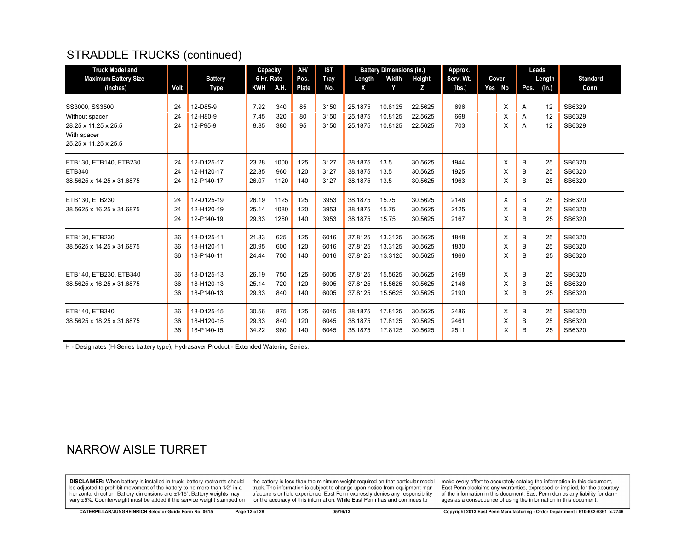## STRADDLE TRUCKS (continued)

| <b>Truck Model and</b><br><b>Maximum Battery Size</b><br>(Inches)                               | Volt           | <b>Battery</b><br>Type                 | Capacity<br>6 Hr. Rate<br>KWH | A.H.                 | AH/<br>Pos.<br>Plate | <b>IST</b><br>Tray<br>No. | Length<br>X                   | <b>Battery Dimensions (in.)</b><br>Width<br>Y | <b>Height</b><br>Z.           | Approx.<br>Serv. Wt.<br>(lbs.) | Cover<br>Yes No | Leads<br>Length<br>(in.)<br>Pos. | <b>Standard</b><br>Conn.   |
|-------------------------------------------------------------------------------------------------|----------------|----------------------------------------|-------------------------------|----------------------|----------------------|---------------------------|-------------------------------|-----------------------------------------------|-------------------------------|--------------------------------|-----------------|----------------------------------|----------------------------|
| SS3000, SS3500<br>Without spacer<br>28.25 x 11.25 x 25.5<br>With spacer<br>25.25 x 11.25 x 25.5 | 24<br>24<br>24 | 12-D85-9<br>12-H80-9<br>12-P95-9       | 7.92<br>7.45<br>8.85          | 340<br>320<br>380    | 85<br>80<br>95       | 3150<br>3150<br>3150      | 25.1875<br>25.1875<br>25.1875 | 10.8125<br>10.8125<br>10.8125                 | 22.5625<br>22.5625<br>22.5625 | 696<br>668<br>703              | X<br>X<br>X     | 12<br>A<br>12<br>Α<br>12<br>A    | SB6329<br>SB6329<br>SB6329 |
| ETB130, ETB140, ETB230<br><b>ETB340</b><br>38.5625 x 14.25 x 31.6875                            | 24<br>24<br>24 | 12-D125-17<br>12-H120-17<br>12-P140-17 | 23.28<br>22.35<br>26.07       | 1000<br>960<br>1120  | 125<br>120<br>140    | 3127<br>3127<br>3127      | 38.1875<br>38.1875<br>38.1875 | 13.5<br>13.5<br>13.5                          | 30.5625<br>30.5625<br>30.5625 | 1944<br>1925<br>1963           | X<br>X<br>X     | 25<br>в<br>25<br>в<br>B<br>25    | SB6320<br>SB6320<br>SB6320 |
| ETB130, ETB230<br>38.5625 x 16.25 x 31.6875                                                     | 24<br>24<br>24 | 12-D125-19<br>12-H120-19<br>12-P140-19 | 26.19<br>25.14<br>29.33       | 1125<br>1080<br>1260 | 125<br>120<br>140    | 3953<br>3953<br>3953      | 38.1875<br>38.1875<br>38.1875 | 15.75<br>15.75<br>15.75                       | 30.5625<br>30.5625<br>30.5625 | 2146<br>2125<br>2167           | X<br>X<br>X     | B<br>25<br>B<br>25<br>B<br>25    | SB6320<br>SB6320<br>SB6320 |
| ETB130, ETB230<br>38.5625 x 14.25 x 31.6875                                                     | 36<br>36<br>36 | 18-D125-11<br>18-H120-11<br>18-P140-11 | 21.83<br>20.95<br>24.44       | 625<br>600<br>700    | 125<br>120<br>140    | 6016<br>6016<br>6016      | 37.8125<br>37.8125<br>37.8125 | 13.3125<br>13.3125<br>13.3125                 | 30.5625<br>30.5625<br>30.5625 | 1848<br>1830<br>1866           | X<br>X<br>X     | B<br>25<br>25<br>B<br>B<br>25    | SB6320<br>SB6320<br>SB6320 |
| ETB140, ETB230, ETB340<br>38.5625 x 16.25 x 31.6875                                             | 36<br>36<br>36 | 18-D125-13<br>18-H120-13<br>18-P140-13 | 26.19<br>25.14<br>29.33       | 750<br>720<br>840    | 125<br>120<br>140    | 6005<br>6005<br>6005      | 37.8125<br>37.8125<br>37.8125 | 15.5625<br>15.5625<br>15.5625                 | 30.5625<br>30.5625<br>30.5625 | 2168<br>2146<br>2190           | X<br>X<br>X     | 25<br>в<br>25<br>B<br>B<br>25    | SB6320<br>SB6320<br>SB6320 |
| ETB140. ETB340<br>38.5625 x 18.25 x 31.6875                                                     | 36<br>36<br>36 | 18-D125-15<br>18-H120-15<br>18-P140-15 | 30.56<br>29.33<br>34.22       | 875<br>840<br>980    | 125<br>120<br>140    | 6045<br>6045<br>6045      | 38.1875<br>38.1875<br>38.1875 | 17.8125<br>17.8125<br>17.8125                 | 30.5625<br>30.5625<br>30.5625 | 2486<br>2461<br>2511           | X<br>X<br>X     | 25<br>B<br>25<br>B<br>B<br>25    | SB6320<br>SB6320<br>SB6320 |

H - Designates (H-Series battery type), Hydrasaver Product - Extended Watering Series.

## NARROW AISLE TURRET

**DISCLAIMER:** When battery is installed in truck, battery restraints should be adjusted to prohibit movement of the battery to no more than 1/2" in a horizontal direction. Battery dimensions are ±1/16". Battery weights may vary ±5%. Counterweight must be added if the service weight stamped on

the battery is less than the minimum weight required on that particular model<br>truck. The information is subject to change upon notice from equipment manufacturers or field experience. East Penn expressly denies any responsibility for the accuracy of this information. While East Penn has and continues to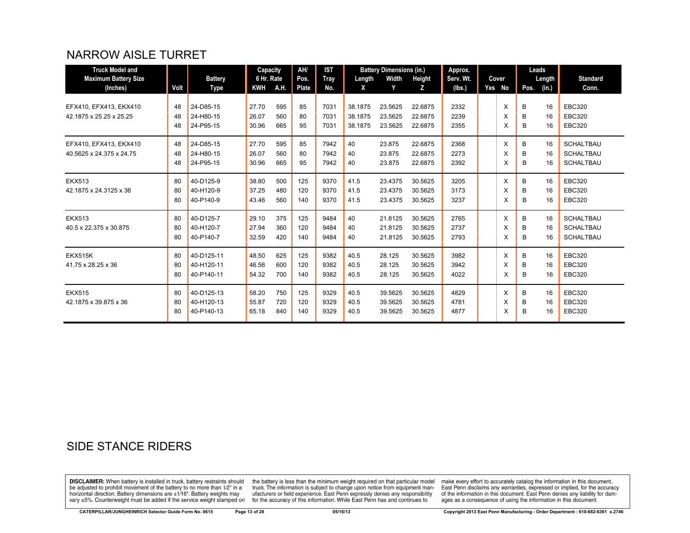## NARROW AISLE TURRET

| <b>Truck Model and</b>      |      |                | Capacity   |      | AH/   | <b>IST</b> |         | <b>Battery Dimensions (in.)</b> |         | Approx.   |          | Leads  |       |                  |
|-----------------------------|------|----------------|------------|------|-------|------------|---------|---------------------------------|---------|-----------|----------|--------|-------|------------------|
| <b>Maximum Battery Size</b> |      | <b>Battery</b> | 6 Hr. Rate |      | Pos.  | Tray       | Length  | Width                           | Height  | Serv. Wt. | Cover    | Length |       | <b>Standard</b>  |
| (Inches)                    | Volt | Type           | KWH        | A.H. | Plate | No.        | X       | Y                               | z       | (lbs.)    | Yes No   | Pos.   | (in.) | Conn.            |
|                             |      |                |            |      |       |            |         |                                 |         |           |          |        |       |                  |
| EFX410, EFX413, EKX410      | 48   | 24-D85-15      | 27.70      | 595  | 85    | 7031       | 38.1875 | 23.5625                         | 22.6875 | 2332      | X        | B      | 16    | <b>EBC320</b>    |
| 42.1875 x 25.25 x 25.25     | 48   | 24-H80-15      | 26.07      | 560  | 80    | 7031       | 38.1875 | 23.5625                         | 22.6875 | 2239      | X        | B      | 16    | <b>EBC320</b>    |
|                             | 48   | 24-P95-15      | 30.96      | 665  | 95    | 7031       | 38.1875 | 23.5625                         | 22.6875 | 2355      | X        | B      | 16    | <b>EBC320</b>    |
| EFX410, EFX413, EKX410      | 48   | 24-D85-15      | 27.70      | 595  | 85    | 7942       | 40      | 23.875                          | 22.6875 | 2368      | X        | B      | 16    | <b>SCHALTBAU</b> |
| 40.5625 x 24.375 x 24.75    | 48   | 24-H80-15      | 26.07      | 560  | 80    | 7942       | 40      | 23.875                          | 22.6875 | 2273      | X        | B      | 16    | <b>SCHALTBAU</b> |
|                             | 48   | 24-P95-15      | 30.96      | 665  | 95    | 7942       | 40      | 23.875                          | 22.6875 | 2392      | X        | B      | 16    | <b>SCHALTBAU</b> |
|                             |      |                |            |      |       |            |         |                                 |         |           |          |        |       |                  |
| <b>EKX513</b>               | 80   | 40-D125-9      | 38.80      | 500  | 125   | 9370       | 41.5    | 23.4375                         | 30.5625 | 3205      | $\times$ | B      | 16    | <b>EBC320</b>    |
| 42.1875 x 24.3125 x 36      | 80   | 40-H120-9      | 37.25      | 480  | 120   | 9370       | 41.5    | 23.4375                         | 30.5625 | 3173      | X        | B      | 16    | <b>EBC320</b>    |
|                             | 80   | 40-P140-9      | 43.46      | 560  | 140   | 9370       | 41.5    | 23.4375                         | 30.5625 | 3237      | X        | в      | 16    | <b>EBC320</b>    |
| <b>EKX513</b>               | 80   | 40-D125-7      | 29.10      | 375  | 125   | 9484       | 40      | 21.8125                         | 30.5625 | 2765      | X        | B      | 16    | <b>SCHALTBAU</b> |
| 40.5 x 22.375 x 30.875      | 80   | 40-H120-7      | 27.94      | 360  | 120   | 9484       | 40      | 21.8125                         | 30.5625 | 2737      | X        | B      | 16    | <b>SCHALTBAU</b> |
|                             | 80   | 40-P140-7      | 32.59      | 420  | 140   | 9484       | 40      | 21.8125                         | 30.5625 | 2793      | X        | в      | 16    | <b>SCHALTBAU</b> |
| <b>EKX515K</b>              | 80   | 40-D125-11     | 48.50      | 625  | 125   | 9382       | 40.5    | 28.125                          | 30.5625 | 3982      | X        | B      | 16    | <b>EBC320</b>    |
| 41.75 x 28.25 x 36          | 80   | 40-H120-11     | 46.56      | 600  | 120   | 9382       | 40.5    | 28.125                          | 30.5625 | 3942      | X        | B      | 16    | <b>EBC320</b>    |
|                             |      |                |            |      |       |            |         |                                 |         |           |          |        |       |                  |
|                             | 80   | 40-P140-11     | 54.32      | 700  | 140   | 9382       | 40.5    | 28.125                          | 30.5625 | 4022      | X        | B      | 16    | <b>EBC320</b>    |
| <b>EKX515</b>               | 80   | 40-D125-13     | 58.20      | 750  | 125   | 9329       | 40.5    | 39.5625                         | 30.5625 | 4829      | $\times$ | B      | 16    | <b>EBC320</b>    |
| 42.1875 x 39.875 x 36       | 80   | 40-H120-13     | 55.87      | 720  | 120   | 9329       | 40.5    | 39.5625                         | 30.5625 | 4781      | X        | B      | 16    | <b>EBC320</b>    |
|                             | 80   | 40-P140-13     | 65.18      | 840  | 140   | 9329       | 40.5    | 39.5625                         | 30.5625 | 4877      | X        | в      | 16    | <b>EBC320</b>    |

## SIDE STANCE RIDERS

**DISCLAIMER:** When battery is installed in truck, battery restraints should be adjusted to prohibit movement of the battery to no more than 1/2" in a be added if the series of the series of the series of the matter of the matter of the beam of the series of the series of the series of the series of the series of the series of the series of the series of the series of t

the battery is less than the minimum weight required on that particular model<br>truck. The information is subject to change upon notice from equipment man-<br>ufacturers or field experience. East Penn expressly denies any respo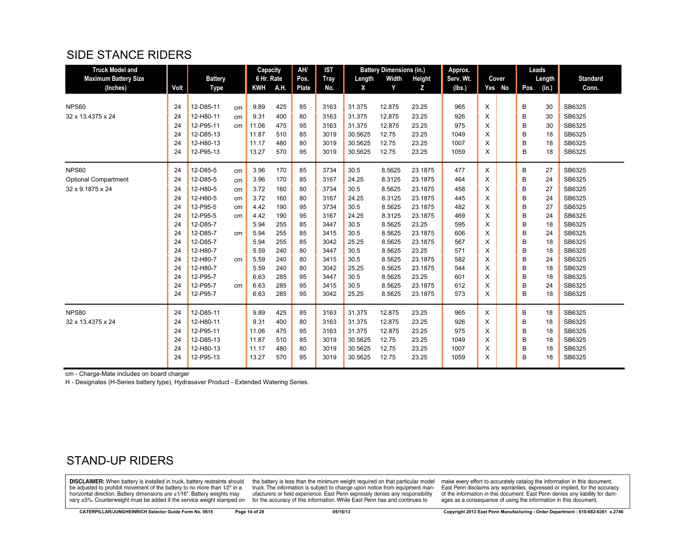#### SIDE STANCE RIDERS

| <b>Truck Model and</b>      |      |                |    | Capacity   |      | AH/          | <b>IST</b>  |         | <b>Battery Dimensions (in.)</b> |         | Approx.   |   |        |      | Leads  |                 |
|-----------------------------|------|----------------|----|------------|------|--------------|-------------|---------|---------------------------------|---------|-----------|---|--------|------|--------|-----------------|
| <b>Maximum Battery Size</b> |      | <b>Battery</b> |    | 6 Hr. Rate |      | Pos.         | <b>Tray</b> | Length  | Width                           | Height  | Serv. Wt. |   | Cover  |      | Length | <b>Standard</b> |
| (Inches)                    | Volt | <b>Type</b>    |    | <b>KWH</b> | A.H. | <b>Plate</b> | No.         | X       | Y                               | Z       | (lbs.)    |   | Yes No | Pos. | (in.)  | Conn.           |
|                             |      |                |    |            |      |              |             |         |                                 |         |           |   |        |      |        |                 |
| <b>NPS60</b>                | 24   | 12-D85-11      | cm | 9.89       | 425  | 85           | 3163        | 31.375  | 12.875                          | 23.25   | 965       | X |        | B    | 30     | SB6325          |
| 32 x 13.4375 x 24           | 24   | 12-H80-11      | cm | 9.31       | 400  | 80           | 3163        | 31.375  | 12.875                          | 23.25   | 926       | X |        | B    | 30     | SB6325          |
|                             | 24   | 12-P95-11      | cm | 11.06      | 475  | 95           | 3163        | 31.375  | 12.875                          | 23.25   | 975       | X |        | B    | 30     | SB6325          |
|                             | 24   | 12-D85-13      |    | 11.87      | 510  | 85           | 3019        | 30.5625 | 12.75                           | 23.25   | 1049      | X |        | B    | 18     | SB6325          |
|                             | 24   | 12-H80-13      |    | 11.17      | 480  | 80           | 3019        | 30.5625 | 12.75                           | 23.25   | 1007      | X |        | B    | 18     | SB6325          |
|                             | 24   | 12-P95-13      |    | 13.27      | 570  | 95           | 3019        | 30.5625 | 12.75                           | 23.25   | 1059      | X |        | B    | 18     | SB6325          |
| <b>NPS60</b>                | 24   | 12-D85-5       | cm | 3.96       | 170  | 85           | 3734        | 30.5    | 8.5625                          | 23.1875 | 477       | X |        | B    | 27     | SB6325          |
| <b>Optional Compartment</b> | 24   | 12-D85-5       | cm | 3.96       | 170  | 85           | 3167        | 24.25   | 8.3125                          | 23.1875 | 464       | X |        | B    | 24     | SB6325          |
| 32 x 9.1875 x 24            | 24   | 12-H80-5       | cm | 3.72       | 160  | 80           | 3734        | 30.5    | 8.5625                          | 23.1875 | 458       | X |        | B    | 27     | SB6325          |
|                             | 24   | 12-H80-5       | cm | 3.72       | 160  | 80           | 3167        | 24.25   | 8.3125                          | 23.1875 | 445       | X |        | B    | 24     | SB6325          |
|                             | 24   | 12-P95-5       | cm | 4.42       | 190  | 95           | 3734        | 30.5    | 8.5625                          | 23.1875 | 482       | X |        | B    | 27     | SB6325          |
|                             | 24   | 12-P95-5       | cm | 4.42       | 190  | 95           | 3167        | 24.25   | 8.3125                          | 23.1875 | 469       | X |        | B    | 24     | SB6325          |
|                             | 24   | 12-D85-7       |    | 5.94       | 255  | 85           | 3447        | 30.5    | 8.5625                          | 23.25   | 595       | X |        | B    | 18     | SB6325          |
|                             | 24   | 12-D85-7       | cm | 5.94       | 255  | 85           | 3415        | 30.5    | 8.5625                          | 23.1875 | 606       | X |        | B    | 24     | SB6325          |
|                             | 24   | 12-D85-7       |    | 5.94       | 255  | 85           | 3042        | 25.25   | 8.5625                          | 23.1875 | 567       | X |        | B    | 18     | SB6325          |
|                             | 24   | 12-H80-7       |    | 5.59       | 240  | 80           | 3447        | 30.5    | 8.5625                          | 23.25   | 571       | X |        | В    | 18     | SB6325          |
|                             | 24   | 12-H80-7       | cm | 5.59       | 240  | 80           | 3415        | 30.5    | 8.5625                          | 23.1875 | 582       | X |        | B    | 24     | SB6325          |
|                             | 24   | 12-H80-7       |    | 5.59       | 240  | 80           | 3042        | 25.25   | 8.5625                          | 23.1875 | 544       | X |        | B    | 18     | SB6325          |
|                             | 24   | 12-P95-7       |    | 6.63       | 285  | 95           | 3447        | 30.5    | 8.5625                          | 23.25   | 601       | X |        | B    | 18     | SB6325          |
|                             | 24   | 12-P95-7       | cm | 6.63       | 285  | 95           | 3415        | 30.5    | 8.5625                          | 23.1875 | 612       | X |        | B    | 24     | SB6325          |
|                             | 24   | 12-P95-7       |    | 6.63       | 285  | 95           | 3042        | 25.25   | 8.5625                          | 23.1875 | 573       | X |        | B    | 18     | SB6325          |
| <b>NPS80</b>                | 24   | 12-D85-11      |    | 9.89       | 425  | 85           | 3163        | 31.375  | 12.875                          | 23.25   | 965       | X |        | В    | 18     | SB6325          |
| 32 x 13.4375 x 24           | 24   | 12-H80-11      |    | 9.31       | 400  | 80           | 3163        | 31.375  | 12.875                          | 23.25   | 926       | X |        | B    | 18     | SB6325          |
|                             | 24   | 12-P95-11      |    | 11.06      | 475  | 95           | 3163        | 31.375  | 12.875                          | 23.25   | 975       | X |        | B    | 18     | SB6325          |
|                             | 24   | 12-D85-13      |    | 11.87      | 510  | 85           | 3019        | 30.5625 | 12.75                           | 23.25   | 1049      | X |        | B    | 18     | SB6325          |
|                             | 24   | 12-H80-13      |    | 11.17      | 480  | 80           | 3019        | 30.5625 | 12.75                           | 23.25   | 1007      | X |        | B    | 18     | SB6325          |
|                             | 24   | 12-P95-13      |    | 13.27      | 570  | 95           | 3019        | 30.5625 | 12.75                           | 23.25   | 1059      | X |        | B    | 18     | SB6325          |

cm - Charge-Mate includes on board charger

H - Designates (H-Series battery type), Hydrasaver Product - Extended Watering Series.

#### STAND-UP RIDERS

**DISCLAIMER:** When battery is installed in truck, battery restraints should be adjusted to prohibit movement of the battery to no more than 1/2" in a horizontal direction. Battery dimensions are ±1/16". Battery weights may vary ±5%. Counterweight must be added if the service weight stamped on

the battery is less than the minimum weight required on that particular model<br>truck. The information is subject to change upon notice from equipment manufacturers or field experience. East Penn expressly denies any responsibility for the accuracy of this information. While East Penn has and continues to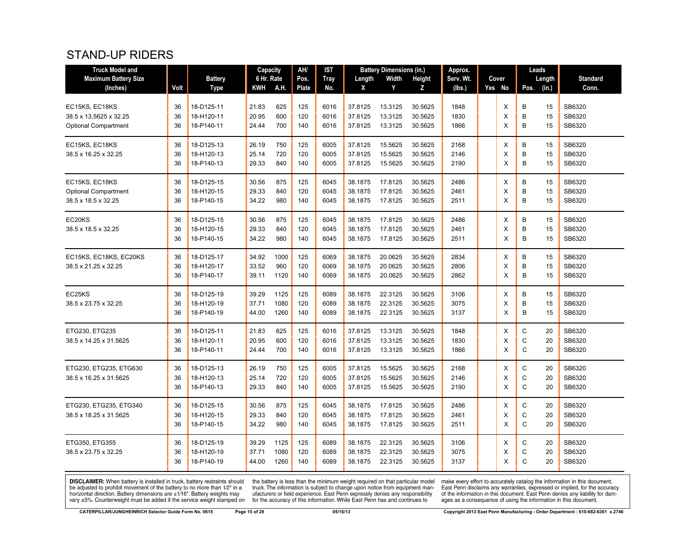#### STAND-UP RIDERS

| <b>Truck Model and</b>      |      |                | <b>Capacity</b> |             | AH/   | IST         |         | <b>Battery Dimensions (in.)</b> |               | Approx.   |        | Leads |        |                 |
|-----------------------------|------|----------------|-----------------|-------------|-------|-------------|---------|---------------------------------|---------------|-----------|--------|-------|--------|-----------------|
| <b>Maximum Battery Size</b> |      | <b>Battery</b> | 6 Hr. Rate      |             | Pos.  | <b>Tray</b> | Length  | Width                           | <b>Height</b> | Serv. Wt. | Cover  |       | Length | <b>Standard</b> |
| (Inches)                    | Volt | Type           | KWH             | <b>A.H.</b> | Plate | No.         | X       | Y                               | z             | (lbs.)    | Yes No | Pos.  | (in.)  | Conn.           |
|                             |      |                |                 |             |       |             |         |                                 |               |           |        |       |        |                 |
| EC15KS, EC18KS              | 36   | 18-D125-11     | 21.83           | 625         | 125   | 6016        | 37.8125 | 13.3125                         | 30.5625       | 1848      | X      | B     | 15     | SB6320          |
| 38.5 x 13.5625 x 32.25      | 36   | 18-H120-11     | 20.95           | 600         | 120   | 6016        | 37.8125 | 13.3125                         | 30.5625       | 1830      | X      | B     | 15     | SB6320          |
| <b>Optional Compartment</b> | 36   | 18-P140-11     | 24.44           | 700         | 140   | 6016        | 37.8125 | 13.3125                         | 30.5625       | 1866      | X      | B     | 15     | SB6320          |
| EC15KS, EC18KS              | 36   | 18-D125-13     | 26.19           | 750         | 125   | 6005        | 37.8125 | 15.5625                         | 30.5625       | 2168      | X      | B     | 15     | SB6320          |
| 38.5 x 16.25 x 32.25        | 36   | 18-H120-13     | 25.14           | 720         | 120   | 6005        | 37.8125 | 15.5625                         | 30.5625       | 2146      | X      | B     | 15     | SB6320          |
|                             | 36   | 18-P140-13     | 29.33           | 840         | 140   | 6005        | 37.8125 | 15.5625                         | 30.5625       | 2190      | X      | B     | 15     | SB6320          |
| EC15KS, EC18KS              | 36   | 18-D125-15     | 30.56           | 875         | 125   | 6045        | 38.1875 | 17.8125                         | 30.5625       | 2486      | X      | B     | 15     | SB6320          |
| <b>Optional Compartment</b> | 36   | 18-H120-15     | 29.33           | 840         | 120   | 6045        | 38.1875 | 17.8125                         | 30.5625       | 2461      | X      | B     | 15     | SB6320          |
| 38.5 x 18.5 x 32.25         | 36   | 18-P140-15     | 34.22           | 980         | 140   | 6045        | 38.1875 | 17.8125                         | 30.5625       | 2511      | X      | B     | 15     | SB6320          |
| EC20KS                      | 36   | 18-D125-15     | 30.56           | 875         | 125   | 6045        | 38.1875 | 17.8125                         | 30.5625       | 2486      | X      | B     | 15     | SB6320          |
| 38.5 x 18.5 x 32.25         | 36   | 18-H120-15     | 29.33           | 840         | 120   | 6045        | 38.1875 | 17.8125                         | 30.5625       | 2461      | X      | B     | 15     | SB6320          |
|                             | 36   | 18-P140-15     | 34.22           | 980         | 140   | 6045        | 38.1875 | 17.8125                         | 30.5625       | 2511      | X      | B     | 15     | SB6320          |
| EC15KS, EC18KS, EC20KS      | 36   | 18-D125-17     | 34.92           | 1000        | 125   | 6069        | 38.1875 | 20.0625                         | 30.5625       | 2834      | X      | B     | 15     | SB6320          |
| 38.5 x 21.25 x 32.25        | 36   | 18-H120-17     | 33.52           | 960         | 120   | 6069        | 38.1875 | 20.0625                         | 30.5625       | 2806      | X      | B     | 15     | SB6320          |
|                             | 36   | 18-P140-17     | 39.11           | 1120        | 140   | 6069        | 38.1875 | 20.0625                         | 30.5625       | 2862      | X      | B     | 15     | SB6320          |
| EC25KS                      | 36   | 18-D125-19     | 39.29           | 1125        | 125   | 6089        | 38.1875 | 22.3125                         | 30.5625       | 3106      | X      | B     | 15     | SB6320          |
| 38.5 x 23.75 x 32.25        | 36   | 18-H120-19     | 37.71           | 1080        | 120   | 6089        | 38.1875 | 22.3125                         | 30.5625       | 3075      | Х      | B     | 15     | SB6320          |
|                             | 36   | 18-P140-19     | 44.00           | 1260        | 140   | 6089        | 38.1875 | 22.3125                         | 30.5625       | 3137      | X      | B     | 15     | SB6320          |
| ETG230, ETG235              | 36   | 18-D125-11     | 21.83           | 625         | 125   | 6016        | 37.8125 | 13.3125                         | 30.5625       | 1848      | X      | С     | 20     | SB6320          |
| 38.5 x 14.25 x 31.5625      | 36   | 18-H120-11     | 20.95           | 600         | 120   | 6016        | 37.8125 | 13.3125                         | 30.5625       | 1830      | X      | C     | 20     | SB6320          |
|                             | 36   | 18-P140-11     | 24.44           | 700         | 140   | 6016        | 37.8125 | 13.3125                         | 30.5625       | 1866      | X      | C     | 20     | SB6320          |
| ETG230, ETG235, ETG630      | 36   | 18-D125-13     | 26.19           | 750         | 125   | 6005        | 37.8125 | 15.5625                         | 30.5625       | 2168      | X      | C     | 20     | SB6320          |
| 38.5 x 16.25 x 31.5625      | 36   | 18-H120-13     | 25.14           | 720         | 120   | 6005        | 37.8125 | 15.5625                         | 30.5625       | 2146      | X      | C     | 20     | SB6320          |
|                             | 36   | 18-P140-13     | 29.33           | 840         | 140   | 6005        | 37.8125 | 15.5625                         | 30.5625       | 2190      | X      | C     | 20     | SB6320          |
| ETG230, ETG235, ETG340      | 36   | 18-D125-15     | 30.56           | 875         | 125   | 6045        | 38.1875 | 17.8125                         | 30.5625       | 2486      | X      | C     | 20     | SB6320          |
| 38.5 x 18.25 x 31.5625      | 36   | 18-H120-15     | 29.33           | 840         | 120   | 6045        | 38.1875 | 17.8125                         | 30.5625       | 2461      | Х      | C     | 20     | SB6320          |
|                             | 36   | 18-P140-15     | 34.22           | 980         | 140   | 6045        | 38.1875 | 17.8125                         | 30.5625       | 2511      | X      | C     | 20     | SB6320          |
| ETG350, ETG355              | 36   | 18-D125-19     | 39.29           | 1125        | 125   | 6089        | 38.1875 | 22.3125                         | 30.5625       | 3106      | X      | С     | 20     | SB6320          |
| 38.5 x 23.75 x 32.25        | 36   | 18-H120-19     | 37.71           | 1080        | 120   | 6089        | 38.1875 | 22.3125                         | 30.5625       | 3075      | X      | C     | 20     | SB6320          |
|                             | 36   | 18-P140-19     | 44.00           | 1260        | 140   | 6089        | 38.1875 | 22.3125                         | 30.5625       | 3137      | X      | C     | 20     | SB6320          |

**DISCLAIMER:** When battery is installed in truck, battery restraints should be adjusted to prohibit movement of the battery to no more than  $1/2$ " in a horizontal direction. Battery dimensions are  $\pm 1/16$ ". Battery weig

the battery is less than the minimum weight required on that particular model<br>truck. The information is subject to change upon notice from equipment man-<br>ufacturers or field experience. East Penn expressly denies any respo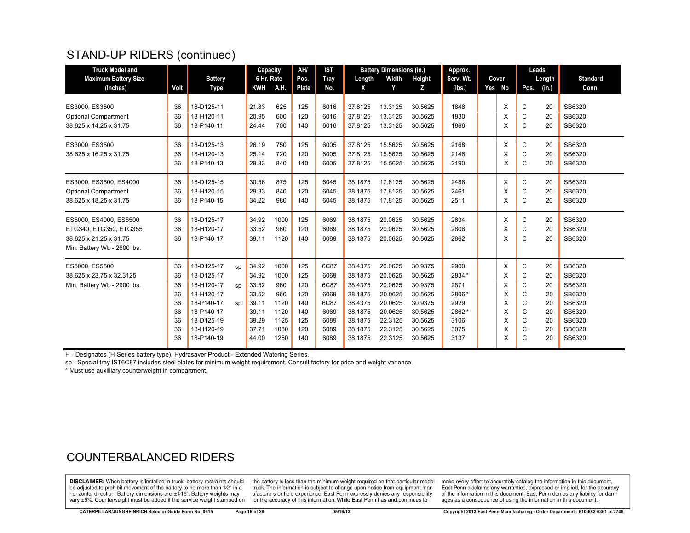## STAND-UP RIDERS (continued)

| <b>Truck Model and</b>       |      |                |    | Capacity                 |      | AH/          | <b>IST</b> |         | <b>Battery Dimensions (in.)</b> |         | Approx.   |        |      | Leads  |                 |
|------------------------------|------|----------------|----|--------------------------|------|--------------|------------|---------|---------------------------------|---------|-----------|--------|------|--------|-----------------|
| <b>Maximum Battery Size</b>  |      | <b>Battery</b> |    | 6 Hr. Rate<br><b>KWH</b> | A.H. | Pos.         | Tray       | Length  | Width                           | Height  | Serv. Wt. | Cover  |      | Length | <b>Standard</b> |
| (Inches)                     | Volt | Type           |    |                          |      | <b>Plate</b> | No.        | X       | Y                               | z       | (lbs.)    | Yes No | Pos. | (in.)  | Conn.           |
| ES3000, ES3500               | 36   | 18-D125-11     |    | 21.83                    | 625  | 125          | 6016       | 37.8125 | 13.3125                         | 30.5625 | 1848      | X      | C    | 20     | SB6320          |
| <b>Optional Compartment</b>  | 36   | 18-H120-11     |    | 20.95                    | 600  | 120          | 6016       | 37.8125 | 13.3125                         | 30.5625 | 1830      | X      | C    | 20     | SB6320          |
| 38.625 x 14.25 x 31.75       | 36   | 18-P140-11     |    | 24.44                    | 700  | 140          | 6016       | 37.8125 | 13.3125                         | 30.5625 | 1866      | X      | C    | 20     | SB6320          |
| ES3000, ES3500               | 36   | 18-D125-13     |    | 26.19                    | 750  | 125          | 6005       | 37.8125 | 15.5625                         | 30.5625 | 2168      | X      | C    | 20     | SB6320          |
| 38.625 x 16.25 x 31.75       | 36   | 18-H120-13     |    | 25.14                    | 720  | 120          | 6005       | 37.8125 | 15.5625                         | 30.5625 | 2146      | X      | C    | 20     | SB6320          |
|                              | 36   | 18-P140-13     |    | 29.33                    | 840  | 140          | 6005       | 37.8125 | 15.5625                         | 30.5625 | 2190      | X      | C    | 20     | SB6320          |
| ES3000, ES3500, ES4000       | 36   | 18-D125-15     |    | 30.56                    | 875  | 125          | 6045       | 38.1875 | 17.8125                         | 30.5625 | 2486      | X      | C    | 20     | SB6320          |
| <b>Optional Compartment</b>  | 36   | 18-H120-15     |    | 29.33                    | 840  | 120          | 6045       | 38.1875 | 17.8125                         | 30.5625 | 2461      | X      | C    | 20     | SB6320          |
| 38.625 x 18.25 x 31.75       | 36   | 18-P140-15     |    | 34.22                    | 980  | 140          | 6045       | 38.1875 | 17.8125                         | 30.5625 | 2511      | X      | C    | 20     | SB6320          |
| ES5000, ES4000, ES5500       | 36   | 18-D125-17     |    | 34.92                    | 1000 | 125          | 6069       | 38.1875 | 20.0625                         | 30.5625 | 2834      | X      | С    | 20     | SB6320          |
| ETG340, ETG350, ETG355       | 36   | 18-H120-17     |    | 33.52                    | 960  | 120          | 6069       | 38.1875 | 20.0625                         | 30.5625 | 2806      | X      | C    | 20     | SB6320          |
| 38.625 x 21.25 x 31.75       | 36   | 18-P140-17     |    | 39.11                    | 1120 | 140          | 6069       | 38.1875 | 20.0625                         | 30.5625 | 2862      | X      | C    | 20     | SB6320          |
| Min. Battery Wt. - 2600 lbs. |      |                |    |                          |      |              |            |         |                                 |         |           |        |      |        |                 |
| ES5000, ES5500               | 36   | 18-D125-17     | SD | 34.92                    | 1000 | 125          | 6C87       | 38.4375 | 20.0625                         | 30.9375 | 2900      | X      | C    | 20     | SB6320          |
| 38.625 x 23.75 x 32.3125     | 36   | 18-D125-17     |    | 34.92                    | 1000 | 125          | 6069       | 38.1875 | 20.0625                         | 30.5625 | 2834*     | X      | C    | 20     | SB6320          |
| Min. Battery Wt. - 2900 lbs. | 36   | 18-H120-17     | sp | 33.52                    | 960  | 120          | 6C87       | 38.4375 | 20.0625                         | 30.9375 | 2871      | X      | C    | 20     | SB6320          |
|                              | 36   | 18-H120-17     |    | 33.52                    | 960  | 120          | 6069       | 38.1875 | 20.0625                         | 30.5625 | 2806*     | X      | C    | 20     | SB6320          |
|                              | 36   | 18-P140-17     | sp | 39.11                    | 1120 | 140          | 6C87       | 38.4375 | 20.0625                         | 30.9375 | 2929      | X      | C    | 20     | SB6320          |
|                              | 36   | 18-P140-17     |    | 39.11                    | 1120 | 140          | 6069       | 38.1875 | 20.0625                         | 30.5625 | 2862*     | X      | C    | 20     | SB6320          |
|                              | 36   | 18-D125-19     |    | 39.29                    | 1125 | 125          | 6089       | 38.1875 | 22.3125                         | 30.5625 | 3106      | X      | C    | 20     | SB6320          |
|                              | 36   | 18-H120-19     |    | 37.71                    | 1080 | 120          | 6089       | 38.1875 | 22.3125                         | 30.5625 | 3075      | X      | C    | 20     | SB6320          |
|                              | 36   | 18-P140-19     |    | 44.00                    | 1260 | 140          | 6089       | 38.1875 | 22.3125                         | 30.5625 | 3137      | X      | C    | 20     | SB6320          |

H - Designates (H-Series battery type), Hydrasaver Product - Extended Watering Series.

sp - Special tray IST6C87 includes steel plates for minimum weight requirement. Consult factory for price and weight varience.

\* Must use auxilliary counterweight in compartment.

#### COUNTERBALANCED RIDERS

**DISCLAIMER:** When battery is installed in truck, battery restraints should be adjusted to prohibit movement of the battery to no more than 1/2" in a horizontal direction. Battery dimensions are  $\pm 1/16$ ". Battery weights may vary ±5%. Counterweight must be added if the service weight stamped on

the battery is less than the minimum weight required on that particular model truck. The information is subject to change upon notice from equipment manufacturers or field experience. East Penn expressly denies any responsibility for the accuracy of this information. While East Penn has and continues to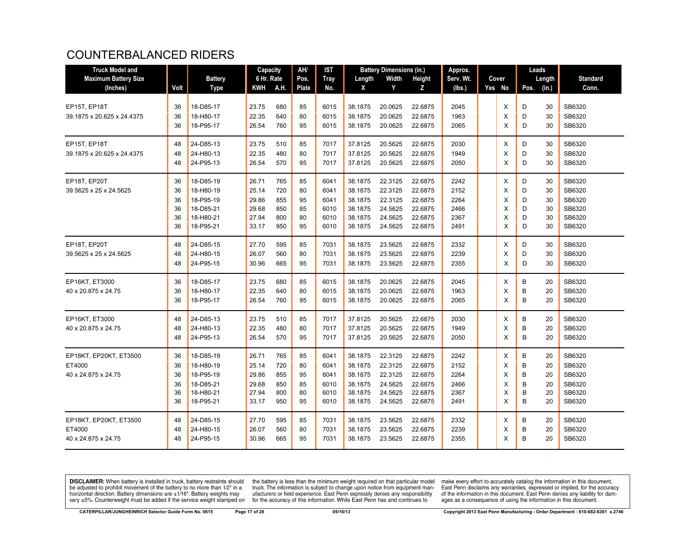## COUNTERBALANCED RIDERS

| <b>Truck Model and</b>      |      |                | Capacity   |      | AH/   | IST         |         | <b>Battery Dimensions (in.)</b> |         | Approx.   |          | Leads         |                 |
|-----------------------------|------|----------------|------------|------|-------|-------------|---------|---------------------------------|---------|-----------|----------|---------------|-----------------|
| <b>Maximum Battery Size</b> |      | <b>Battery</b> | 6 Hr. Rate |      | Pos.  | <b>Tray</b> | Length  | Width                           | Height  | Serv. Wt. | Cover    | Length        | <b>Standard</b> |
| (Inches)                    | Volt | <b>Type</b>    | KWH        | A.H. | Plate | No.         | X       | Y                               | z       | (lbs.)    | Yes No   | (in.)<br>Pos. | Conn.           |
|                             |      |                |            |      |       |             |         |                                 |         |           |          |               |                 |
| EP15T, EP18T                | 36   | 18-D85-17      | 23.75      | 680  | 85    | 6015        | 38.1875 | 20.0625                         | 22.6875 | 2045      | Χ        | D<br>30       | SB6320          |
| 39.1875 x 20.625 x 24.4375  | 36   | 18-H80-17      | 22.35      | 640  | 80    | 6015        | 38.1875 | 20.0625                         | 22.6875 | 1963      | X        | D<br>30       | SB6320          |
|                             | 36   | 18-P95-17      | 26.54      | 760  | 95    | 6015        | 38.1875 | 20.0625                         | 22.6875 | 2065      | X        | D<br>30       | SB6320          |
| EP15T, EP18T                | 48   | 24-D85-13      | 23.75      | 510  | 85    | 7017        | 37.8125 | 20.5625                         | 22.6875 | 2030      | X        | D<br>30       | SB6320          |
| 39.1875 x 20.625 x 24.4375  | 48   | 24-H80-13      | 22.35      | 480  | 80    | 7017        | 37.8125 | 20.5625                         | 22.6875 | 1949      | X        | D<br>30       | SB6320          |
|                             | 48   | 24-P95-13      | 26.54      | 570  | 95    | 7017        | 37.8125 | 20.5625                         | 22.6875 | 2050      | $\times$ | D<br>30       | SB6320          |
| EP18T, EP20T                | 36   | 18-D85-19      | 26.71      | 765  | 85    | 6041        | 38.1875 | 22.3125                         | 22.6875 | 2242      | X        | D<br>30       | SB6320          |
| 39.5625 x 25 x 24.5625      | 36   | 18-H80-19      | 25.14      | 720  | 80    | 6041        | 38.1875 | 22.3125                         | 22.6875 | 2152      | X        | D<br>30       | SB6320          |
|                             | 36   | 18-P95-19      | 29.86      | 855  | 95    | 6041        | 38.1875 | 22.3125                         | 22.6875 | 2264      | X        | D<br>30       | SB6320          |
|                             | 36   | 18-D85-21      | 29.68      | 850  | 85    | 6010        | 38.1875 | 24.5625                         | 22.6875 | 2466      | X        | D<br>30       | SB6320          |
|                             | 36   | 18-H80-21      | 27.94      | 800  | 80    | 6010        | 38.1875 | 24.5625                         | 22.6875 | 2367      | X        | D<br>30       | SB6320          |
|                             | 36   | 18-P95-21      | 33.17      | 950  | 95    | 6010        | 38.1875 | 24.5625                         | 22.6875 | 2491      | X        | D<br>30       | SB6320          |
| EP18T, EP20T                | 48   | 24-D85-15      | 27.70      | 595  | 85    | 7031        | 38.1875 | 23.5625                         | 22.6875 | 2332      | Χ        | D<br>30       | SB6320          |
| 39.5625 x 25 x 24.5625      | 48   | 24-H80-15      | 26.07      | 560  | 80    | 7031        | 38.1875 | 23.5625                         | 22.6875 | 2239      | X        | D<br>30       | SB6320          |
|                             | 48   | 24-P95-15      | 30.96      | 665  | 95    | 7031        | 38.1875 | 23.5625                         | 22.6875 | 2355      | $\times$ | D<br>30       | SB6320          |
| EP16KT, ET3000              | 36   | 18-D85-17      | 23.75      | 680  | 85    | 6015        | 38.1875 | 20.0625                         | 22.6875 | 2045      | Χ        | B<br>20       | SB6320          |
| 40 x 20.875 x 24.75         | 36   | 18-H80-17      | 22.35      | 640  | 80    | 6015        | 38.1875 | 20.0625                         | 22.6875 | 1963      | X        | B<br>20       | SB6320          |
|                             | 36   | 18-P95-17      | 26.54      | 760  | 95    | 6015        | 38.1875 | 20.0625                         | 22.6875 | 2065      | X        | B<br>20       | SB6320          |
| EP16KT. ET3000              | 48   | 24-D85-13      | 23.75      | 510  | 85    | 7017        | 37.8125 | 20.5625                         | 22.6875 | 2030      | X        | B<br>20       | SB6320          |
| 40 x 20.875 x 24.75         | 48   | 24-H80-13      | 22.35      | 480  | 80    | 7017        | 37.8125 | 20.5625                         | 22.6875 | 1949      | X        | B<br>20       | SB6320          |
|                             | 48   | 24-P95-13      | 26.54      | 570  | 95    | 7017        | 37.8125 | 20.5625                         | 22.6875 | 2050      | X        | B<br>20       | SB6320          |
| EP18KT, EP20KT, ET3500      | 36   | 18-D85-19      | 26.71      | 765  | 85    | 6041        | 38.1875 | 22.3125                         | 22.6875 | 2242      | Χ        | B<br>20       | SB6320          |
| ET4000                      | 36   | 18-H80-19      | 25.14      | 720  | 80    | 6041        | 38.1875 | 22.3125                         | 22.6875 | 2152      | X        | B<br>20       | SB6320          |
| 40 x 24.875 x 24.75         | 36   | 18-P95-19      | 29.86      | 855  | 95    | 6041        | 38.1875 | 22.3125                         | 22.6875 | 2264      | X        | B<br>20       | SB6320          |
|                             | 36   | 18-D85-21      | 29.68      | 850  | 85    | 6010        | 38.1875 | 24.5625                         | 22.6875 | 2466      | X        | B<br>20       | SB6320          |
|                             | 36   | 18-H80-21      | 27.94      | 800  | 80    | 6010        | 38.1875 | 24.5625                         | 22.6875 | 2367      | X        | B<br>20       | SB6320          |
|                             | 36   | 18-P95-21      | 33.17      | 950  | 95    | 6010        | 38.1875 | 24.5625                         | 22.6875 | 2491      | X        | B<br>20       | SB6320          |
| EP18KT, EP20KT, ET3500      | 48   | 24-D85-15      | 27.70      | 595  | 85    | 7031        | 38.1875 | 23.5625                         | 22.6875 | 2332      | X        | B<br>20       | SB6320          |
| ET4000                      | 48   | 24-H80-15      | 26.07      | 560  | 80    | 7031        | 38.1875 | 23.5625                         | 22.6875 | 2239      | X        | B<br>20       | SB6320          |
| 40 x 24.875 x 24.75         | 48   | 24-P95-15      | 30.96      | 665  | 95    | 7031        | 38.1875 | 23.5625                         | 22.6875 | 2355      | X        | B<br>20       | SB6320          |
|                             |      |                |            |      |       |             |         |                                 |         |           |          |               |                 |

**DISCLAIMER:** When battery is installed in truck, battery restraints should be adjusted to prohibit movement of the battery to no more than  $1/2$ " in a horizontal direction. Battery dimensions are  $\pm 1/16$ ". Battery weig

the battery is less than the minimum weight required on that particular model<br>truck. The information is subject to change upon notice from equipment man-<br>ufacturers or field experience. East Penn expressly denies any respo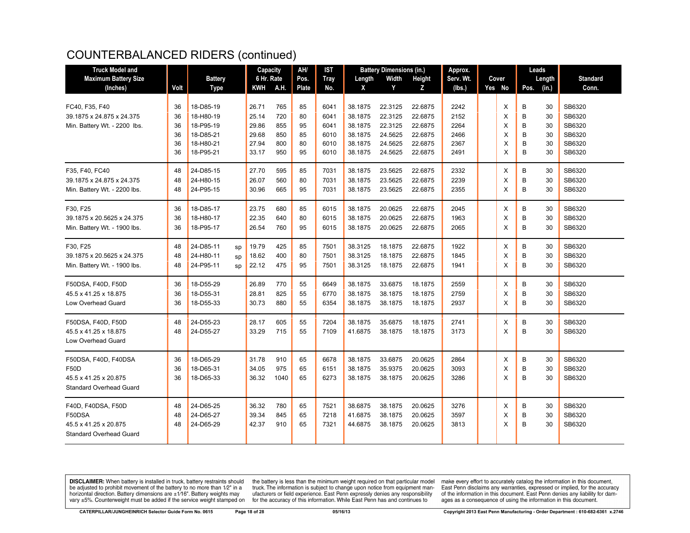| <b>Truck Model and</b>         |      |                |    | Capacity   |      | AH/   | <b>IST</b>  |         | <b>Battery Dimensions (in.)</b> |         | Approx.   |        |      | Leads  |                 |
|--------------------------------|------|----------------|----|------------|------|-------|-------------|---------|---------------------------------|---------|-----------|--------|------|--------|-----------------|
| <b>Maximum Battery Size</b>    |      | <b>Battery</b> |    | 6 Hr. Rate |      | Pos.  | <b>Tray</b> | Length  | Width                           | Height  | Serv. Wt. | Cover  |      | Length | <b>Standard</b> |
| (Inches)                       | Volt | <b>Type</b>    |    | KWH        | A.H. | Plate | No.         | X       | Y                               | Z       | (lbs.)    | Yes No | Pos. | (in.)  | Conn.           |
|                                |      |                |    |            |      |       |             |         |                                 |         |           |        |      |        |                 |
| FC40, F35, F40                 | 36   | 18-D85-19      |    | 26.71      | 765  | 85    | 6041        | 38.1875 | 22.3125                         | 22.6875 | 2242      | X      | B    | 30     | SB6320          |
| 39.1875 x 24.875 x 24.375      | 36   | 18-H80-19      |    | 25.14      | 720  | 80    | 6041        | 38.1875 | 22.3125                         | 22.6875 | 2152      | X      | B    | 30     | SB6320          |
| Min. Battery Wt. - 2200 lbs.   | 36   | 18-P95-19      |    | 29.86      | 855  | 95    | 6041        | 38.1875 | 22.3125                         | 22.6875 | 2264      | X      | В    | 30     | SB6320          |
|                                | 36   | 18-D85-21      |    | 29.68      | 850  | 85    | 6010        | 38.1875 | 24.5625                         | 22.6875 | 2466      | X      | B    | 30     | SB6320          |
|                                | 36   | 18-H80-21      |    | 27.94      | 800  | 80    | 6010        | 38.1875 | 24.5625                         | 22.6875 | 2367      | X      | B    | 30     | SB6320          |
|                                | 36   | 18-P95-21      |    | 33.17      | 950  | 95    | 6010        | 38.1875 | 24.5625                         | 22.6875 | 2491      | X      | B    | 30     | SB6320          |
| F35, F40, FC40                 | 48   | 24-D85-15      |    | 27.70      | 595  | 85    | 7031        | 38.1875 | 23.5625                         | 22.6875 | 2332      | X      | В    | 30     | SB6320          |
| 39.1875 x 24.875 x 24.375      | 48   | 24-H80-15      |    | 26.07      | 560  | 80    | 7031        | 38.1875 | 23.5625                         | 22.6875 | 2239      | X      | B    | 30     | SB6320          |
| Min. Battery Wt. - 2200 lbs.   | 48   | 24-P95-15      |    | 30.96      | 665  | 95    | 7031        | 38.1875 | 23.5625                         | 22.6875 | 2355      | X      | B    | 30     | SB6320          |
|                                |      |                |    |            |      |       |             |         |                                 |         |           |        |      |        |                 |
| F30, F25                       | 36   | 18-D85-17      |    | 23.75      | 680  | 85    | 6015        | 38.1875 | 20.0625                         | 22.6875 | 2045      | X      | B    | 30     | SB6320          |
| 39.1875 x 20.5625 x 24.375     | 36   | 18-H80-17      |    | 22.35      | 640  | 80    | 6015        | 38.1875 | 20.0625                         | 22.6875 | 1963      | X      | B    | 30     | SB6320          |
| Min. Battery Wt. - 1900 lbs.   | 36   | 18-P95-17      |    | 26.54      | 760  | 95    | 6015        | 38.1875 | 20.0625                         | 22.6875 | 2065      | X      | B    | 30     | SB6320          |
| F30, F25                       | 48   | 24-D85-11      | sp | 19.79      | 425  | 85    | 7501        | 38.3125 | 18.1875                         | 22.6875 | 1922      | X      | В    | 30     | SB6320          |
| 39.1875 x 20.5625 x 24.375     | 48   | 24-H80-11      | sp | 18.62      | 400  | 80    | 7501        | 38.3125 | 18.1875                         | 22.6875 | 1845      | X      | B    | 30     | SB6320          |
| Min. Battery Wt. - 1900 lbs.   | 48   | 24-P95-11      | sp | 22.12      | 475  | 95    | 7501        | 38.3125 | 18.1875                         | 22.6875 | 1941      | X      | B    | 30     | SB6320          |
|                                |      |                |    |            |      |       |             |         |                                 |         |           |        |      |        |                 |
| F50DSA, F40D, F50D             | 36   | 18-D55-29      |    | 26.89      | 770  | 55    | 6649        | 38.1875 | 33.6875                         | 18.1875 | 2559      | X      | B    | 30     | SB6320          |
| 45.5 x 41.25 x 18.875          | 36   | 18-D55-31      |    | 28.81      | 825  | 55    | 6770        | 38.1875 | 38.1875                         | 18.1875 | 2759      | X      | В    | 30     | SB6320          |
| Low Overhead Guard             | 36   | 18-D55-33      |    | 30.73      | 880  | 55    | 6354        | 38.1875 | 38.1875                         | 18.1875 | 2937      | X      | B    | 30     | SB6320          |
| F50DSA, F40D, F50D             | 48   | 24-D55-23      |    | 28.17      | 605  | 55    | 7204        | 38.1875 | 35.6875                         | 18.1875 | 2741      | X      | B    | 30     | SB6320          |
| 45.5 x 41.25 x 18.875          | 48   | 24-D55-27      |    | 33.29      | 715  | 55    | 7109        | 41.6875 | 38.1875                         | 18.1875 | 3173      | X      | B    | 30     | SB6320          |
| <b>Low Overhead Guard</b>      |      |                |    |            |      |       |             |         |                                 |         |           |        |      |        |                 |
|                                |      |                |    |            |      |       |             |         |                                 |         |           |        |      |        |                 |
| F50DSA, F40D, F40DSA           | 36   | 18-D65-29      |    | 31.78      | 910  | 65    | 6678        | 38.1875 | 33.6875                         | 20.0625 | 2864      | X      | B    | 30     | SB6320          |
| F50D                           | 36   | 18-D65-31      |    | 34.05      | 975  | 65    | 6151        | 38.1875 | 35.9375                         | 20.0625 | 3093      | X      | B    | 30     | SB6320          |
| 45.5 x 41.25 x 20.875          | 36   | 18-D65-33      |    | 36.32      | 1040 | 65    | 6273        | 38.1875 | 38.1875                         | 20.0625 | 3286      | X      | B    | 30     | SB6320          |
| <b>Standard Overhead Guard</b> |      |                |    |            |      |       |             |         |                                 |         |           |        |      |        |                 |
| F40D, F40DSA, F50D             | 48   | 24-D65-25      |    | 36.32      | 780  | 65    | 7521        | 38.6875 | 38.1875                         | 20.0625 | 3276      | X      | B    | 30     | SB6320          |
| F50DSA                         | 48   | 24-D65-27      |    | 39.34      | 845  | 65    | 7218        | 41.6875 | 38.1875                         | 20.0625 | 3597      | X      | B    | 30     | SB6320          |
| 45.5 x 41.25 x 20.875          | 48   | 24-D65-29      |    | 42.37      | 910  | 65    | 7321        | 44.6875 | 38.1875                         | 20.0625 | 3813      | X      | B    | 30     | SB6320          |
| <b>Standard Overhead Guard</b> |      |                |    |            |      |       |             |         |                                 |         |           |        |      |        |                 |
|                                |      |                |    |            |      |       |             |         |                                 |         |           |        |      |        |                 |

**DISCLAIMER:** When battery is installed in truck, battery restraints should be adjusted to prohibit movement of the battery to no more than 1/2" in a be added in the behavior of the behavior of the behavior of the behavior of the behavior of the behavior of the behavior of the behavior of the service weight sharped on vary  $\pm$ 5%. Counterweight must be added if the ser

the battery is less than the minimum weight required on that particular model<br>truck. The information is subject to change upon notice from equipment man-<br>ufacturers or field experience. East Penn expressly denies any respo for the accuracy of this information. While East Penn has and continues to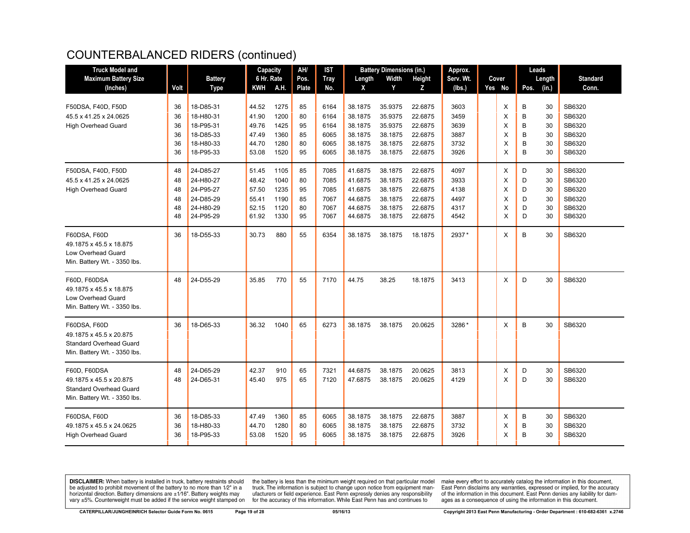| <b>Truck Model and</b>                                                                                           |                |                                     | Capacity                |                      | AH/            | <b>IST</b>           |                               | <b>Battery Dimensions (in.)</b> |                               | Approx.              |             |             | Leads          |                            |
|------------------------------------------------------------------------------------------------------------------|----------------|-------------------------------------|-------------------------|----------------------|----------------|----------------------|-------------------------------|---------------------------------|-------------------------------|----------------------|-------------|-------------|----------------|----------------------------|
| <b>Maximum Battery Size</b>                                                                                      |                | <b>Battery</b>                      | 6 Hr. Rate              |                      | Pos.           | <b>Tray</b>          | Length                        | Width                           | Height                        | Serv. Wt.            | Cover       |             | Length         | <b>Standard</b>            |
| (Inches)                                                                                                         | Volt           | <b>Type</b>                         | <b>KWH</b>              | A.H.                 | <b>Plate</b>   | No.                  | X                             | Y                               | Z.                            | (lbs.)               | Yes No      | Pos.        | (in.)          | Conn.                      |
| F50DSA, F40D, F50D                                                                                               | 36             | 18-D85-31                           | 44.52                   | 1275                 | 85             | 6164                 | 38.1875                       | 35.9375                         | 22.6875                       | 3603                 | X           | В           | 30             | SB6320                     |
| 45.5 x 41.25 x 24.0625                                                                                           | 36<br>36       | 18-H80-31<br>18-P95-31              | 41.90<br>49.76          | 1200<br>1425         | 80<br>95       | 6164<br>6164         | 38.1875<br>38.1875            | 35.9375<br>35.9375              | 22.6875<br>22.6875            | 3459<br>3639         | X<br>X      | B<br>B      | 30<br>30       | SB6320<br>SB6320           |
| <b>High Overhead Guard</b>                                                                                       | 36             | 18-D85-33                           | 47.49                   | 1360                 | 85             | 6065                 | 38.1875                       | 38.1875                         | 22.6875                       | 3887                 | X           | B           | 30             | SB6320                     |
|                                                                                                                  | 36             | 18-H80-33                           | 44.70                   | 1280                 | 80             | 6065                 | 38.1875                       | 38.1875                         | 22.6875                       | 3732                 | X           | B           | 30             | SB6320                     |
|                                                                                                                  | 36             | 18-P95-33                           | 53.08                   | 1520                 | 95             | 6065                 | 38.1875                       | 38.1875                         | 22.6875                       | 3926                 | X           | B           | 30             | SB6320                     |
| F50DSA, F40D, F50D                                                                                               | 48             | 24-D85-27                           | 51.45                   | 1105                 | 85             | 7085                 | 41.6875                       | 38.1875                         | 22.6875                       | 4097                 | X           | D           | 30             | SB6320                     |
| 45.5 x 41.25 x 24.0625                                                                                           | 48             | 24-H80-27                           | 48.42                   | 1040                 | 80             | 7085                 | 41.6875                       | 38.1875                         | 22.6875                       | 3933                 | X           | D           | 30             | SB6320                     |
| <b>High Overhead Guard</b>                                                                                       | 48             | 24-P95-27                           | 57.50                   | 1235                 | 95             | 7085                 | 41.6875                       | 38.1875                         | 22.6875                       | 4138                 | X           | D           | 30             | SB6320                     |
|                                                                                                                  | 48             | 24-D85-29                           | 55.41                   | 1190                 | 85             | 7067                 | 44.6875                       | 38.1875                         | 22.6875                       | 4497                 | X           | D           | 30             | SB6320                     |
|                                                                                                                  | 48             | 24-H80-29                           | 52.15                   | 1120                 | 80             | 7067                 | 44.6875                       | 38.1875                         | 22.6875                       | 4317                 | X           | D           | 30             | SB6320                     |
|                                                                                                                  | 48             | 24-P95-29                           | 61.92                   | 1330                 | 95             | 7067                 | 44.6875                       | 38.1875                         | 22.6875                       | 4542                 | X           | D           | 30             | SB6320                     |
| F60DSA, F60D<br>49.1875 x 45.5 x 18.875<br>Low Overhead Guard<br>Min. Battery Wt. - 3350 lbs.                    | 36             | 18-D55-33                           | 30.73                   | 880                  | 55             | 6354                 | 38.1875                       | 38.1875                         | 18.1875                       | 2937*                | X           | B           | 30             | SB6320                     |
| F60D, F60DSA<br>49.1875 x 45.5 x 18.875<br><b>Low Overhead Guard</b><br>Min. Battery Wt. - 3350 lbs.             | 48             | 24-D55-29                           | 35.85                   | 770                  | 55             | 7170                 | 44.75                         | 38.25                           | 18.1875                       | 3413                 | X           | D           | 30             | SB6320                     |
| <b>F60DSA, F60D</b><br>49.1875 x 45.5 x 20.875<br><b>Standard Overhead Guard</b><br>Min. Battery Wt. - 3350 lbs. | 36             | 18-D65-33                           | 36.32                   | 1040                 | 65             | 6273                 | 38.1875                       | 38.1875                         | 20.0625                       | 3286*                | X           | B           | 30             | SB6320                     |
| F60D, F60DSA<br>49.1875 x 45.5 x 20.875<br><b>Standard Overhead Guard</b><br>Min. Battery Wt. - 3350 lbs.        | 48<br>48       | 24-D65-29<br>24-D65-31              | 42.37<br>45.40          | 910<br>975           | 65<br>65       | 7321<br>7120         | 44.6875<br>47.6875            | 38.1875<br>38.1875              | 20.0625<br>20.0625            | 3813<br>4129         | X<br>X      | D<br>D      | 30<br>30       | SB6320<br>SB6320           |
| <b>F60DSA, F60D</b><br>49.1875 x 45.5 x 24.0625<br><b>High Overhead Guard</b>                                    | 36<br>36<br>36 | 18-D85-33<br>18-H80-33<br>18-P95-33 | 47.49<br>44.70<br>53.08 | 1360<br>1280<br>1520 | 85<br>80<br>95 | 6065<br>6065<br>6065 | 38.1875<br>38.1875<br>38.1875 | 38.1875<br>38.1875<br>38.1875   | 22.6875<br>22.6875<br>22.6875 | 3887<br>3732<br>3926 | X<br>X<br>X | В<br>B<br>B | 30<br>30<br>30 | SB6320<br>SB6320<br>SB6320 |

**DISCLAIMER:** When battery is installed in truck, battery restraints should be adjusted to prohibit movement of the battery to no more than 1/2" in a be added in the behavior of the behavior of the behavior of the behavior of the behavior of the behavior of the behavior of the behavior of the service weight sharped on vary  $\pm$ 5%. Counterweight must be added if the ser

the battery is less than the minimum weight required on that particular model<br>truck. The information is subject to change upon notice from equipment man-<br>ufacturers or field experience. East Penn expressly denies any respo for the accuracy of this information. While East Penn has and continues to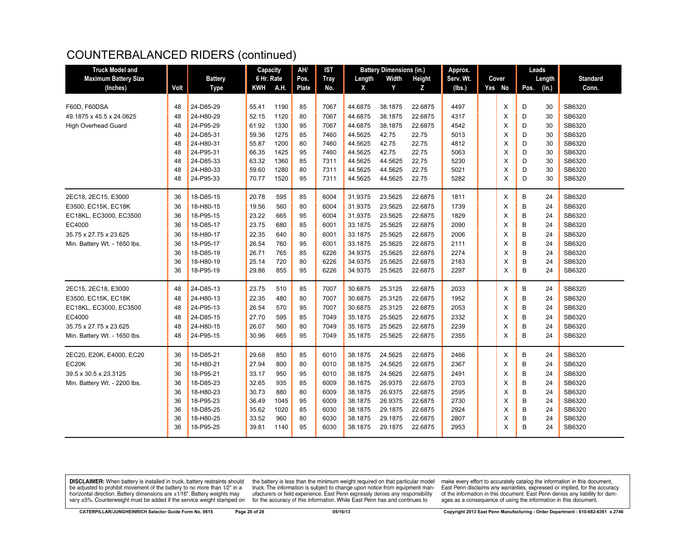| <b>Truck Model and</b>       |      |                | Capacity   |      | AH/   | <b>IST</b>  |         | <b>Battery Dimensions (in.)</b> |         | Approx.   |        |      | Leads  |                 |
|------------------------------|------|----------------|------------|------|-------|-------------|---------|---------------------------------|---------|-----------|--------|------|--------|-----------------|
| <b>Maximum Battery Size</b>  |      | <b>Battery</b> | 6 Hr. Rate |      | Pos.  | <b>Tray</b> | Length  | Width                           | Height  | Serv. Wt. | Cover  |      | Length | <b>Standard</b> |
| (Inches)                     | Volt | <b>Type</b>    | <b>KWH</b> | A.H. | Plate | No.         | X       | Y                               | z       | (lbs.)    | Yes No | Pos. | (in.)  | Conn.           |
|                              |      |                |            |      |       |             |         |                                 |         |           |        |      |        |                 |
| F60D, F60DSA                 | 48   | 24-D85-29      | 55.41      | 1190 | 85    | 7067        | 44.6875 | 38.1875                         | 22.6875 | 4497      | Χ      | D    | 30     | SB6320          |
| 49.1875 x 45.5 x 24.0625     | 48   | 24-H80-29      | 52.15      | 1120 | 80    | 7067        | 44.6875 | 38.1875                         | 22.6875 | 4317      | X      | D    | 30     | SB6320          |
| <b>High Overhead Guard</b>   | 48   | 24-P95-29      | 61.92      | 1330 | 95    | 7067        | 44.6875 | 38.1875                         | 22.6875 | 4542      | X      | D    | 30     | SB6320          |
|                              | 48   | 24-D85-31      | 59.36      | 1275 | 85    | 7460        | 44.5625 | 42.75                           | 22.75   | 5013      | х      | D    | 30     | SB6320          |
|                              | 48   | 24-H80-31      | 55.87      | 1200 | 80    | 7460        | 44.5625 | 42.75                           | 22.75   | 4812      | X      | D    | 30     | SB6320          |
|                              | 48   | 24-P95-31      | 66.35      | 1425 | 95    | 7460        | 44.5625 | 42.75                           | 22.75   | 5063      | X      | D    | 30     | SB6320          |
|                              | 48   | 24-D85-33      | 63.32      | 1360 | 85    | 7311        | 44.5625 | 44.5625                         | 22.75   | 5230      | X      | D    | 30     | SB6320          |
|                              | 48   | 24-H80-33      | 59.60      | 1280 | 80    | 7311        | 44.5625 | 44.5625                         | 22.75   | 5021      | X      | D    | 30     | SB6320          |
|                              | 48   | 24-P95-33      | 70.77      | 1520 | 95    | 7311        | 44.5625 | 44.5625                         | 22.75   | 5282      | X      | D    | 30     | SB6320          |
| 2EC18, 2EC15, E3000          | 36   | 18-D85-15      | 20.78      | 595  | 85    | 6004        | 31.9375 | 23.5625                         | 22.6875 | 1811      | X      | В    | 24     | SB6320          |
| E3500, EC15K, EC18K          | 36   | 18-H80-15      | 19.56      | 560  | 80    | 6004        | 31.9375 | 23.5625                         | 22.6875 | 1739      | X      | B    | 24     | SB6320          |
| EC18KL, EC3000, EC3500       | 36   | 18-P95-15      | 23.22      | 665  | 95    | 6004        | 31.9375 | 23.5625                         | 22.6875 | 1829      | X      | B    | 24     | SB6320          |
| EC4000                       | 36   | 18-D85-17      | 23.75      | 680  | 85    | 6001        | 33.1875 | 25.5625                         | 22.6875 | 2090      | х      | B    | 24     | SB6320          |
| 35.75 x 27.75 x 23.625       | 36   | 18-H80-17      | 22.35      | 640  | 80    | 6001        | 33.1875 | 25.5625                         | 22.6875 | 2006      | X      | B    | 24     | SB6320          |
| Min. Battery Wt. - 1650 lbs. | 36   | 18-P95-17      | 26.54      | 760  | 95    | 6001        | 33.1875 | 25.5625                         | 22.6875 | 2111      | X      | B    | 24     | SB6320          |
|                              | 36   | 18-D85-19      | 26.71      | 765  | 85    | 6226        | 34.9375 | 25.5625                         | 22.6875 | 2274      | X      | B    | 24     | SB6320          |
|                              | 36   | 18-H80-19      | 25.14      | 720  | 80    | 6226        | 34.9375 | 25.5625                         | 22.6875 | 2183      | X      | B    | 24     | SB6320          |
|                              | 36   | 18-P95-19      | 29.86      | 855  | 95    | 6226        | 34.9375 | 25.5625                         | 22.6875 | 2297      | X      | B    | 24     | SB6320          |
| 2EC15, 2EC18, E3000          | 48   | 24-D85-13      | 23.75      | 510  | 85    | 7007        | 30.6875 | 25.3125                         | 22.6875 | 2033      | X      | В    | 24     | SB6320          |
| E3500, EC15K, EC18K          | 48   | 24-H80-13      | 22.35      | 480  | 80    | 7007        | 30.6875 | 25.3125                         | 22.6875 | 1952      | X      | B    | 24     | SB6320          |
| EC18KL, EC3000, EC3500       | 48   | 24-P95-13      | 26.54      | 570  | 95    | 7007        | 30.6875 | 25.3125                         | 22.6875 | 2053      | X      | B    | 24     | SB6320          |
| EC4000                       | 48   | 24-D85-15      | 27.70      | 595  | 85    | 7049        | 35.1875 | 25.5625                         | 22.6875 | 2332      | X      | B    | 24     | SB6320          |
| 35.75 x 27.75 x 23.625       | 48   | 24-H80-15      | 26.07      | 560  | 80    | 7049        | 35.1875 | 25.5625                         | 22.6875 | 2239      | X      | B    | 24     | SB6320          |
| Min. Battery Wt. - 1650 lbs. | 48   | 24-P95-15      | 30.96      | 665  | 95    | 7049        | 35.1875 | 25.5625                         | 22.6875 | 2355      | X      | B    | 24     | SB6320          |
| 2EC20, E20K, E4000, EC20     | 36   | 18-D85-21      | 29.68      | 850  | 85    | 6010        | 38.1875 | 24.5625                         | 22.6875 | 2466      | х      | B    | 24     | SB6320          |
| EC <sub>20</sub> K           | 36   | 18-H80-21      | 27.94      | 800  | 80    | 6010        | 38.1875 | 24.5625                         | 22.6875 | 2367      | X      | B    | 24     | SB6320          |
| 39.5 x 30.5 x 23.3125        | 36   | 18-P95-21      | 33.17      | 950  | 95    | 6010        | 38.1875 | 24.5625                         | 22.6875 | 2491      | X      | B    | 24     | SB6320          |
| Min. Battery Wt. - 2200 lbs. | 36   | 18-D85-23      | 32.65      | 935  | 85    | 6009        | 38.1875 | 26.9375                         | 22.6875 | 2703      | X      | B    | 24     | SB6320          |
|                              | 36   | 18-H80-23      | 30.73      | 880  | 80    | 6009        | 38.1875 | 26.9375                         | 22.6875 | 2595      | х      | B    | 24     | SB6320          |
|                              | 36   | 18-P95-23      | 36.49      | 1045 | 95    | 6009        | 38.1875 | 26.9375                         | 22.6875 | 2730      | Х      | B    | 24     | SB6320          |
|                              | 36   | 18-D85-25      | 35.62      | 1020 | 85    | 6030        | 38.1875 | 29.1875                         | 22.6875 | 2924      | х      | B    | 24     | SB6320          |
|                              | 36   | 18-H80-25      | 33.52      | 960  | 80    | 6030        | 38.1875 | 29.1875                         | 22.6875 | 2807      | х      | B    | 24     | SB6320          |
|                              | 36   | 18-P95-25      | 39.81      | 1140 | 95    | 6030        | 38.1875 | 29.1875                         | 22.6875 | 2953      | X      | B    | 24     | SB6320          |
|                              |      |                |            |      |       |             |         |                                 |         |           |        |      |        |                 |

**DISCLAIMER:** When battery is installed in truck, battery restraints should be adjusted to prohibit movement of the battery to no more than 1/2" in a be added in the behavior of the behavior of the behavior of the behavior of the behavior of the behavior of the behavior of the behavior of the service weight sharped on vary  $\pm$ 5%. Counterweight must be added if the ser

the battery is less than the minimum weight required on that particular model<br>truck. The information is subject to change upon notice from equipment man-<br>ufacturers or field experience. East Penn expressly denies any respo for the accuracy of this information. While East Penn has and continues to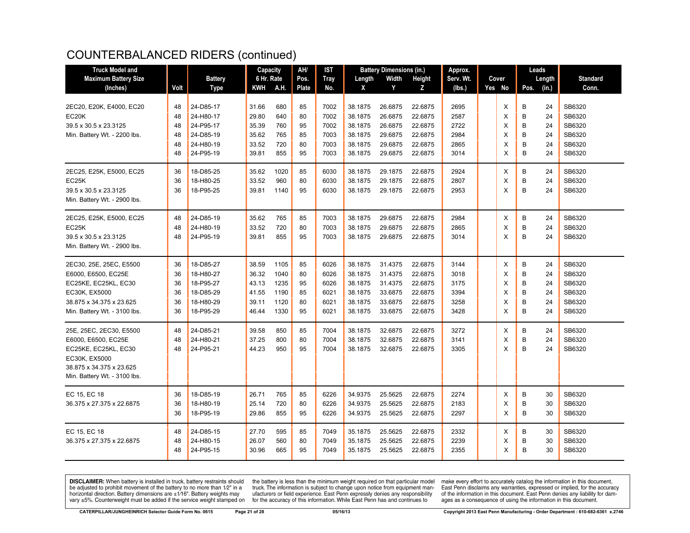| <b>Truck Model and</b>       |      |                | Capacity   |      | AH/   | IST         |         | <b>Battery Dimensions (in.)</b> |         | Approx.   |        | Leads |        |                 |
|------------------------------|------|----------------|------------|------|-------|-------------|---------|---------------------------------|---------|-----------|--------|-------|--------|-----------------|
| <b>Maximum Battery Size</b>  |      | <b>Battery</b> | 6 Hr. Rate |      | Pos.  | <b>Tray</b> | Length  | Width                           | Height  | Serv. Wt. | Cover  |       | Length | <b>Standard</b> |
| (Inches)                     | Volt | <b>Type</b>    | KWH        | A.H. | Plate | No.         | X       | Y                               | z       | (lbs.)    | Yes No | Pos.  | (in.)  | Conn.           |
|                              |      |                |            |      |       |             |         |                                 |         |           |        |       |        |                 |
| 2EC20, E20K, E4000, EC20     | 48   | 24-D85-17      | 31.66      | 680  | 85    | 7002        | 38.1875 | 26.6875                         | 22.6875 | 2695      | X      | в     | 24     | SB6320          |
| EC20K                        | 48   | 24-H80-17      | 29.80      | 640  | 80    | 7002        | 38.1875 | 26.6875                         | 22.6875 | 2587      | X      | B     | 24     | SB6320          |
| 39.5 x 30.5 x 23.3125        | 48   | 24-P95-17      | 35.39      | 760  | 95    | 7002        | 38.1875 | 26.6875                         | 22.6875 | 2722      | X      | B     | 24     | SB6320          |
| Min. Battery Wt. - 2200 lbs. | 48   | 24-D85-19      | 35.62      | 765  | 85    | 7003        | 38.1875 | 29.6875                         | 22.6875 | 2984      | X      | B     | 24     | SB6320          |
|                              | 48   | 24-H80-19      | 33.52      | 720  | 80    | 7003        | 38.1875 | 29.6875                         | 22.6875 | 2865      | X      | B     | 24     | SB6320          |
|                              | 48   | 24-P95-19      | 39.81      | 855  | 95    | 7003        | 38.1875 | 29.6875                         | 22.6875 | 3014      | X      | B     | 24     | SB6320          |
| 2EC25, E25K, E5000, EC25     | 36   | 18-D85-25      | 35.62      | 1020 | 85    | 6030        | 38.1875 | 29.1875                         | 22.6875 | 2924      | Х      | B     | 24     | SB6320          |
| EC25K                        | 36   | 18-H80-25      | 33.52      | 960  | 80    | 6030        | 38.1875 | 29.1875                         | 22.6875 | 2807      | X      | B     | 24     | SB6320          |
| 39.5 x 30.5 x 23.3125        | 36   | 18-P95-25      | 39.81      | 1140 | 95    | 6030        | 38.1875 | 29.1875                         | 22.6875 | 2953      | X      | B     | 24     | SB6320          |
| Min. Battery Wt. - 2900 lbs. |      |                |            |      |       |             |         |                                 |         |           |        |       |        |                 |
| 2EC25, E25K, E5000, EC25     | 48   | 24-D85-19      | 35.62      | 765  | 85    | 7003        | 38.1875 | 29.6875                         | 22.6875 | 2984      | X      | B     | 24     | SB6320          |
| EC25K                        | 48   | 24-H80-19      | 33.52      | 720  | 80    | 7003        | 38.1875 | 29.6875                         | 22.6875 | 2865      | X      | B     | 24     | SB6320          |
| 39.5 x 30.5 x 23.3125        | 48   | 24-P95-19      | 39.81      | 855  | 95    | 7003        | 38.1875 | 29.6875                         | 22.6875 | 3014      | X      | B     | 24     | SB6320          |
| Min. Battery Wt. - 2900 lbs. |      |                |            |      |       |             |         |                                 |         |           |        |       |        |                 |
| 2EC30, 25E, 25EC, E5500      | 36   | 18-D85-27      | 38.59      | 1105 | 85    | 6026        | 38.1875 | 31.4375                         | 22.6875 | 3144      | X      | B     | 24     | SB6320          |
| E6000, E6500, EC25E          | 36   | 18-H80-27      | 36.32      | 1040 | 80    | 6026        | 38.1875 | 31.4375                         | 22.6875 | 3018      | X      | B     | 24     | SB6320          |
| EC25KE, EC25KL, EC30         | 36   | 18-P95-27      | 43.13      | 1235 | 95    | 6026        | 38.1875 | 31.4375                         | 22.6875 | 3175      | X      | B     | 24     | SB6320          |
| EC30K, EX5000                | 36   | 18-D85-29      | 41.55      | 1190 | 85    | 6021        | 38.1875 | 33.6875                         | 22.6875 | 3394      | X      | B     | 24     | SB6320          |
| 38.875 x 34.375 x 23.625     | 36   | 18-H80-29      | 39.11      | 1120 | 80    | 6021        | 38.1875 | 33.6875                         | 22.6875 | 3258      | X      | B     | 24     | SB6320          |
| Min. Battery Wt. - 3100 lbs. | 36   | 18-P95-29      | 46.44      | 1330 | 95    | 6021        | 38.1875 | 33.6875                         | 22.6875 | 3428      | X      | B     | 24     | SB6320          |
| 25E, 25EC, 2EC30, E5500      | 48   | 24-D85-21      | 39.58      | 850  | 85    | 7004        | 38.1875 | 32.6875                         | 22.6875 | 3272      | Х      | B     | 24     | SB6320          |
| E6000, E6500, EC25E          | 48   | 24-H80-21      | 37.25      | 800  | 80    | 7004        | 38.1875 | 32.6875                         | 22.6875 | 3141      | X      | B     | 24     | SB6320          |
| EC25KE, EC25KL, EC30         | 48   | 24-P95-21      | 44.23      | 950  | 95    | 7004        | 38.1875 | 32.6875                         | 22.6875 | 3305      | X      | B     | 24     | SB6320          |
| EC30K, EX5000                |      |                |            |      |       |             |         |                                 |         |           |        |       |        |                 |
| 38.875 x 34.375 x 23.625     |      |                |            |      |       |             |         |                                 |         |           |        |       |        |                 |
| Min. Battery Wt. - 3100 lbs. |      |                |            |      |       |             |         |                                 |         |           |        |       |        |                 |
| EC 15, EC 18                 | 36   | 18-D85-19      | 26.71      | 765  | 85    | 6226        | 34.9375 | 25.5625                         | 22.6875 | 2274      | X      | B     | 30     | SB6320          |
| 36.375 x 27.375 x 22.6875    | 36   | 18-H80-19      | 25.14      | 720  | 80    | 6226        | 34.9375 | 25.5625                         | 22.6875 | 2183      | X      | B     | 30     | SB6320          |
|                              | 36   | 18-P95-19      | 29.86      | 855  | 95    | 6226        | 34.9375 | 25.5625                         | 22.6875 | 2297      | X      | B     | 30     | SB6320          |
| EC 15, EC 18                 | 48   | 24-D85-15      | 27.70      | 595  | 85    | 7049        | 35.1875 | 25.5625                         | 22.6875 | 2332      | Х      | B     | 30     | SB6320          |
| 36.375 x 27.375 x 22.6875    | 48   | 24-H80-15      | 26.07      | 560  | 80    | 7049        | 35.1875 | 25.5625                         | 22.6875 | 2239      | X      | B     | 30     | SB6320          |
|                              | 48   | 24-P95-15      | 30.96      | 665  | 95    | 7049        | 35.1875 | 25.5625                         | 22.6875 | 2355      | X      | B     | 30     | SB6320          |

**DISCLAIMER:** When battery is installed in truck, battery restraints should be adjusted to prohibit movement of the battery to no more than 1/2" in a horizontal direction. Battery dimensions are  $\pm 1/16$ ". Battery weights may vary ±5%. Counterweight must be added if the service weight stamped on

the battery is less than the minimum weight required on that particular model<br>truck. The information is subject to change upon notice from equipment manufacturers or field experience. East Penn expressly denies any responsibility for the accuracy of this information. While East Penn has and continues to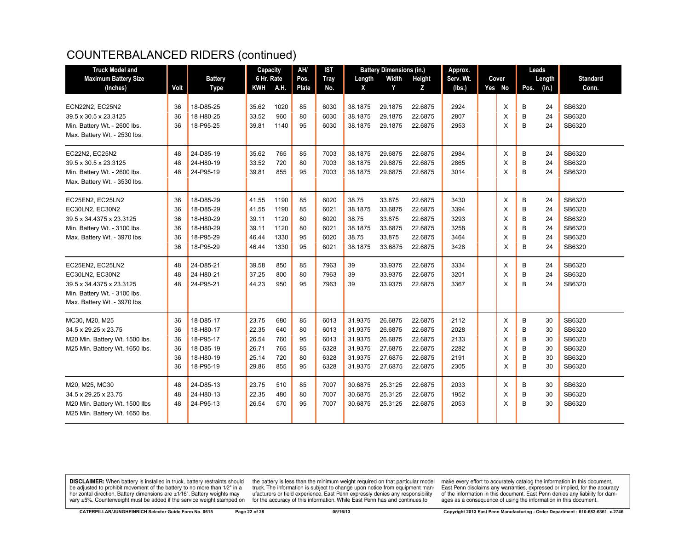| <b>Truck Model and</b>         |      |                | Capacity   |      | AH/          | <b>IST</b>  |         | <b>Battery Dimensions (in.)</b> |         | Approx.   |        | Leads |        |                 |
|--------------------------------|------|----------------|------------|------|--------------|-------------|---------|---------------------------------|---------|-----------|--------|-------|--------|-----------------|
| <b>Maximum Battery Size</b>    |      | <b>Battery</b> | 6 Hr. Rate |      | Pos.         | <b>Tray</b> | Length  | Width                           | Height  | Serv. Wt. | Cover  |       | Length | <b>Standard</b> |
| (Inches)                       | Volt | <b>Type</b>    | <b>KWH</b> | A.H. | <b>Plate</b> | No.         | X       | Y                               | z       | (lbs.)    | Yes No | Pos.  | (in.)  | Conn.           |
| ECN22N2, EC25N2                | 36   | 18-D85-25      | 35.62      | 1020 | 85           | 6030        | 38.1875 | 29.1875                         | 22.6875 | 2924      | X      | B     | 24     | SB6320          |
| 39.5 x 30.5 x 23.3125          | 36   | 18-H80-25      | 33.52      | 960  | 80           | 6030        | 38.1875 | 29.1875                         | 22.6875 | 2807      | X      | B     | 24     | SB6320          |
| Min. Battery Wt. - 2600 lbs.   | 36   | 18-P95-25      | 39.81      | 1140 | 95           | 6030        | 38.1875 | 29.1875                         | 22.6875 | 2953      | X      | B     | 24     | SB6320          |
| Max. Battery Wt. - 2530 lbs.   |      |                |            |      |              |             |         |                                 |         |           |        |       |        |                 |
| EC22N2, EC25N2                 | 48   | 24-D85-19      | 35.62      | 765  | 85           | 7003        | 38.1875 | 29.6875                         | 22.6875 | 2984      | Χ      | B     | 24     | SB6320          |
| 39.5 x 30.5 x 23.3125          | 48   | 24-H80-19      | 33.52      | 720  | 80           | 7003        | 38.1875 | 29.6875                         | 22.6875 | 2865      | X      | B     | 24     | SB6320          |
| Min. Battery Wt. - 2600 lbs.   | 48   | 24-P95-19      | 39.81      | 855  | 95           | 7003        | 38.1875 | 29.6875                         | 22.6875 | 3014      | X      | B     | 24     | SB6320          |
| Max. Battery Wt. - 3530 lbs.   |      |                |            |      |              |             |         |                                 |         |           |        |       |        |                 |
| EC25EN2, EC25LN2               | 36   | 18-D85-29      | 41.55      | 1190 | 85           | 6020        | 38.75   | 33.875                          | 22.6875 | 3430      | Χ      | B     | 24     | SB6320          |
| EC30LN2, EC30N2                | 36   | 18-D85-29      | 41.55      | 1190 | 85           | 6021        | 38.1875 | 33.6875                         | 22.6875 | 3394      | X      | B     | 24     | SB6320          |
| 39.5 x 34.4375 x 23.3125       | 36   | 18-H80-29      | 39.11      | 1120 | 80           | 6020        | 38.75   | 33.875                          | 22.6875 | 3293      | X      | B     | 24     | SB6320          |
| Min. Battery Wt. - 3100 lbs.   | 36   | 18-H80-29      | 39.11      | 1120 | 80           | 6021        | 38.1875 | 33.6875                         | 22.6875 | 3258      | X      | B     | 24     | SB6320          |
| Max. Battery Wt. - 3970 lbs.   | 36   | 18-P95-29      | 46.44      | 1330 | 95           | 6020        | 38.75   | 33.875                          | 22.6875 | 3464      | X      | B     | 24     | SB6320          |
|                                | 36   | 18-P95-29      | 46.44      | 1330 | 95           | 6021        | 38.1875 | 33.6875                         | 22.6875 | 3428      | X      | B     | 24     | SB6320          |
| EC25EN2, EC25LN2               | 48   | 24-D85-21      | 39.58      | 850  | 85           | 7963        | 39      | 33.9375                         | 22.6875 | 3334      | X      | В     | 24     | SB6320          |
| EC30LN2, EC30N2                | 48   | 24-H80-21      | 37.25      | 800  | 80           | 7963        | 39      | 33.9375                         | 22.6875 | 3201      | X      | B     | 24     | SB6320          |
| 39.5 x 34.4375 x 23.3125       | 48   | 24-P95-21      | 44.23      | 950  | 95           | 7963        | 39      | 33.9375                         | 22.6875 | 3367      | X      | B     | 24     | SB6320          |
| Min. Battery Wt. - 3100 lbs.   |      |                |            |      |              |             |         |                                 |         |           |        |       |        |                 |
| Max. Battery Wt. - 3970 lbs.   |      |                |            |      |              |             |         |                                 |         |           |        |       |        |                 |
| MC30, M20, M25                 | 36   | 18-D85-17      | 23.75      | 680  | 85           | 6013        | 31.9375 | 26.6875                         | 22.6875 | 2112      | Χ      | B     | 30     | SB6320          |
| 34.5 x 29.25 x 23.75           | 36   | 18-H80-17      | 22.35      | 640  | 80           | 6013        | 31.9375 | 26.6875                         | 22.6875 | 2028      | X      | B     | 30     | SB6320          |
| M20 Min. Battery Wt. 1500 lbs. | 36   | 18-P95-17      | 26.54      | 760  | 95           | 6013        | 31.9375 | 26.6875                         | 22.6875 | 2133      | X      | B     | 30     | SB6320          |
| M25 Min. Battery Wt. 1650 lbs. | 36   | 18-D85-19      | 26.71      | 765  | 85           | 6328        | 31.9375 | 27.6875                         | 22.6875 | 2282      | X      | B     | 30     | SB6320          |
|                                | 36   | 18-H80-19      | 25.14      | 720  | 80           | 6328        | 31.9375 | 27.6875                         | 22.6875 | 2191      | X      | B     | 30     | SB6320          |
|                                | 36   | 18-P95-19      | 29.86      | 855  | 95           | 6328        | 31.9375 | 27.6875                         | 22.6875 | 2305      | X      | B     | 30     | SB6320          |
| M20, M25, MC30                 | 48   | 24-D85-13      | 23.75      | 510  | 85           | 7007        | 30.6875 | 25.3125                         | 22.6875 | 2033      | Χ      | B     | 30     | SB6320          |
| 34.5 x 29.25 x 23.75           | 48   | 24-H80-13      | 22.35      | 480  | 80           | 7007        | 30.6875 | 25.3125                         | 22.6875 | 1952      | X      | B     | 30     | SB6320          |
| M20 Min. Battery Wt. 1500 llbs | 48   | 24-P95-13      | 26.54      | 570  | 95           | 7007        | 30.6875 | 25.3125                         | 22.6875 | 2053      | X      | B     | 30     | SB6320          |
| M25 Min. Battery Wt. 1650 lbs. |      |                |            |      |              |             |         |                                 |         |           |        |       |        |                 |

**DISCLAIMER:** When battery is installed in truck, battery restraints should be adjusted to prohibit movement of the battery to no more than 1/2" in a be added in the behavior of the behavior of the behavior of the behavior of the behavior of the behavior of the behavior of the behavior of the service weight sharped on vary  $\pm$ 5%. Counterweight must be added if the ser

the battery is less than the minimum weight required on that particular model<br>truck. The information is subject to change upon notice from equipment man-<br>ufacturers or field experience. East Penn expressly denies any respo for the accuracy of this information. While East Penn has and continues to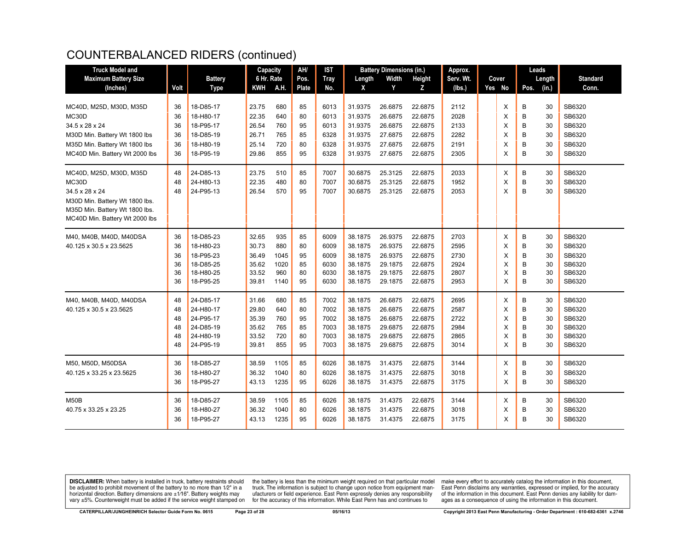| <b>Maximum Battery Size</b><br>6 Hr. Rate<br>Width<br>Serv. Wt.<br><b>Battery</b><br>Pos.<br><b>Tray</b><br>Height<br>Cover<br>Length<br>Length<br>A.H.<br><b>Plate</b><br>Y<br>Yes No<br>(in.)<br>(Inches)<br>Volt<br><b>Type</b><br><b>KWH</b><br>No.<br>X<br>z<br>(lbs.)<br>Pos. | <b>Standard</b><br>Conn.<br>SB6320<br>SB6320 |
|-------------------------------------------------------------------------------------------------------------------------------------------------------------------------------------------------------------------------------------------------------------------------------------|----------------------------------------------|
|                                                                                                                                                                                                                                                                                     |                                              |
|                                                                                                                                                                                                                                                                                     |                                              |
|                                                                                                                                                                                                                                                                                     |                                              |
| 85<br>X<br>B<br>MC40D, M25D, M30D, M35D<br>36<br>18-D85-17<br>23.75<br>680<br>6013<br>31.9375<br>26.6875<br>22.6875<br>2112<br>30                                                                                                                                                   |                                              |
| 22.35<br>640<br>80<br>26.6875<br>2028<br>B<br>MC30D<br>36<br>18-H80-17<br>6013<br>31.9375<br>22.6875<br>X<br>30                                                                                                                                                                     |                                              |
| 760<br>B<br>SB6320<br>34.5 x 28 x 24<br>36<br>18-P95-17<br>26.54<br>95<br>6013<br>31.9375<br>26.6875<br>22.6875<br>2133<br>X<br>30                                                                                                                                                  |                                              |
| 26.71<br>765<br>X<br>B<br>M30D Min. Battery Wt 1800 lbs<br>36<br>18-D85-19<br>85<br>6328<br>31.9375<br>27.6875<br>22.6875<br>2282<br>30                                                                                                                                             | SB6320                                       |
| M35D Min. Battery Wt 1800 lbs<br>36<br>18-H80-19<br>25.14<br>720<br>80<br>6328<br>31.9375<br>27.6875<br>22.6875<br>2191<br>X<br>B<br>30                                                                                                                                             | SB6320                                       |
| B<br>29.86<br>27.6875<br>MC40D Min. Battery Wt 2000 lbs<br>36<br>18-P95-19<br>855<br>95<br>6328<br>31.9375<br>22.6875<br>2305<br>X<br>30                                                                                                                                            | SB6320                                       |
| 23.75<br>2033<br>B<br>MC40D, M25D, M30D, M35D<br>48<br>24-D85-13<br>510<br>85<br>7007<br>30.6875<br>25.3125<br>22.6875<br>30<br>Х                                                                                                                                                   | SB6320                                       |
| 25.3125<br>1952<br>B<br>MC30D<br>48<br>24-H80-13<br>22.35<br>480<br>80<br>7007<br>30.6875<br>22.6875<br>X<br>30                                                                                                                                                                     | SB6320                                       |
| B<br>26.54<br>570<br>95<br>25.3125<br>2053<br>X<br>30<br>34.5 x 28 x 24<br>48<br>24-P95-13<br>7007<br>30.6875<br>22.6875                                                                                                                                                            | SB6320                                       |
| M30D Min. Battery Wt 1800 lbs.                                                                                                                                                                                                                                                      |                                              |
| M35D Min. Battery Wt 1800 lbs.                                                                                                                                                                                                                                                      |                                              |
| MC40D Min. Battery Wt 2000 lbs                                                                                                                                                                                                                                                      |                                              |
| B<br>M40, M40B, M40D, M40DSA<br>18-D85-23<br>32.65<br>935<br>85<br>6009<br>38.1875<br>26.9375<br>22.6875<br>2703<br>36<br>X<br>30                                                                                                                                                   | SB6320                                       |
| B<br>36<br>18-H80-23<br>30.73<br>880<br>80<br>6009<br>38.1875<br>26.9375<br>22.6875<br>2595<br>X<br>30<br>40.125 x 30.5 x 23.5625                                                                                                                                                   | SB6320                                       |
| 95<br>26.9375<br>22.6875<br>2730<br>X<br>B<br>36<br>18-P95-23<br>36.49<br>1045<br>6009<br>38.1875<br>30                                                                                                                                                                             | SB6320                                       |
| 1020<br>85<br>29.1875<br>22.6875<br>2924<br>X<br>B<br>36<br>18-D85-25<br>35.62<br>6030<br>38.1875<br>30                                                                                                                                                                             | SB6320                                       |
| B<br>36<br>18-H80-25<br>33.52<br>960<br>80<br>29.1875<br>22.6875<br>2807<br>X<br>30<br>6030<br>38.1875                                                                                                                                                                              | SB6320                                       |
| B<br>36<br>18-P95-25<br>39.81<br>1140<br>95<br>38.1875<br>29.1875<br>22.6875<br>2953<br>X<br>30<br>6030                                                                                                                                                                             | SB6320                                       |
| 24-D85-17<br>31.66<br>680<br>38.1875<br>26.6875<br>22.6875<br>2695<br>B<br>M40, M40B, M40D, M40DSA<br>48<br>85<br>7002<br>X<br>30                                                                                                                                                   | SB6320                                       |
| 640<br>80<br>7002<br>26.6875<br>22.6875<br>2587<br>X<br>B<br>30<br>40.125 x 30.5 x 23.5625<br>48<br>24-H80-17<br>29.80<br>38.1875                                                                                                                                                   | SB6320                                       |
| 2722<br>48<br>24-P95-17<br>35.39<br>760<br>95<br>7002<br>38.1875<br>26.6875<br>22.6875<br>X<br>B<br>30                                                                                                                                                                              | SB6320                                       |
| 24-D85-19<br>765<br>85<br>38.1875<br>29.6875<br>22.6875<br>2984<br>X<br>B<br>48<br>35.62<br>7003<br>30                                                                                                                                                                              | SB6320                                       |
| 24-H80-19<br>33.52<br>720<br>38.1875<br>29.6875<br>2865<br>X<br>B<br>30<br>48<br>80<br>7003<br>22.6875                                                                                                                                                                              | SB6320                                       |
| B<br>24-P95-19<br>39.81<br>855<br>95<br>38.1875<br>29.6875<br>22.6875<br>3014<br>X<br>30<br>48<br>7003                                                                                                                                                                              | SB6320                                       |
| M50, M50D, M50DSA<br>18-D85-27<br>1105<br>85<br>6026<br>31.4375<br>22.6875<br>3144<br>30<br>36<br>38.59<br>38.1875<br>X<br>B                                                                                                                                                        | SB6320                                       |
| 36.32<br>1040<br>3018<br>B<br>40.125 x 33.25 x 23.5625<br>36<br>18-H80-27<br>80<br>6026<br>38.1875<br>31.4375<br>22.6875<br>X<br>30                                                                                                                                                 | SB6320                                       |
| B<br>1235<br>3175<br>36<br>18-P95-27<br>43.13<br>95<br>6026<br>38.1875<br>31.4375<br>22.6875<br>X<br>30                                                                                                                                                                             | SB6320                                       |
| <b>M50B</b><br>18-D85-27<br>38.59<br>1105<br>85<br>6026<br>31.4375<br>22.6875<br>3144<br>X<br>B<br>36<br>38.1875<br>30                                                                                                                                                              | SB6320                                       |
| 36.32<br>1040<br>3018<br>B<br>40.75 x 33.25 x 23.25<br>36<br>18-H80-27<br>80<br>6026<br>38.1875<br>31.4375<br>22.6875<br>X<br>30                                                                                                                                                    | SB6320                                       |
| 18-P95-27<br>3175<br>B<br>36<br>43.13<br>1235<br>95<br>6026<br>38.1875<br>31.4375<br>22.6875<br>X<br>30                                                                                                                                                                             | SB6320                                       |

**DISCLAIMER:** When battery is installed in truck, battery restraints should be adjusted to prohibit movement of the battery to no more than 1/2" in a be added in the behavior of the behavior of the behavior of the behavior of the behavior of the behavior of the behavior of the behavior of the service weight sharped on vary  $\pm$ 5%. Counterweight must be added if the ser

the battery is less than the minimum weight required on that particular model<br>truck. The information is subject to change upon notice from equipment man-<br>ufacturers or field experience. East Penn expressly denies any respo for the accuracy of this information. While East Penn has and continues to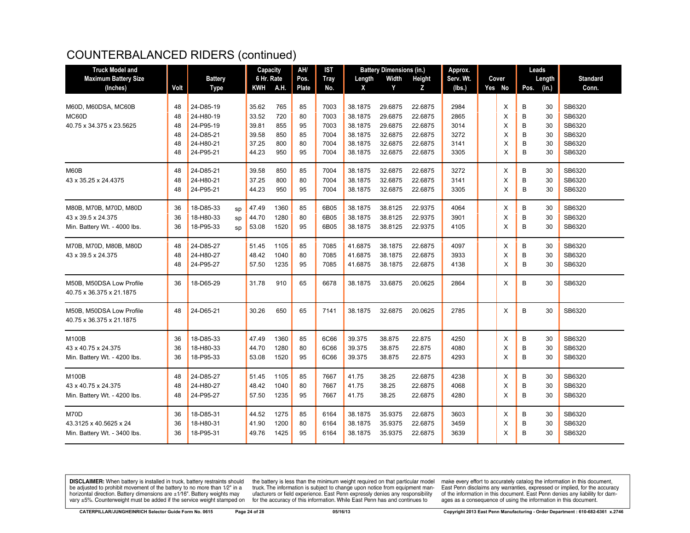| <b>Truck Model and</b>       |      |                |    | Capacity       |      | AH/          | IST         |         | <b>Battery Dimensions (in.)</b> |         | Approx.   |  |        | Leads  |        |                 |  |
|------------------------------|------|----------------|----|----------------|------|--------------|-------------|---------|---------------------------------|---------|-----------|--|--------|--------|--------|-----------------|--|
| <b>Maximum Battery Size</b>  |      | <b>Battery</b> |    | 6 Hr. Rate     |      | Pos.         | <b>Tray</b> | Length  | Width                           | Height  | Serv. Wt. |  | Cover  |        | Length | <b>Standard</b> |  |
| (Inches)                     | Volt | <b>Type</b>    |    | KWH            | A.H. | <b>Plate</b> | No.         | X       | Y                               | Z       | (lbs.)    |  | Yes No | Pos.   | (in.)  | Conn.           |  |
|                              |      |                |    |                |      |              |             |         |                                 |         |           |  |        |        |        |                 |  |
| M60D, M60DSA, MC60B          | 48   | 24-D85-19      |    | 35.62          | 765  | 85           | 7003        | 38.1875 | 29.6875                         | 22.6875 | 2984      |  | X      | B      | 30     | SB6320          |  |
| MC60D                        | 48   | 24-H80-19      |    | 33.52          | 720  | 80           | 7003        | 38.1875 | 29.6875                         | 22.6875 | 2865      |  | X      | B      | 30     | SB6320          |  |
| 40.75 x 34.375 x 23.5625     | 48   | 24-P95-19      |    | 39.81          | 855  | 95           | 7003        | 38.1875 | 29.6875                         | 22.6875 | 3014      |  | X      | B      | 30     | SB6320          |  |
|                              | 48   | 24-D85-21      |    | 39.58          | 850  | 85           | 7004        | 38.1875 | 32.6875                         | 22.6875 | 3272      |  | Х      | B      | 30     | SB6320          |  |
|                              | 48   | 24-H80-21      |    | 37.25          | 800  | 80           | 7004        | 38.1875 | 32.6875                         | 22.6875 | 3141      |  | X      | B      | 30     | SB6320          |  |
|                              | 48   | 24-P95-21      |    | 44.23          | 950  | 95           | 7004        | 38.1875 | 32.6875                         | 22.6875 | 3305      |  | X      | B      | 30     | SB6320          |  |
| M60B                         | 48   | 24-D85-21      |    | 39.58          | 850  | 85           | 7004        | 38.1875 | 32.6875                         | 22.6875 | 3272      |  | X      | B      | 30     | SB6320          |  |
| 43 x 35.25 x 24.4375         | 48   | 24-H80-21      |    | 37.25          | 800  | 80           | 7004        | 38.1875 | 32.6875                         | 22.6875 | 3141      |  | X      | B      | 30     | SB6320          |  |
|                              | 48   | 24-P95-21      |    | 44.23          | 950  | 95           | 7004        | 38.1875 | 32.6875                         | 22.6875 | 3305      |  | X      | B      | 30     | SB6320          |  |
|                              |      |                |    |                |      |              |             |         |                                 |         |           |  |        |        |        |                 |  |
| M80B, M70B, M70D, M80D       | 36   | 18-D85-33      | sp | 47.49          | 1360 | 85           | 6B05        | 38.1875 | 38.8125                         | 22.9375 | 4064      |  | X      | B      | 30     | SB6320          |  |
| 43 x 39.5 x 24.375           | 36   | 18-H80-33      | sp | 44.70          | 1280 | 80           | 6B05        | 38.1875 | 38.8125                         | 22.9375 | 3901      |  | X      | B      | 30     | SB6320          |  |
| Min. Battery Wt. - 4000 lbs. | 36   | 18-P95-33      | sp | 53.08          | 1520 | 95           | 6B05        | 38.1875 | 38.8125                         | 22.9375 | 4105      |  | X      | B      | 30     | SB6320          |  |
| M70B, M70D, M80B, M80D       | 48   | 24-D85-27      |    | 51.45          | 1105 | 85           | 7085        | 41.6875 | 38.1875                         | 22.6875 | 4097      |  | Х      | B      | 30     | SB6320          |  |
| 43 x 39.5 x 24.375           | 48   | 24-H80-27      |    | 48.42          | 1040 | 80           | 7085        | 41.6875 | 38.1875                         | 22.6875 | 3933      |  | X      | B      | 30     | SB6320          |  |
|                              | 48   | 24-P95-27      |    | 57.50          | 1235 | 95           | 7085        | 41.6875 | 38.1875                         | 22.6875 | 4138      |  | X      | B      | 30     | SB6320          |  |
|                              |      |                |    |                |      |              |             |         |                                 |         |           |  |        |        |        |                 |  |
| M50B, M50DSA Low Profile     | 36   | 18-D65-29      |    | 31.78          | 910  | 65           | 6678        | 38.1875 | 33.6875                         | 20.0625 | 2864      |  | X      | B      | 30     | SB6320          |  |
| 40.75 x 36.375 x 21.1875     |      |                |    |                |      |              |             |         |                                 |         |           |  |        |        |        |                 |  |
| M50B, M50DSA Low Profile     | 48   | 24-D65-21      |    | 30.26          | 650  | 65           | 7141        | 38.1875 | 32.6875                         | 20.0625 | 2785      |  | X      | B      | 30     | SB6320          |  |
| 40.75 x 36.375 x 21.1875     |      |                |    |                |      |              |             |         |                                 |         |           |  |        |        |        |                 |  |
|                              |      |                |    |                |      |              |             |         |                                 |         |           |  |        |        |        |                 |  |
| <b>M100B</b>                 | 36   | 18-D85-33      |    | 47.49          | 1360 | 85           | 6C66        | 39.375  | 38.875                          | 22.875  | 4250      |  | X      | B      | 30     | SB6320          |  |
| 43 x 40.75 x 24.375          | 36   | 18-H80-33      |    | 44.70          | 1280 | 80           | 6C66        | 39.375  | 38.875                          | 22.875  | 4080      |  | X      | B      | 30     | SB6320          |  |
| Min. Battery Wt. - 4200 lbs. | 36   | 18-P95-33      |    | 53.08          | 1520 | 95           | 6C66        | 39.375  | 38.875                          | 22.875  | 4293      |  | X      | B      | 30     | SB6320          |  |
| <b>M100B</b>                 | 48   | 24-D85-27      |    | 51.45          | 1105 | 85           | 7667        | 41.75   | 38.25                           | 22.6875 | 4238      |  | X      | B      | 30     | SB6320          |  |
| 43 x 40.75 x 24.375          | 48   | 24-H80-27      |    | 48.42          | 1040 | 80           | 7667        | 41.75   | 38.25                           | 22.6875 | 4068      |  | X      | B      | 30     | SB6320          |  |
| Min. Battery Wt. - 4200 lbs. | 48   | 24-P95-27      |    | 57.50          | 1235 | 95           | 7667        | 41.75   | 38.25                           | 22.6875 | 4280      |  | X      | B      | 30     | SB6320          |  |
| M70D                         | 36   | 18-D85-31      |    |                | 1275 |              | 6164        | 38.1875 | 35.9375                         | 22.6875 | 3603      |  |        |        | 30     | SB6320          |  |
| 43.3125 x 40.5625 x 24       | 36   | 18-H80-31      |    | 44.52<br>41.90 | 1200 | 85<br>80     | 6164        | 38.1875 | 35.9375                         | 22.6875 | 3459      |  | Х<br>X | в<br>B | 30     | SB6320          |  |
| Min. Battery Wt. - 3400 lbs. | 36   | 18-P95-31      |    | 49.76          | 1425 | 95           | 6164        | 38.1875 | 35.9375                         | 22.6875 | 3639      |  | X      | B      | 30     | SB6320          |  |
|                              |      |                |    |                |      |              |             |         |                                 |         |           |  |        |        |        |                 |  |

**DISCLAIMER:** When battery is installed in truck, battery restraints should be adjusted to prohibit movement of the battery to no more than 1/2" in a be added in the behavior of the behavior of the behavior of the behavior of the behavior of the behavior of the behavior of the behavior of the service weight sharped on vary  $\pm$ 5%. Counterweight must be added if the ser

the battery is less than the minimum weight required on that particular model<br>truck. The information is subject to change upon notice from equipment man-<br>ufacturers or field experience. East Penn expressly denies any respo for the accuracy of this information. While East Penn has and continues to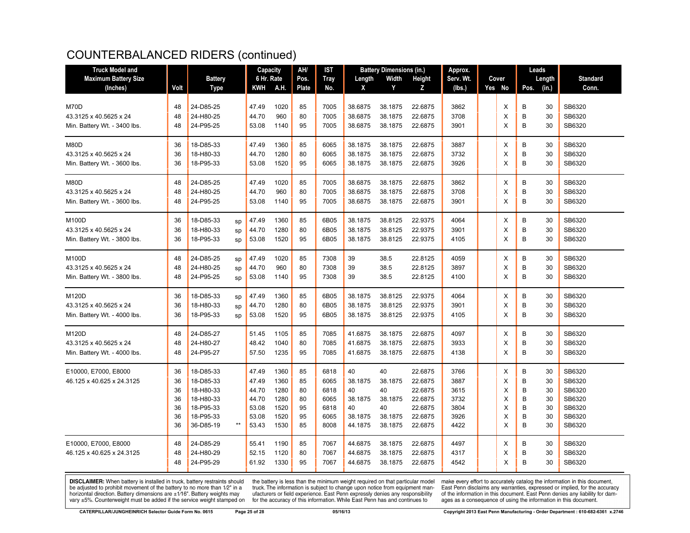| <b>Truck Model and</b>       | Capacity |                | AH/   | <b>IST</b> | Approx. |       |             | Leads   |         |         |           |  |        |               |    |                 |
|------------------------------|----------|----------------|-------|------------|---------|-------|-------------|---------|---------|---------|-----------|--|--------|---------------|----|-----------------|
| <b>Maximum Battery Size</b>  |          | <b>Battery</b> |       | 6 Hr. Rate |         | Pos.  | <b>Tray</b> | Length  | Width   | Height  | Serv. Wt. |  | Cover  | Length        |    | <b>Standard</b> |
| (Inches)                     | Volt     | <b>Type</b>    |       | KWH        | A.H.    | Plate | No.         | X       | Y       | z       | (lbs.)    |  | Yes No | (in.)<br>Pos. |    | Conn.           |
|                              |          |                |       |            |         |       |             |         |         |         |           |  |        |               |    |                 |
| M70D                         | 48       | 24-D85-25      |       | 47.49      | 1020    | 85    | 7005        | 38.6875 | 38.1875 | 22.6875 | 3862      |  | Х      | B<br>30       |    | SB6320          |
| 43.3125 x 40.5625 x 24       | 48       | 24-H80-25      |       | 44.70      | 960     | 80    | 7005        | 38.6875 | 38.1875 | 22.6875 | 3708      |  | X      | B<br>30       |    | SB6320          |
| Min. Battery Wt. - 3400 lbs. | 48       | 24-P95-25      |       | 53.08      | 1140    | 95    | 7005        | 38.6875 | 38.1875 | 22.6875 | 3901      |  | X      | B             | 30 | SB6320          |
| M80D                         | 36       | 18-D85-33      |       | 47.49      | 1360    | 85    | 6065        | 38.1875 | 38.1875 | 22.6875 | 3887      |  | Х      | B<br>30       |    | SB6320          |
| 43.3125 x 40.5625 x 24       | 36       | 18-H80-33      |       | 44.70      | 1280    | 80    | 6065        | 38.1875 | 38.1875 | 22.6875 | 3732      |  | X      | B<br>30       |    | SB6320          |
| Min. Battery Wt. - 3600 lbs. | 36       | 18-P95-33      |       | 53.08      | 1520    | 95    | 6065        | 38.1875 | 38.1875 | 22.6875 | 3926      |  | X      | B<br>30       |    | SB6320          |
| M80D                         | 48       | 24-D85-25      |       | 47.49      | 1020    | 85    | 7005        | 38.6875 | 38.1875 | 22.6875 | 3862      |  | X      | B<br>30       |    | SB6320          |
| 43.3125 x 40.5625 x 24       | 48       | 24-H80-25      |       | 44.70      | 960     | 80    | 7005        | 38.6875 | 38.1875 | 22.6875 | 3708      |  | X      | B<br>30       |    | SB6320          |
| Min. Battery Wt. - 3600 lbs. | 48       | 24-P95-25      |       | 53.08      | 1140    | 95    | 7005        | 38.6875 | 38.1875 | 22.6875 | 3901      |  | X      | B<br>30       |    | SB6320          |
| M100D                        | 36       | 18-D85-33      | sp    | 47.49      | 1360    | 85    | 6B05        | 38.1875 | 38.8125 | 22.9375 | 4064      |  | X      | B<br>30       |    | SB6320          |
| 43.3125 x 40.5625 x 24       | 36       | 18-H80-33      | sp    | 44.70      | 1280    | 80    | 6B05        | 38.1875 | 38.8125 | 22.9375 | 3901      |  | X      | B<br>30       |    | SB6320          |
| Min. Battery Wt. - 3800 lbs. | 36       | 18-P95-33      | sp    | 53.08      | 1520    | 95    | 6B05        | 38.1875 | 38.8125 | 22.9375 | 4105      |  | X      | B<br>30       |    | SB6320          |
| M100D                        | 48       | 24-D85-25      | sp    | 47.49      | 1020    | 85    | 7308        | 39      | 38.5    | 22.8125 | 4059      |  | X      | B<br>30       |    | SB6320          |
| 43.3125 x 40.5625 x 24       | 48       | 24-H80-25      | sp    | 44.70      | 960     | 80    | 7308        | 39      | 38.5    | 22.8125 | 3897      |  | X      | B<br>30       |    | SB6320          |
| Min. Battery Wt. - 3800 lbs. | 48       | 24-P95-25      | sp    | 53.08      | 1140    | 95    | 7308        | 39      | 38.5    | 22.8125 | 4100      |  | X      | B<br>30       |    | SB6320          |
| M120D                        | 36       | 18-D85-33      | sp    | 47.49      | 1360    | 85    | 6B05        | 38.1875 | 38.8125 | 22.9375 | 4064      |  | Х      | B<br>30       |    | SB6320          |
| 43.3125 x 40.5625 x 24       | 36       | 18-H80-33      | sp    | 44.70      | 1280    | 80    | 6B05        | 38.1875 | 38.8125 | 22.9375 | 3901      |  | X      | B<br>30       |    | SB6320          |
| Min. Battery Wt. - 4000 lbs. | 36       | 18-P95-33      | sp    | 53.08      | 1520    | 95    | 6B05        | 38.1875 | 38.8125 | 22.9375 | 4105      |  | X      | B<br>30       |    | SB6320          |
| M120D                        | 48       | 24-D85-27      |       | 51.45      | 1105    | 85    | 7085        | 41.6875 | 38.1875 | 22.6875 | 4097      |  | Х      | B<br>30       |    | SB6320          |
| 43.3125 x 40.5625 x 24       | 48       | 24-H80-27      |       | 48.42      | 1040    | 80    | 7085        | 41.6875 | 38.1875 | 22.6875 | 3933      |  | X      | B<br>30       |    | SB6320          |
| Min. Battery Wt. - 4000 lbs. | 48       | 24-P95-27      |       | 57.50      | 1235    | 95    | 7085        | 41.6875 | 38.1875 | 22.6875 | 4138      |  | X      | B<br>30       |    | SB6320          |
| E10000, E7000, E8000         | 36       | 18-D85-33      |       | 47.49      | 1360    | 85    | 6818        | 40      | 40      | 22.6875 | 3766      |  | X      | B<br>30       |    | SB6320          |
| 46.125 x 40.625 x 24.3125    | 36       | 18-D85-33      |       | 47.49      | 1360    | 85    | 6065        | 38.1875 | 38.1875 | 22.6875 | 3887      |  | X      | B<br>30       |    | SB6320          |
|                              | 36       | 18-H80-33      |       | 44.70      | 1280    | 80    | 6818        | 40      | 40      | 22.6875 | 3615      |  | X      | B             | 30 | SB6320          |
|                              | 36       | 18-H80-33      |       | 44.70      | 1280    | 80    | 6065        | 38.1875 | 38.1875 | 22.6875 | 3732      |  | X      | B             | 30 | SB6320          |
|                              | 36       | 18-P95-33      |       | 53.08      | 1520    | 95    | 6818        | 40      | 40      | 22.6875 | 3804      |  | X      | B             | 30 | SB6320          |
|                              | 36       | 18-P95-33      |       | 53.08      | 1520    | 95    | 6065        | 38.1875 | 38.1875 | 22.6875 | 3926      |  | X      | B             | 30 | SB6320          |
|                              | 36       | 36-D85-19      | $***$ | 53.43      | 1530    | 85    | 8008        | 44.1875 | 38.1875 | 22.6875 | 4422      |  | X      | B             | 30 | SB6320          |
| E10000, E7000, E8000         | 48       | 24-D85-29      |       | 55.41      | 1190    | 85    | 7067        | 44.6875 | 38.1875 | 22.6875 | 4497      |  | х      | B             | 30 | SB6320          |
| 46.125 x 40.625 x 24.3125    | 48       | 24-H80-29      |       | 52.15      | 1120    | 80    | 7067        | 44.6875 | 38.1875 | 22.6875 | 4317      |  | X      | B<br>30       |    | SB6320          |
|                              | 48       | 24-P95-29      |       | 61.92      | 1330    | 95    | 7067        | 44.6875 | 38.1875 | 22.6875 | 4542      |  | X      | B             | 30 | SB6320          |

**DISCLAIMER:** When battery is installed in truck, battery restraints should be adjusted to prohibit movement of the battery to no more than 1/2" in a be added in the behavior of the behavior of the behavior of the behavior of the behavior of the behavior of the behavior of the behavior of the service weight sharped on vary  $\pm$ 5%. Counterweight must be added if the ser

the battery is less than the minimum weight required on that particular model<br>truck. The information is subject to change upon notice from equipment man-<br>ufacturers or field experience. East Penn expressly denies any respo for the accuracy of this information. While East Penn has and continues to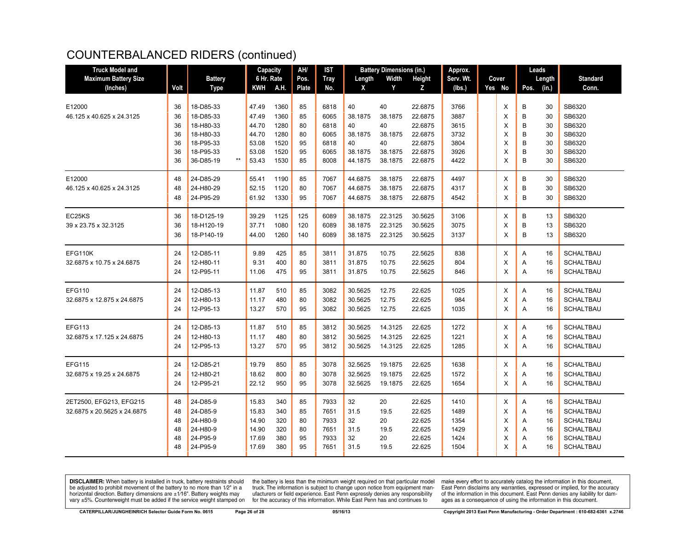| <b>Truck Model and</b>      |      |                    | Capacity   |      | AH/   | IST<br><b>Battery Dimensions (in.)</b> |         |         | Approx. |           |  | Leads  |      |        |                  |
|-----------------------------|------|--------------------|------------|------|-------|----------------------------------------|---------|---------|---------|-----------|--|--------|------|--------|------------------|
| <b>Maximum Battery Size</b> |      | <b>Battery</b>     | 6 Hr. Rate |      | Pos.  | <b>Tray</b>                            | Length  | Width   | Height  | Serv. Wt. |  | Cover  |      | Length | <b>Standard</b>  |
| (Inches)                    | Volt | <b>Type</b>        | <b>KWH</b> | A.H. | Plate | No.                                    | X       | Y       | Z       | (lbs.)    |  | Yes No | Pos. | (in.)  | Conn.            |
|                             |      |                    |            |      |       |                                        |         |         |         |           |  |        |      |        |                  |
| E12000                      | 36   | 18-D85-33          | 47.49      | 1360 | 85    | 6818                                   | 40      | 40      | 22.6875 | 3766      |  | X      | B    | 30     | SB6320           |
| 46.125 x 40.625 x 24.3125   | 36   | 18-D85-33          | 47.49      | 1360 | 85    | 6065                                   | 38.1875 | 38.1875 | 22.6875 | 3887      |  | X      | В    | 30     | SB6320           |
|                             | 36   | 18-H80-33          | 44.70      | 1280 | 80    | 6818                                   | 40      | 40      | 22.6875 | 3615      |  | X      | B    | 30     | SB6320           |
|                             | 36   | 18-H80-33          | 44.70      | 1280 | 80    | 6065                                   | 38.1875 | 38.1875 | 22.6875 | 3732      |  | X      | B    | 30     | SB6320           |
|                             | 36   | 18-P95-33          | 53.08      | 1520 | 95    | 6818                                   | 40      | 40      | 22.6875 | 3804      |  | X      | B    | 30     | SB6320           |
|                             | 36   | 18-P95-33          | 53.08      | 1520 | 95    | 6065                                   | 38.1875 | 38.1875 | 22.6875 | 3926      |  | X      | B    | 30     | SB6320           |
|                             | 36   | 36-D85-19<br>$***$ | 53.43      | 1530 | 85    | 8008                                   | 44.1875 | 38.1875 | 22.6875 | 4422      |  | X      | B    | 30     | SB6320           |
| E12000                      | 48   | 24-D85-29          | 55.41      | 1190 | 85    | 7067                                   | 44.6875 | 38.1875 | 22.6875 | 4497      |  | X      | B    | 30     | SB6320           |
| 46.125 x 40.625 x 24.3125   | 48   | 24-H80-29          | 52.15      | 1120 | 80    | 7067                                   | 44.6875 | 38.1875 | 22.6875 | 4317      |  | X      | B    | 30     | SB6320           |
|                             | 48   | 24-P95-29          | 61.92      | 1330 | 95    | 7067                                   | 44.6875 | 38.1875 | 22.6875 | 4542      |  | X      | B    | 30     | SB6320           |
| EC25KS                      | 36   | 18-D125-19         | 39.29      | 1125 | 125   | 6089                                   | 38.1875 | 22.3125 | 30.5625 | 3106      |  | X      | B    | 13     | SB6320           |
| 39 x 23.75 x 32.3125        | 36   | 18-H120-19         | 37.71      | 1080 | 120   | 6089                                   | 38.1875 | 22.3125 | 30.5625 | 3075      |  | X      | B    | 13     | SB6320           |
|                             | 36   | 18-P140-19         | 44.00      | 1260 | 140   | 6089                                   | 38.1875 | 22.3125 | 30.5625 | 3137      |  | X      | B    | 13     | SB6320           |
|                             |      |                    |            |      |       |                                        |         |         |         |           |  |        |      |        |                  |
| EFG110K                     | 24   | 12-D85-11          | 9.89       | 425  | 85    | 3811                                   | 31.875  | 10.75   | 22.5625 | 838       |  | X      | A    | 16     | <b>SCHALTBAU</b> |
| 32.6875 x 10.75 x 24.6875   | 24   | 12-H80-11          | 9.31       | 400  | 80    | 3811                                   | 31.875  | 10.75   | 22.5625 | 804       |  | х      | Α    | 16     | <b>SCHALTBAU</b> |
|                             | 24   | 12-P95-11          | 11.06      | 475  | 95    | 3811                                   | 31.875  | 10.75   | 22.5625 | 846       |  | X      | Α    | 16     | <b>SCHALTBAU</b> |
| <b>EFG110</b>               | 24   | 12-D85-13          | 11.87      | 510  | 85    | 3082                                   | 30.5625 | 12.75   | 22.625  | 1025      |  | X      | Α    | 16     | <b>SCHALTBAU</b> |
| 32.6875 x 12.875 x 24.6875  | 24   | 12-H80-13          | 11.17      | 480  | 80    | 3082                                   | 30.5625 | 12.75   | 22.625  | 984       |  | X      | Α    | 16     | <b>SCHALTBAU</b> |
|                             | 24   | 12-P95-13          | 13.27      | 570  | 95    | 3082                                   | 30.5625 | 12.75   | 22.625  | 1035      |  | X      | A    | 16     | <b>SCHALTBAU</b> |
|                             |      |                    |            |      |       |                                        |         |         |         |           |  |        |      |        |                  |
| <b>EFG113</b>               | 24   | 12-D85-13          | 11.87      | 510  | 85    | 3812                                   | 30.5625 | 14.3125 | 22.625  | 1272      |  | X      | A    | 16     | <b>SCHALTBAU</b> |
| 32.6875 x 17.125 x 24.6875  | 24   | 12-H80-13          | 11.17      | 480  | 80    | 3812                                   | 30.5625 | 14.3125 | 22.625  | 1221      |  | X      | Α    | 16     | <b>SCHALTBAU</b> |
|                             | 24   | 12-P95-13          | 13.27      | 570  | 95    | 3812                                   | 30.5625 | 14.3125 | 22.625  | 1285      |  | X      | A    | 16     | <b>SCHALTBAU</b> |
| <b>EFG115</b>               | 24   | 12-D85-21          | 19.79      | 850  | 85    | 3078                                   | 32.5625 | 19.1875 | 22.625  | 1638      |  | Х      | Α    | 16     | <b>SCHALTBAU</b> |
| 32.6875 x 19.25 x 24.6875   | 24   | 12-H80-21          | 18.62      | 800  | 80    | 3078                                   | 32.5625 | 19.1875 | 22.625  | 1572      |  | X      | Α    | 16     | <b>SCHALTBAU</b> |
|                             | 24   | 12-P95-21          | 22.12      | 950  | 95    | 3078                                   | 32.5625 | 19.1875 | 22.625  | 1654      |  | X      | A    | 16     | <b>SCHALTBAU</b> |
| 2ET2500, EFG213, EFG215     | 48   | 24-D85-9           | 15.83      | 340  | 85    | 7933                                   | 32      | 20      | 22.625  | 1410      |  | X      | Α    | 16     | <b>SCHALTBAU</b> |
| 32.6875 x 20.5625 x 24.6875 | 48   | 24-D85-9           | 15.83      | 340  | 85    | 7651                                   | 31.5    | 19.5    | 22.625  | 1489      |  | X      | Α    | 16     | SCHALTBAU        |
|                             | 48   | 24-H80-9           | 14.90      | 320  | 80    | 7933                                   | 32      | 20      | 22.625  | 1354      |  | X      | Α    | 16     | <b>SCHALTBAU</b> |
|                             | 48   | 24-H80-9           | 14.90      | 320  | 80    | 7651                                   | 31.5    | 19.5    | 22.625  | 1429      |  | X      | Α    | 16     | <b>SCHALTBAU</b> |
|                             | 48   | 24-P95-9           | 17.69      | 380  | 95    | 7933                                   | 32      | 20      | 22.625  | 1424      |  | X      | A    | 16     | <b>SCHALTBAU</b> |
|                             | 48   | 24-P95-9           | 17.69      | 380  | 95    | 7651                                   | 31.5    | 19.5    | 22.625  | 1504      |  | X      | A    | 16     | <b>SCHALTBAU</b> |
|                             |      |                    |            |      |       |                                        |         |         |         |           |  |        |      |        |                  |

**DISCLAIMER:** When battery is installed in truck, battery restraints should be adjusted to prohibit movement of the battery to no more than 1/2" in a be added in the behavior of the behavior of the behavior of the behavior of the behavior of the behavior of the behavior of the behavior of the service weight sharped on vary  $\pm$ 5%. Counterweight must be added if the ser

the battery is less than the minimum weight required on that particular model<br>truck. The information is subject to change upon notice from equipment man-<br>ufacturers or field experience. East Penn expressly denies any respo for the accuracy of this information. While East Penn has and continues to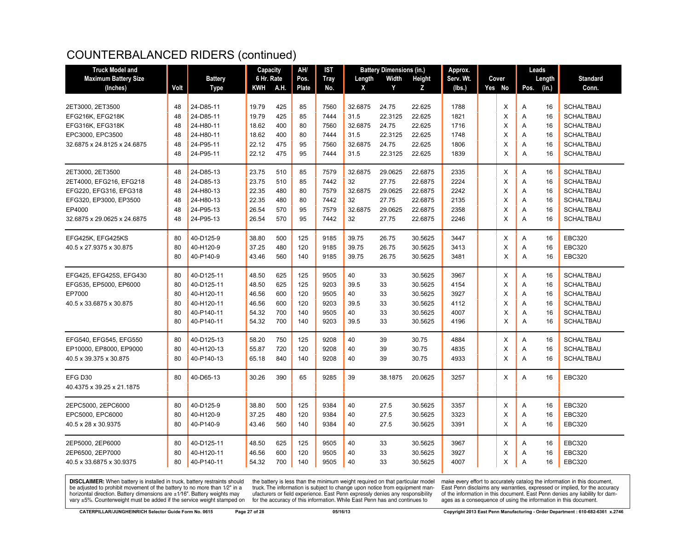| <b>Truck Model and</b>      |      |                | Capacity   |      | AH/   | <b>IST</b>  |         | <b>Battery Dimensions (in.)</b> |         | Approx.   |  |        | Leads |        |                  |
|-----------------------------|------|----------------|------------|------|-------|-------------|---------|---------------------------------|---------|-----------|--|--------|-------|--------|------------------|
| <b>Maximum Battery Size</b> |      | <b>Battery</b> | 6 Hr. Rate |      | Pos.  | <b>Tray</b> | Length  | Width                           | Height  | Serv. Wt. |  | Cover  |       | Length | <b>Standard</b>  |
| (Inches)                    | Volt | <b>Type</b>    | KWH        | A.H. | Plate | No.         | X       | Y                               | z       | (lbs.)    |  | Yes No | Pos.  | (in.)  | Conn.            |
|                             |      |                |            |      |       |             |         |                                 |         |           |  |        |       |        |                  |
| 2ET3000, 2ET3500            | 48   | 24-D85-11      | 19.79      | 425  | 85    | 7560        | 32.6875 | 24.75                           | 22.625  | 1788      |  | X      | Α     | 16     | <b>SCHALTBAU</b> |
| EFG216K, EFG218K            | 48   | 24-D85-11      | 19.79      | 425  | 85    | 7444        | 31.5    | 22.3125                         | 22.625  | 1821      |  | X      | A     | 16     | <b>SCHALTBAU</b> |
| EFG316K, EFG318K            | 48   | 24-H80-11      | 18.62      | 400  | 80    | 7560        | 32.6875 | 24.75                           | 22.625  | 1716      |  | X      | Α     | 16     | <b>SCHALTBAU</b> |
| EPC3000, EPC3500            | 48   | 24-H80-11      | 18.62      | 400  | 80    | 7444        | 31.5    | 22.3125                         | 22.625  | 1748      |  | X      | Α     | 16     | <b>SCHALTBAU</b> |
| 32.6875 x 24.8125 x 24.6875 | 48   | 24-P95-11      | 22.12      | 475  | 95    | 7560        | 32.6875 | 24.75                           | 22.625  | 1806      |  | X      | Α     | 16     | <b>SCHALTBAU</b> |
|                             | 48   | 24-P95-11      | 22.12      | 475  | 95    | 7444        | 31.5    | 22.3125                         | 22.625  | 1839      |  | X      | A     | 16     | <b>SCHALTBAU</b> |
| 2ET3000, 2ET3500            | 48   | 24-D85-13      | 23.75      | 510  | 85    | 7579        | 32.6875 | 29.0625                         | 22.6875 | 2335      |  | X      | Α     | 16     | <b>SCHALTBAU</b> |
| 2ET4000, EFG216, EFG218     | 48   | 24-D85-13      | 23.75      | 510  | 85    | 7442        | 32      | 27.75                           | 22.6875 | 2224      |  | X      | Α     | 16     | <b>SCHALTBAU</b> |
| EFG220, EFG316, EFG318      | 48   | 24-H80-13      | 22.35      | 480  | 80    | 7579        | 32.6875 | 29.0625                         | 22.6875 | 2242      |  | X      | Α     | 16     | <b>SCHALTBAU</b> |
| EFG320, EP3000, EP3500      | 48   | 24-H80-13      | 22.35      | 480  | 80    | 7442        | 32      | 27.75                           | 22.6875 | 2135      |  | X      | Α     | 16     | <b>SCHALTBAU</b> |
| EP4000                      | 48   | 24-P95-13      | 26.54      | 570  | 95    | 7579        | 32.6875 | 29.0625                         | 22.6875 | 2358      |  | X      | Α     | 16     | <b>SCHALTBAU</b> |
| 32.6875 x 29.0625 x 24.6875 | 48   | 24-P95-13      | 26.54      | 570  | 95    | 7442        | 32      | 27.75                           | 22.6875 | 2246      |  | X      | A     | 16     | <b>SCHALTBAU</b> |
| EFG425K, EFG425KS           | 80   | 40-D125-9      | 38.80      | 500  | 125   | 9185        | 39.75   | 26.75                           | 30.5625 | 3447      |  | X      | Α     | 16     | <b>EBC320</b>    |
| 40.5 x 27.9375 x 30.875     | 80   | 40-H120-9      | 37.25      | 480  | 120   | 9185        | 39.75   | 26.75                           | 30.5625 | 3413      |  | X      | Α     | 16     | <b>EBC320</b>    |
|                             | 80   | 40-P140-9      | 43.46      | 560  | 140   | 9185        | 39.75   | 26.75                           | 30.5625 | 3481      |  | X      | Α     | 16     | <b>EBC320</b>    |
|                             |      |                |            |      |       |             |         |                                 |         |           |  |        |       |        |                  |
| EFG425, EFG425S, EFG430     | 80   | 40-D125-11     | 48.50      | 625  | 125   | 9505        | 40      | 33                              | 30.5625 | 3967      |  | X      | Α     | 16     | <b>SCHALTBAU</b> |
| EFG535, EP5000, EP6000      | 80   | 40-D125-11     | 48.50      | 625  | 125   | 9203        | 39.5    | 33                              | 30.5625 | 4154      |  | X      | Α     | 16     | <b>SCHALTBAU</b> |
| EP7000                      | 80   | 40-H120-11     | 46.56      | 600  | 120   | 9505        | 40      | 33                              | 30.5625 | 3927      |  | X      | A     | 16     | <b>SCHALTBAU</b> |
| 40.5 x 33.6875 x 30.875     | 80   | 40-H120-11     | 46.56      | 600  | 120   | 9203        | 39.5    | 33                              | 30.5625 | 4112      |  | X      | A     | 16     | <b>SCHALTBAU</b> |
|                             | 80   | 40-P140-11     | 54.32      | 700  | 140   | 9505        | 40      | 33                              | 30.5625 | 4007      |  | X      | A     | 16     | <b>SCHALTBAU</b> |
|                             | 80   | 40-P140-11     | 54.32      | 700  | 140   | 9203        | 39.5    | 33                              | 30.5625 | 4196      |  | X      | A     | 16     | <b>SCHALTBAU</b> |
| EFG540, EFG545, EFG550      | 80   | 40-D125-13     | 58.20      | 750  | 125   | 9208        | 40      | 39                              | 30.75   | 4884      |  | X      | Α     | 16     | <b>SCHALTBAU</b> |
| EP10000, EP8000, EP9000     | 80   | 40-H120-13     | 55.87      | 720  | 120   | 9208        | 40      | 39                              | 30.75   | 4835      |  | X      | Α     | 16     | <b>SCHALTBAU</b> |
| 40.5 x 39.375 x 30.875      | 80   | 40-P140-13     | 65.18      | 840  | 140   | 9208        | 40      | 39                              | 30.75   | 4933      |  | X      | Α     | 16     | <b>SCHALTBAU</b> |
| EFG D30                     | 80   | 40-D65-13      | 30.26      | 390  | 65    | 9285        | 39      | 38.1875                         | 20.0625 | 3257      |  | X      | Α     | 16     | <b>EBC320</b>    |
| 40.4375 x 39.25 x 21.1875   |      |                |            |      |       |             |         |                                 |         |           |  |        |       |        |                  |
|                             |      |                |            |      |       |             |         |                                 |         |           |  |        |       |        |                  |
| 2EPC5000, 2EPC6000          | 80   | 40-D125-9      | 38.80      | 500  | 125   | 9384        | 40      | 27.5                            | 30.5625 | 3357      |  | X      | Α     | 16     | <b>EBC320</b>    |
| EPC5000, EPC6000            | 80   | 40-H120-9      | 37.25      | 480  | 120   | 9384        | 40      | 27.5                            | 30.5625 | 3323      |  | X      | Α     | 16     | <b>EBC320</b>    |
| 40.5 x 28 x 30.9375         | 80   | 40-P140-9      | 43.46      | 560  | 140   | 9384        | 40      | 27.5                            | 30.5625 | 3391      |  | X      | A     | 16     | <b>EBC320</b>    |
| 2EP5000, 2EP6000            | 80   | 40-D125-11     | 48.50      | 625  | 125   | 9505        | 40      | 33                              | 30.5625 | 3967      |  | Χ      | Α     | 16     | <b>EBC320</b>    |
| 2EP6500, 2EP7000            | 80   | 40-H120-11     | 46.56      | 600  | 120   | 9505        | 40      | 33                              | 30.5625 | 3927      |  | X      | A     | 16     | <b>EBC320</b>    |
| 40.5 x 33.6875 x 30.9375    | 80   | 40-P140-11     | 54.32      | 700  | 140   | 9505        | 40      | 33                              | 30.5625 | 4007      |  | X      | A     | 16     | <b>EBC320</b>    |
|                             |      |                |            |      |       |             |         |                                 |         |           |  |        |       |        |                  |

**DISCLAIMER:** When battery is installed in truck, battery restraints should be adjusted to prohibit movement of the battery to no more than 1/2" in a be added in the behavior of the behavior of the behavior of the behavior of the behavior of the behavior of the behavior of the behavior of the service weight sharped on vary  $\pm$ 5%. Counterweight must be added if the ser

the battery is less than the minimum weight required on that particular model<br>truck. The information is subject to change upon notice from equipment man-<br>ufacturers or field experience. East Penn expressly denies any respo for the accuracy of this information. While East Penn has and continues to